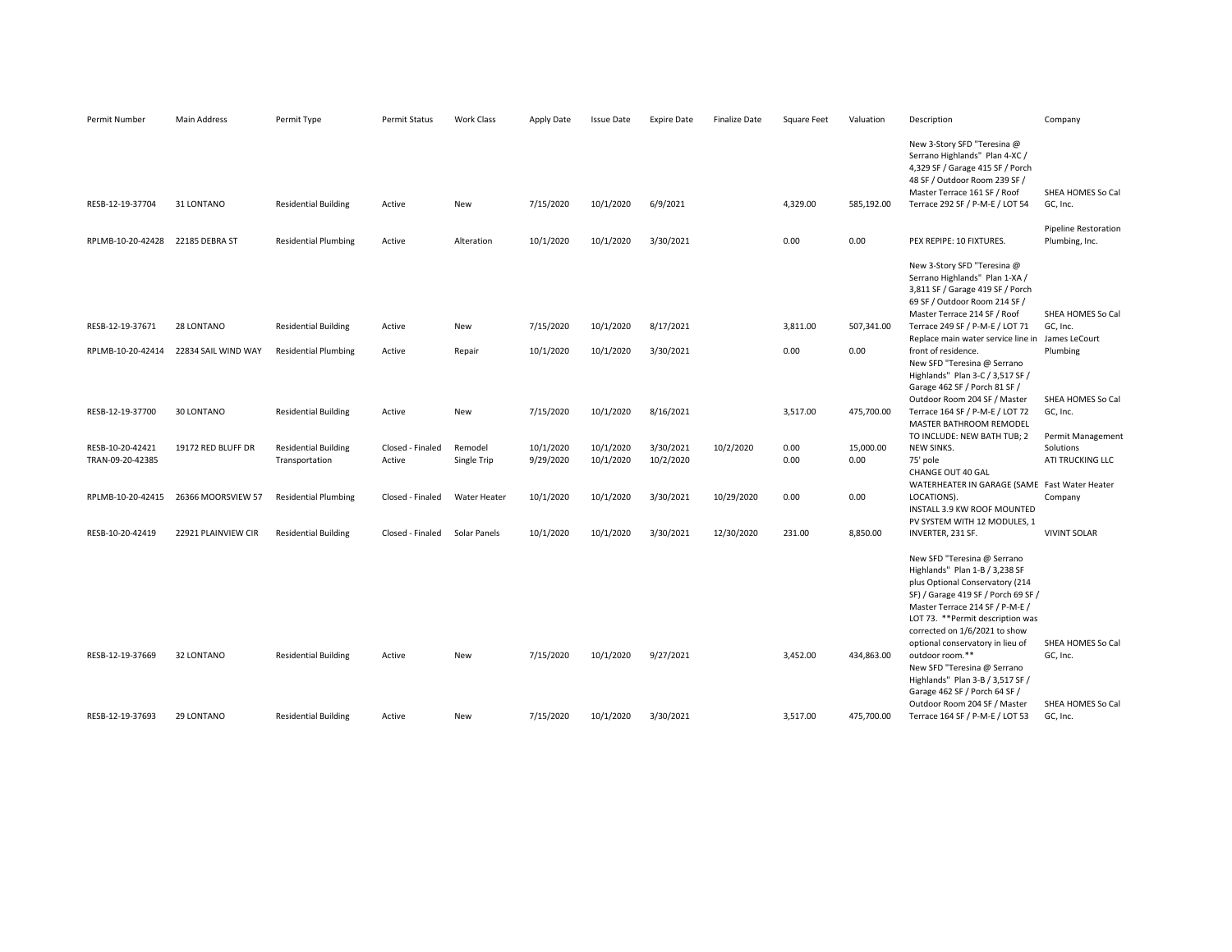| Permit Number                    | Main Address        | Permit Type                 | <b>Permit Status</b> | <b>Work Class</b>   | Apply Date | <b>Issue Date</b> | <b>Expire Date</b> | <b>Finalize Date</b> | <b>Square Feet</b> | Valuation  | Description                                                                                                                                                                                                                                                                          | Company                                       |
|----------------------------------|---------------------|-----------------------------|----------------------|---------------------|------------|-------------------|--------------------|----------------------|--------------------|------------|--------------------------------------------------------------------------------------------------------------------------------------------------------------------------------------------------------------------------------------------------------------------------------------|-----------------------------------------------|
| RESB-12-19-37704                 | 31 LONTANO          | <b>Residential Building</b> | Active               | New                 | 7/15/2020  | 10/1/2020         | 6/9/2021           |                      | 4,329.00           | 585,192.00 | New 3-Story SFD "Teresina @<br>Serrano Highlands" Plan 4-XC /<br>4,329 SF / Garage 415 SF / Porch<br>48 SF / Outdoor Room 239 SF /<br>Master Terrace 161 SF / Roof<br>Terrace 292 SF / P-M-E / LOT 54                                                                                | SHEA HOMES So Cal<br>GC, Inc.                 |
| RPLMB-10-20-42428 22185 DEBRA ST |                     | <b>Residential Plumbing</b> | Active               | Alteration          | 10/1/2020  | 10/1/2020         | 3/30/2021          |                      | 0.00               | 0.00       | PEX REPIPE: 10 FIXTURES.                                                                                                                                                                                                                                                             | <b>Pipeline Restoration</b><br>Plumbing, Inc. |
|                                  |                     |                             |                      |                     |            |                   |                    |                      |                    |            | New 3-Story SFD "Teresina @<br>Serrano Highlands" Plan 1-XA /<br>3,811 SF / Garage 419 SF / Porch<br>69 SF / Outdoor Room 214 SF /<br>Master Terrace 214 SF / Roof                                                                                                                   | SHEA HOMES So Cal                             |
| RESB-12-19-37671                 | 28 LONTANO          | <b>Residential Building</b> | Active               | New                 | 7/15/2020  | 10/1/2020         | 8/17/2021          |                      | 3,811.00           | 507,341.00 | Terrace 249 SF / P-M-E / LOT 71<br>Replace main water service line in James LeCourt                                                                                                                                                                                                  | GC, Inc.                                      |
| RPLMB-10-20-42414                | 22834 SAIL WIND WAY | <b>Residential Plumbing</b> | Active               | Repair              | 10/1/2020  | 10/1/2020         | 3/30/2021          |                      | 0.00               | 0.00       | front of residence.<br>New SFD "Teresina @ Serrano<br>Highlands" Plan 3-C / 3,517 SF /<br>Garage 462 SF / Porch 81 SF /<br>Outdoor Room 204 SF / Master                                                                                                                              | Plumbing<br>SHEA HOMES So Cal                 |
| RESB-12-19-37700                 | 30 LONTANO          | <b>Residential Building</b> | Active               | New                 | 7/15/2020  | 10/1/2020         | 8/16/2021          |                      | 3,517.00           | 475,700.00 | Terrace 164 SF / P-M-E / LOT 72<br>MASTER BATHROOM REMODEL                                                                                                                                                                                                                           | GC, Inc.                                      |
| RESB-10-20-42421                 | 19172 RED BLUFF DR  | <b>Residential Building</b> | Closed - Finaled     | Remodel             | 10/1/2020  | 10/1/2020         | 3/30/2021          | 10/2/2020            | 0.00               | 15,000.00  | TO INCLUDE: NEW BATH TUB; 2<br>NEW SINKS.                                                                                                                                                                                                                                            | Permit Management<br>Solutions                |
| TRAN-09-20-42385                 |                     | Transportation              | Active               | Single Trip         | 9/29/2020  | 10/1/2020         | 10/2/2020          |                      | 0.00               | 0.00       | 75' pole<br>CHANGE OUT 40 GAL                                                                                                                                                                                                                                                        | ATI TRUCKING LLC                              |
| RPLMB-10-20-42415                | 26366 MOORSVIEW 57  | <b>Residential Plumbing</b> | Closed - Finaled     | <b>Water Heater</b> | 10/1/2020  | 10/1/2020         | 3/30/2021          | 10/29/2020           | 0.00               | 0.00       | WATERHEATER IN GARAGE (SAME Fast Water Heater<br>LOCATIONS).<br>INSTALL 3.9 KW ROOF MOUNTED                                                                                                                                                                                          | Company                                       |
| RESB-10-20-42419                 | 22921 PLAINVIEW CIR | <b>Residential Building</b> | Closed - Finaled     | Solar Panels        | 10/1/2020  | 10/1/2020         | 3/30/2021          | 12/30/2020           | 231.00             | 8,850.00   | PV SYSTEM WITH 12 MODULES, 1<br>INVERTER, 231 SF.                                                                                                                                                                                                                                    | <b>VIVINT SOLAR</b>                           |
|                                  |                     |                             |                      |                     |            |                   |                    |                      |                    |            | New SFD "Teresina @ Serrano<br>Highlands" Plan 1-B / 3,238 SF<br>plus Optional Conservatory (214<br>SF) / Garage 419 SF / Porch 69 SF /<br>Master Terrace 214 SF / P-M-E /<br>LOT 73. ** Permit description was<br>corrected on 1/6/2021 to show<br>optional conservatory in lieu of | SHEA HOMES So Cal                             |
| RESB-12-19-37669                 | 32 LONTANO          | <b>Residential Building</b> | Active               | New                 | 7/15/2020  | 10/1/2020         | 9/27/2021          |                      | 3,452.00           | 434,863.00 | outdoor room.**<br>New SFD "Teresina @ Serrano<br>Highlands" Plan 3-B / 3,517 SF /<br>Garage 462 SF / Porch 64 SF /<br>Outdoor Room 204 SF / Master                                                                                                                                  | GC, Inc.<br>SHEA HOMES So Cal                 |
| RESB-12-19-37693                 | 29 LONTANO          | <b>Residential Building</b> | Active               | New                 | 7/15/2020  | 10/1/2020         | 3/30/2021          |                      | 3,517.00           | 475,700.00 | Terrace 164 SF / P-M-E / LOT 53                                                                                                                                                                                                                                                      | GC, Inc.                                      |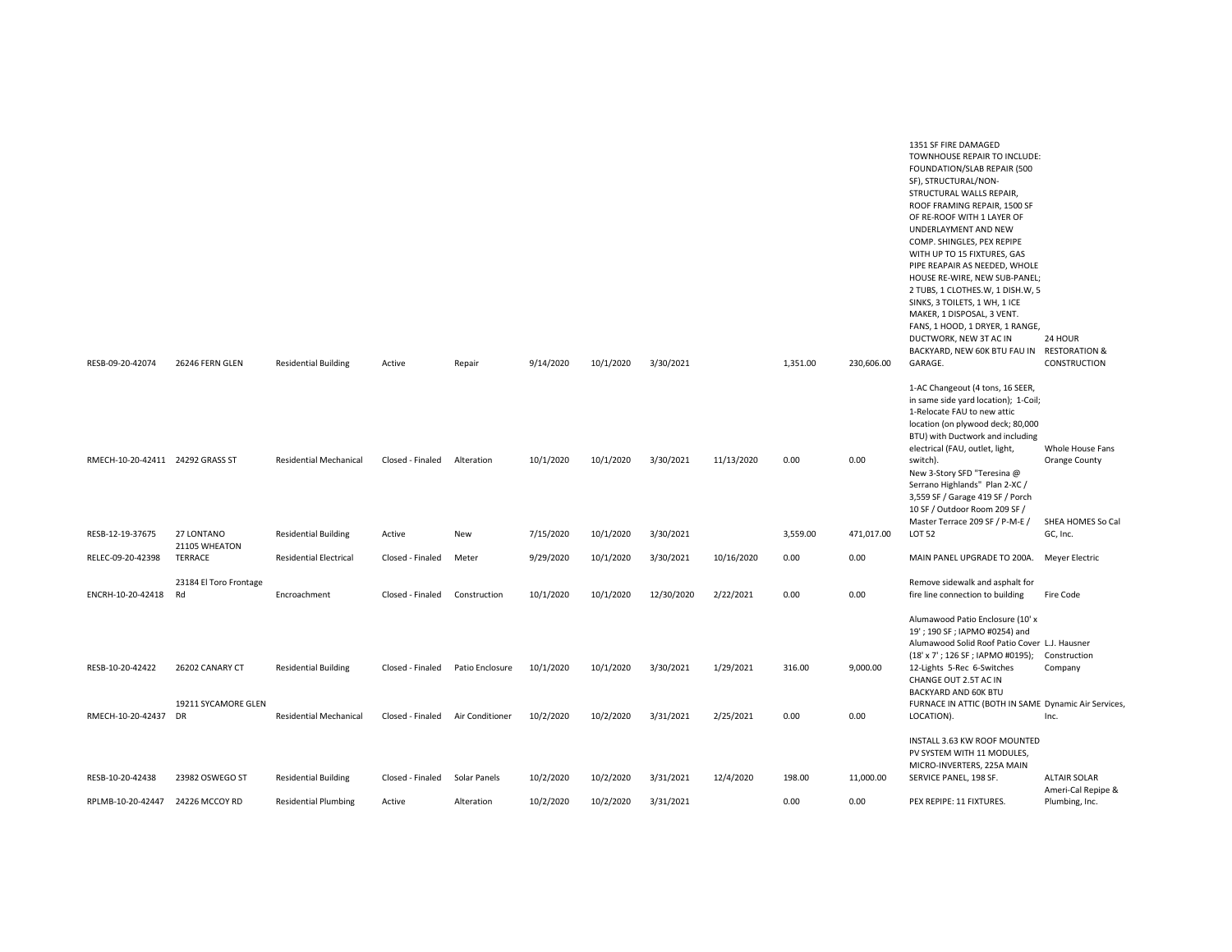| RESB-09-20-42074  | 26246 FERN GLEN                  | <b>Residential Building</b>   | Active           | Repair          | 9/14/2020 | 10/1/2020 | 3/30/2021  |            | 1,351.00 | 230,606.00 | TOWNHOUSE REPAIR TO INCLUDE:<br>FOUNDATION/SLAB REPAIR (500<br>SF), STRUCTURAL/NON-<br>STRUCTURAL WALLS REPAIR,<br>ROOF FRAMING REPAIR, 1500 SF<br>OF RE-ROOF WITH 1 LAYER OF<br>UNDERLAYMENT AND NEW<br>COMP. SHINGLES, PEX REPIPE<br>WITH UP TO 15 FIXTURES, GAS<br>PIPE REAPAIR AS NEEDED, WHOLE<br>HOUSE RE-WIRE, NEW SUB-PANEL;<br>2 TUBS, 1 CLOTHES.W, 1 DISH.W, 5<br>SINKS, 3 TOILETS, 1 WH, 1 ICE<br>MAKER, 1 DISPOSAL, 3 VENT.<br>FANS, 1 HOOD, 1 DRYER, 1 RANGE,<br>DUCTWORK, NEW 3T AC IN<br>BACKYARD, NEW 60K BTU FAU IN<br>GARAGE. | 24 HOUR<br><b>RESTORATION &amp;</b><br>CONSTRUCTION |
|-------------------|----------------------------------|-------------------------------|------------------|-----------------|-----------|-----------|------------|------------|----------|------------|-------------------------------------------------------------------------------------------------------------------------------------------------------------------------------------------------------------------------------------------------------------------------------------------------------------------------------------------------------------------------------------------------------------------------------------------------------------------------------------------------------------------------------------------------|-----------------------------------------------------|
|                   |                                  |                               |                  |                 |           |           |            |            |          |            |                                                                                                                                                                                                                                                                                                                                                                                                                                                                                                                                                 |                                                     |
|                   |                                  |                               |                  |                 |           |           |            |            |          |            | 1-AC Changeout (4 tons, 16 SEER,<br>in same side yard location); 1-Coil;<br>1-Relocate FAU to new attic<br>location (on plywood deck; 80,000<br>BTU) with Ductwork and including<br>electrical (FAU, outlet, light,                                                                                                                                                                                                                                                                                                                             | Whole House Fans                                    |
|                   | RMECH-10-20-42411 24292 GRASS ST | <b>Residential Mechanical</b> | Closed - Finaled | Alteration      | 10/1/2020 | 10/1/2020 | 3/30/2021  | 11/13/2020 | 0.00     | 0.00       | switch).<br>New 3-Story SFD "Teresina @<br>Serrano Highlands" Plan 2-XC /<br>3,559 SF / Garage 419 SF / Porch<br>10 SF / Outdoor Room 209 SF /<br>Master Terrace 209 SF / P-M-E /                                                                                                                                                                                                                                                                                                                                                               | Orange County<br>SHEA HOMES So Cal                  |
| RESB-12-19-37675  | 27 LONTANO<br>21105 WHEATON      | <b>Residential Building</b>   | Active           | New             | 7/15/2020 | 10/1/2020 | 3/30/2021  |            | 3,559.00 | 471,017.00 | <b>LOT 52</b>                                                                                                                                                                                                                                                                                                                                                                                                                                                                                                                                   | GC, Inc.                                            |
| RELEC-09-20-42398 | TERRACE                          | <b>Residential Electrical</b> | Closed - Finaled | Meter           | 9/29/2020 | 10/1/2020 | 3/30/2021  | 10/16/2020 | 0.00     | 0.00       | MAIN PANEL UPGRADE TO 200A. Meyer Electric                                                                                                                                                                                                                                                                                                                                                                                                                                                                                                      |                                                     |
| ENCRH-10-20-42418 | 23184 El Toro Frontage<br>Rd     | Encroachment                  | Closed - Finaled | Construction    | 10/1/2020 | 10/1/2020 | 12/30/2020 | 2/22/2021  | 0.00     | 0.00       | Remove sidewalk and asphalt for<br>fire line connection to building                                                                                                                                                                                                                                                                                                                                                                                                                                                                             | Fire Code                                           |
|                   |                                  |                               |                  |                 |           |           |            |            |          |            | Alumawood Patio Enclosure (10' x<br>19'; 190 SF; IAPMO #0254) and<br>Alumawood Solid Roof Patio Cover L.J. Hausner<br>(18' x 7'; 126 SF; IAPMO #0195);                                                                                                                                                                                                                                                                                                                                                                                          | Construction                                        |
| RESB-10-20-42422  | 26202 CANARY CT                  | <b>Residential Building</b>   | Closed - Finaled | Patio Enclosure | 10/1/2020 | 10/1/2020 | 3/30/2021  | 1/29/2021  | 316.00   | 9,000.00   | 12-Lights 5-Rec 6-Switches<br>CHANGE OUT 2.5T AC IN<br>BACKYARD AND 60K BTU                                                                                                                                                                                                                                                                                                                                                                                                                                                                     | Company                                             |
| RMECH-10-20-42437 | 19211 SYCAMORE GLEN<br>DR        | <b>Residential Mechanical</b> | Closed - Finaled | Air Conditioner | 10/2/2020 | 10/2/2020 | 3/31/2021  | 2/25/2021  | 0.00     | 0.00       | FURNACE IN ATTIC (BOTH IN SAME Dynamic Air Services,<br>LOCATION).                                                                                                                                                                                                                                                                                                                                                                                                                                                                              | Inc.                                                |
|                   |                                  |                               |                  |                 |           |           |            |            |          |            | INSTALL 3.63 KW ROOF MOUNTED<br>PV SYSTEM WITH 11 MODULES,<br>MICRO-INVERTERS, 225A MAIN                                                                                                                                                                                                                                                                                                                                                                                                                                                        |                                                     |
| RESB-10-20-42438  | 23982 OSWEGO ST                  | <b>Residential Building</b>   | Closed - Finaled | Solar Panels    | 10/2/2020 | 10/2/2020 | 3/31/2021  | 12/4/2020  | 198.00   | 11,000.00  | SERVICE PANEL, 198 SF.                                                                                                                                                                                                                                                                                                                                                                                                                                                                                                                          | <b>ALTAIR SOLAR</b><br>Ameri-Cal Repipe &           |
| RPLMB-10-20-42447 | 24226 MCCOY RD                   | <b>Residential Plumbing</b>   | Active           | Alteration      | 10/2/2020 | 10/2/2020 | 3/31/2021  |            | 0.00     | 0.00       | PEX REPIPE: 11 FIXTURES.                                                                                                                                                                                                                                                                                                                                                                                                                                                                                                                        | Plumbing, Inc.                                      |

1351 SF FIRE DAMAGED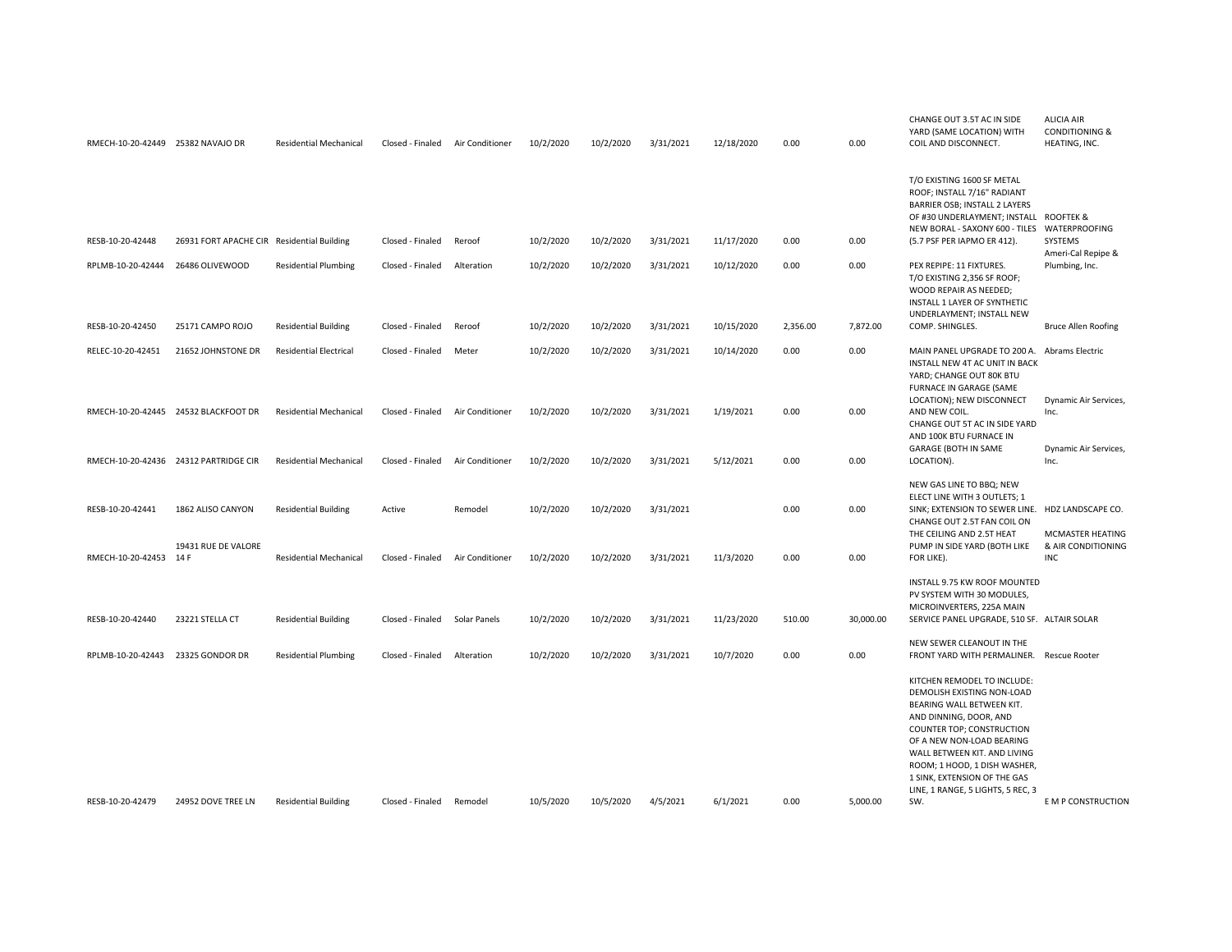| RMECH-10-20-42449 25382 NAVAJO DR |                                            | <b>Residential Mechanical</b> | Closed - Finaled | Air Conditioner     | 10/2/2020 | 10/2/2020 | 3/31/2021 | 12/18/2020 | 0.00     | 0.00      | CHANGE OUT 3.5T AC IN SIDE<br>YARD (SAME LOCATION) WITH<br>COIL AND DISCONNECT.                                                                                                                                                                                                                                 | <b>ALICIA AIR</b><br><b>CONDITIONING &amp;</b><br>HEATING, INC. |
|-----------------------------------|--------------------------------------------|-------------------------------|------------------|---------------------|-----------|-----------|-----------|------------|----------|-----------|-----------------------------------------------------------------------------------------------------------------------------------------------------------------------------------------------------------------------------------------------------------------------------------------------------------------|-----------------------------------------------------------------|
| RESB-10-20-42448                  | 26931 FORT APACHE CIR Residential Building |                               | Closed - Finaled | Reroof              | 10/2/2020 | 10/2/2020 | 3/31/2021 | 11/17/2020 | 0.00     | 0.00      | T/O EXISTING 1600 SF METAL<br>ROOF; INSTALL 7/16" RADIANT<br>BARRIER OSB; INSTALL 2 LAYERS<br>OF #30 UNDERLAYMENT; INSTALL ROOFTEK &<br>NEW BORAL - SAXONY 600 - TILES<br>(5.7 PSF PER IAPMO ER 412).                                                                                                           | WATERPROOFING<br>SYSTEMS                                        |
| RPLMB-10-20-42444                 | 26486 OLIVEWOOD                            | <b>Residential Plumbing</b>   | Closed - Finaled | Alteration          | 10/2/2020 | 10/2/2020 | 3/31/2021 | 10/12/2020 | 0.00     | 0.00      | PEX REPIPE: 11 FIXTURES.<br>T/O EXISTING 2,356 SF ROOF;<br>WOOD REPAIR AS NEEDED;<br>INSTALL 1 LAYER OF SYNTHETIC<br>UNDERLAYMENT; INSTALL NEW                                                                                                                                                                  | Ameri-Cal Repipe &<br>Plumbing, Inc.                            |
| RESB-10-20-42450                  | 25171 CAMPO ROJO                           | <b>Residential Building</b>   | Closed - Finaled | Reroof              | 10/2/2020 | 10/2/2020 | 3/31/2021 | 10/15/2020 | 2,356.00 | 7,872.00  | COMP. SHINGLES.                                                                                                                                                                                                                                                                                                 | <b>Bruce Allen Roofing</b>                                      |
| RELEC-10-20-42451                 | 21652 JOHNSTONE DR                         | <b>Residential Electrical</b> | Closed - Finaled | Meter               | 10/2/2020 | 10/2/2020 | 3/31/2021 | 10/14/2020 | 0.00     | 0.00      | MAIN PANEL UPGRADE TO 200 A. Abrams Electric<br>INSTALL NEW 4T AC UNIT IN BACK<br>YARD; CHANGE OUT 80K BTU<br>FURNACE IN GARAGE (SAME                                                                                                                                                                           |                                                                 |
|                                   | RMECH-10-20-42445 24532 BLACKFOOT DR       | <b>Residential Mechanical</b> | Closed - Finaled | Air Conditioner     | 10/2/2020 | 10/2/2020 | 3/31/2021 | 1/19/2021  | 0.00     | 0.00      | LOCATION); NEW DISCONNECT<br>AND NEW COIL.<br>CHANGE OUT 5T AC IN SIDE YARD<br>AND 100K BTU FURNACE IN                                                                                                                                                                                                          | Dynamic Air Services,<br>Inc.                                   |
|                                   | RMECH-10-20-42436 24312 PARTRIDGE CIR      | <b>Residential Mechanical</b> | Closed - Finaled | Air Conditioner     | 10/2/2020 | 10/2/2020 | 3/31/2021 | 5/12/2021  | 0.00     | 0.00      | GARAGE (BOTH IN SAME<br>LOCATION).                                                                                                                                                                                                                                                                              | Dynamic Air Services,<br>Inc.                                   |
| RESB-10-20-42441                  | 1862 ALISO CANYON                          | <b>Residential Building</b>   | Active           | Remodel             | 10/2/2020 | 10/2/2020 | 3/31/2021 |            | 0.00     | 0.00      | NEW GAS LINE TO BBQ; NEW<br>ELECT LINE WITH 3 OUTLETS; 1<br>SINK; EXTENSION TO SEWER LINE. HDZ LANDSCAPE CO.<br>CHANGE OUT 2.5T FAN COIL ON<br>THE CEILING AND 2.5T HEAT                                                                                                                                        | MCMASTER HEATING                                                |
| RMECH-10-20-42453 14 F            | 19431 RUE DE VALORE                        | <b>Residential Mechanical</b> | Closed - Finaled | Air Conditioner     | 10/2/2020 | 10/2/2020 | 3/31/2021 | 11/3/2020  | 0.00     | 0.00      | PUMP IN SIDE YARD (BOTH LIKE<br>FOR LIKE).                                                                                                                                                                                                                                                                      | & AIR CONDITIONING<br><b>INC</b>                                |
| RESB-10-20-42440                  | 23221 STELLA CT                            | <b>Residential Building</b>   | Closed - Finaled | <b>Solar Panels</b> | 10/2/2020 | 10/2/2020 | 3/31/2021 | 11/23/2020 | 510.00   | 30,000.00 | INSTALL 9.75 KW ROOF MOUNTED<br>PV SYSTEM WITH 30 MODULES,<br>MICROINVERTERS, 225A MAIN<br>SERVICE PANEL UPGRADE, 510 SF. ALTAIR SOLAR                                                                                                                                                                          |                                                                 |
| RPLMB-10-20-42443                 | 23325 GONDOR DR                            | <b>Residential Plumbing</b>   | Closed - Finaled | Alteration          | 10/2/2020 | 10/2/2020 | 3/31/2021 | 10/7/2020  | 0.00     | 0.00      | NEW SEWER CLEANOUT IN THE<br>FRONT YARD WITH PERMALINER.                                                                                                                                                                                                                                                        | <b>Rescue Rooter</b>                                            |
|                                   |                                            |                               |                  |                     |           |           |           |            |          |           | KITCHEN REMODEL TO INCLUDE:<br>DEMOLISH EXISTING NON-LOAD<br>BEARING WALL BETWEEN KIT.<br>AND DINNING, DOOR, AND<br>COUNTER TOP; CONSTRUCTION<br>OF A NEW NON-LOAD BEARING<br>WALL BETWEEN KIT. AND LIVING<br>ROOM; 1 HOOD, 1 DISH WASHER,<br>1 SINK, EXTENSION OF THE GAS<br>LINE, 1 RANGE, 5 LIGHTS, 5 REC, 3 |                                                                 |
| RESB-10-20-42479                  | 24952 DOVE TREE LN                         | <b>Residential Building</b>   | Closed - Finaled | Remodel             | 10/5/2020 | 10/5/2020 | 4/5/2021  | 6/1/2021   | 0.00     | 5.000.00  | SW.                                                                                                                                                                                                                                                                                                             | E M P CONSTRUCTION                                              |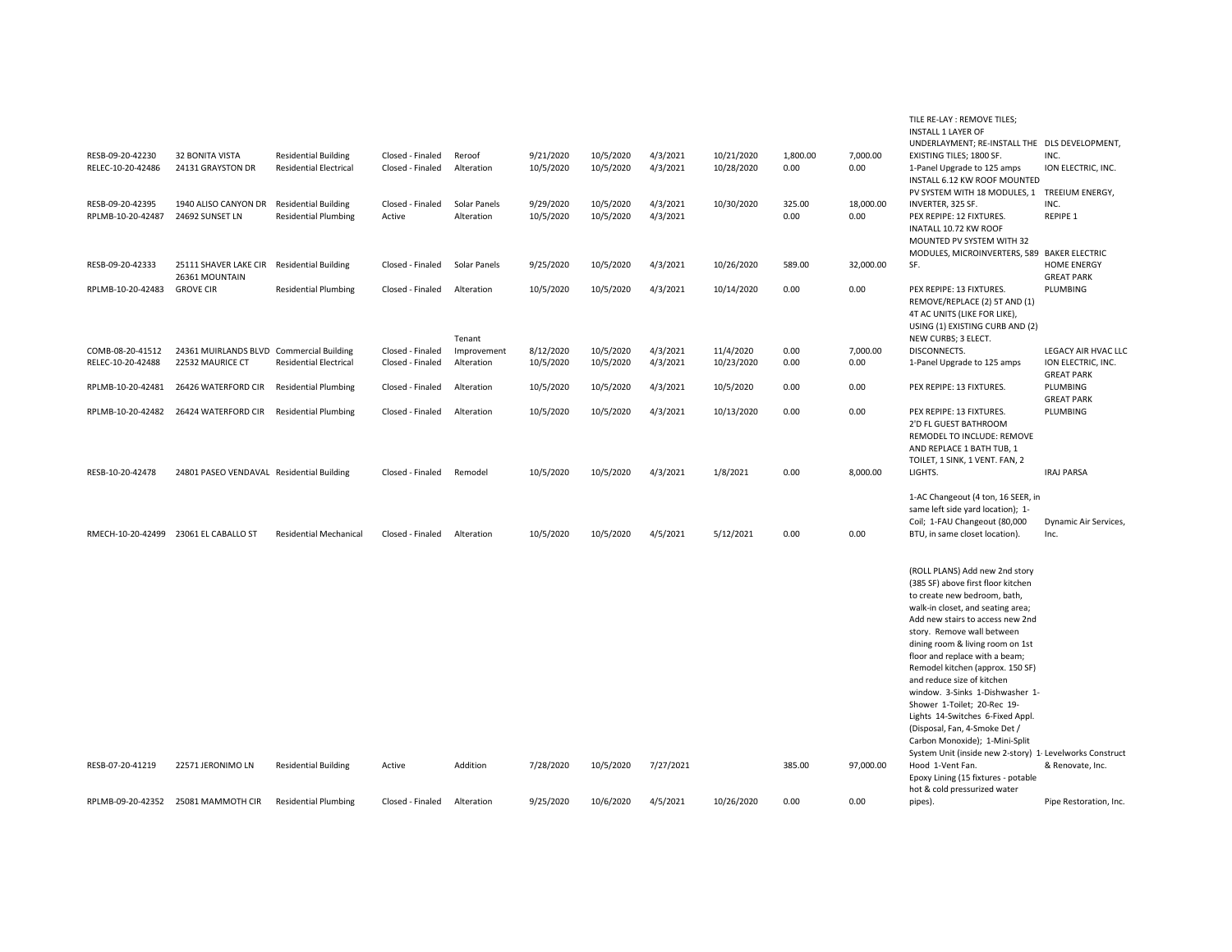| RESB-09-20-42230<br>RELEC-10-20-42486 | <b>32 BONITA VISTA</b><br>24131 GRAYSTON DR                  | <b>Residential Building</b><br><b>Residential Electrical</b> | Closed - Finaled<br>Closed - Finaled | Reroof<br>Alteration       | 9/21/2020<br>10/5/2020 | 10/5/2020<br>10/5/2020 | 4/3/2021<br>4/3/2021 | 10/21/2020<br>10/28/2020 | 1.800.00<br>0.00 | 7.000.00<br>0.00  | TILE RE-LAY : REMOVE TILES;<br><b>INSTALL 1 LAYER OF</b><br>UNDERLAYMENT; RE-INSTALL THE DLS DEVELOPMENT,<br>EXISTING TILES; 1800 SF.<br>1-Panel Upgrade to 125 amps<br>INSTALL 6.12 KW ROOF MOUNTED                                                                                                                                                                                                                                                                                                                                                                                                                                                                               | INC.<br>ION ELECTRIC, INC.                                     |
|---------------------------------------|--------------------------------------------------------------|--------------------------------------------------------------|--------------------------------------|----------------------------|------------------------|------------------------|----------------------|--------------------------|------------------|-------------------|------------------------------------------------------------------------------------------------------------------------------------------------------------------------------------------------------------------------------------------------------------------------------------------------------------------------------------------------------------------------------------------------------------------------------------------------------------------------------------------------------------------------------------------------------------------------------------------------------------------------------------------------------------------------------------|----------------------------------------------------------------|
| RESB-09-20-42395<br>RPLMB-10-20-42487 | 1940 ALISO CANYON DR<br>24692 SUNSET LN                      | <b>Residential Building</b><br><b>Residential Plumbing</b>   | Closed - Finaled<br>Active           | Solar Panels<br>Alteration | 9/29/2020<br>10/5/2020 | 10/5/2020<br>10/5/2020 | 4/3/2021<br>4/3/2021 | 10/30/2020               | 325.00<br>0.00   | 18,000.00<br>0.00 | PV SYSTEM WITH 18 MODULES, 1 TREEIUM ENERGY,<br>INVERTER, 325 SF.<br>PEX REPIPE: 12 FIXTURES.<br>INATALL 10.72 KW ROOF<br>MOUNTED PV SYSTEM WITH 32                                                                                                                                                                                                                                                                                                                                                                                                                                                                                                                                | INC.<br>REPIPE 1                                               |
| RESB-09-20-42333                      | 25111 SHAVER LAKE CIR<br>26361 MOUNTAIN                      | <b>Residential Building</b>                                  | Closed - Finaled                     | Solar Panels               | 9/25/2020              | 10/5/2020              | 4/3/2021             | 10/26/2020               | 589.00           | 32,000.00         | MODULES, MICROINVERTERS, 589 BAKER ELECTRIC<br>SF.                                                                                                                                                                                                                                                                                                                                                                                                                                                                                                                                                                                                                                 | <b>HOME ENERGY</b><br><b>GREAT PARK</b>                        |
| RPLMB-10-20-42483                     | <b>GROVE CIR</b>                                             | <b>Residential Plumbing</b>                                  | Closed - Finaled                     | Alteration                 | 10/5/2020              | 10/5/2020              | 4/3/2021             | 10/14/2020               | 0.00             | 0.00              | PEX REPIPE: 13 FIXTURES.<br>REMOVE/REPLACE (2) 5T AND (1)<br>4T AC UNITS (LIKE FOR LIKE),<br>USING (1) EXISTING CURB AND (2)                                                                                                                                                                                                                                                                                                                                                                                                                                                                                                                                                       | PLUMBING                                                       |
|                                       |                                                              |                                                              |                                      | Tenant                     |                        |                        |                      |                          |                  |                   | NEW CURBS; 3 ELECT.                                                                                                                                                                                                                                                                                                                                                                                                                                                                                                                                                                                                                                                                |                                                                |
| COMB-08-20-41512<br>RELEC-10-20-42488 | 24361 MUIRLANDS BLVD Commercial Building<br>22532 MAURICE CT | <b>Residential Electrical</b>                                | Closed - Finaled<br>Closed - Finaled | Improvement<br>Alteration  | 8/12/2020<br>10/5/2020 | 10/5/2020<br>10/5/2020 | 4/3/2021<br>4/3/2021 | 11/4/2020<br>10/23/2020  | 0.00<br>0.00     | 7,000.00<br>0.00  | DISCONNECTS.<br>1-Panel Upgrade to 125 amps                                                                                                                                                                                                                                                                                                                                                                                                                                                                                                                                                                                                                                        | LEGACY AIR HVAC LLC<br>ION ELECTRIC, INC.<br><b>GREAT PARK</b> |
| RPLMB-10-20-42481                     | 26426 WATERFORD CIR                                          | <b>Residential Plumbing</b>                                  | Closed - Finaled                     | Alteration                 | 10/5/2020              | 10/5/2020              | 4/3/2021             | 10/5/2020                | 0.00             | 0.00              | PEX REPIPE: 13 FIXTURES.                                                                                                                                                                                                                                                                                                                                                                                                                                                                                                                                                                                                                                                           | PLUMBING                                                       |
| RPLMB-10-20-42482                     | 26424 WATERFORD CIR                                          | <b>Residential Plumbing</b>                                  | Closed - Finaled                     | Alteration                 | 10/5/2020              | 10/5/2020              | 4/3/2021             | 10/13/2020               | 0.00             | 0.00              | PEX REPIPE: 13 FIXTURES.<br>2'D FL GUEST BATHROOM<br>REMODEL TO INCLUDE: REMOVE<br>AND REPLACE 1 BATH TUB, 1                                                                                                                                                                                                                                                                                                                                                                                                                                                                                                                                                                       | <b>GREAT PARK</b><br>PLUMBING                                  |
| RESB-10-20-42478                      | 24801 PASEO VENDAVAL Residential Building                    |                                                              | Closed - Finaled                     | Remodel                    | 10/5/2020              | 10/5/2020              | 4/3/2021             | 1/8/2021                 | 0.00             | 8,000.00          | TOILET, 1 SINK, 1 VENT. FAN, 2<br>LIGHTS.                                                                                                                                                                                                                                                                                                                                                                                                                                                                                                                                                                                                                                          | <b>IRAJ PARSA</b>                                              |
| RMECH-10-20-42499 23061 EL CABALLO ST |                                                              | <b>Residential Mechanical</b>                                | Closed - Finaled                     | Alteration                 | 10/5/2020              | 10/5/2020              | 4/5/2021             | 5/12/2021                | 0.00             | 0.00              | 1-AC Changeout (4 ton, 16 SEER, in<br>same left side yard location); 1-<br>Coil; 1-FAU Changeout (80,000<br>BTU, in same closet location).                                                                                                                                                                                                                                                                                                                                                                                                                                                                                                                                         | Dynamic Air Services,<br>Inc.                                  |
| RESB-07-20-41219                      | 22571 JERONIMO LN                                            | <b>Residential Building</b>                                  | Active                               | Addition                   | 7/28/2020              | 10/5/2020              | 7/27/2021            |                          | 385.00           | 97,000.00         | (ROLL PLANS) Add new 2nd story<br>(385 SF) above first floor kitchen<br>to create new bedroom, bath,<br>walk-in closet, and seating area;<br>Add new stairs to access new 2nd<br>story. Remove wall between<br>dining room & living room on 1st<br>floor and replace with a beam;<br>Remodel kitchen (approx. 150 SF)<br>and reduce size of kitchen<br>window. 3-Sinks 1-Dishwasher 1-<br>Shower 1-Toilet; 20-Rec 19-<br>Lights 14-Switches 6-Fixed Appl.<br>(Disposal, Fan, 4-Smoke Det /<br>Carbon Monoxide); 1-Mini-Split<br>System Unit (inside new 2-story) 1 Levelworks Construct<br>Hood 1-Vent Fan.<br>Epoxy Lining (15 fixtures - potable<br>hot & cold pressurized water | & Renovate, Inc.                                               |
| RPLMB-09-20-42352                     | 25081 MAMMOTH CIR                                            | <b>Residential Plumbing</b>                                  | Closed - Finaled                     | Alteration                 | 9/25/2020              | 10/6/2020              | 4/5/2021             | 10/26/2020               | 0.00             | 0.00              | pipes).                                                                                                                                                                                                                                                                                                                                                                                                                                                                                                                                                                                                                                                                            | Pipe Restoration, Inc.                                         |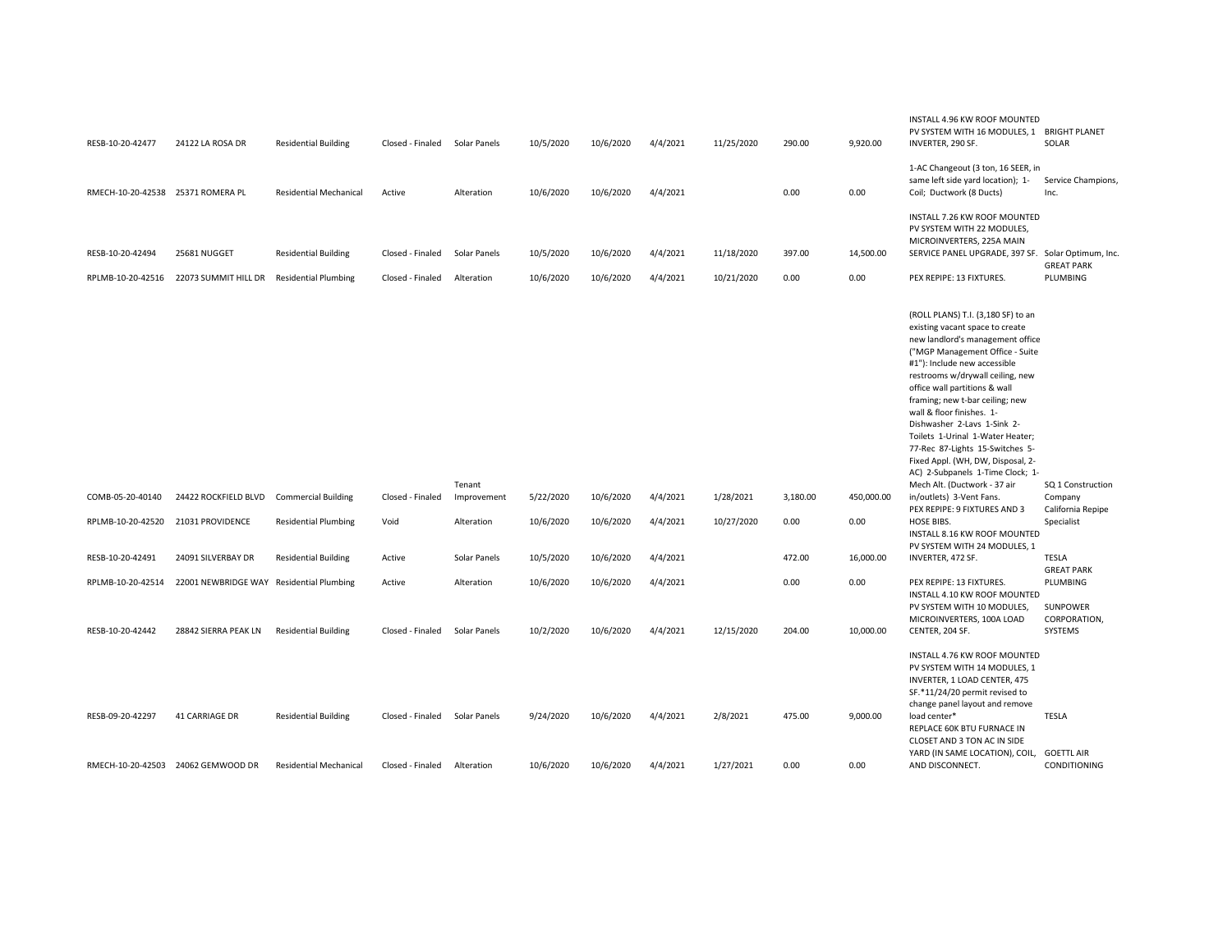| RESB-10-20-42477                   | 24122 LA ROSA DR                         | <b>Residential Building</b>   | Closed - Finaled Solar Panels |              | 10/5/2020 | 10/6/2020 | 4/4/2021 | 11/25/2020 | 290.00   | 9,920.00   | INSTALL 4.96 KW ROOF MOUNTED<br>PV SYSTEM WITH 16 MODULES, 1 BRIGHT PLANET<br>INVERTER, 290 SF.                                                                                                                                                                                                                                                                                                                                                                                                                                  | SOLAR                                                     |
|------------------------------------|------------------------------------------|-------------------------------|-------------------------------|--------------|-----------|-----------|----------|------------|----------|------------|----------------------------------------------------------------------------------------------------------------------------------------------------------------------------------------------------------------------------------------------------------------------------------------------------------------------------------------------------------------------------------------------------------------------------------------------------------------------------------------------------------------------------------|-----------------------------------------------------------|
| RMECH-10-20-42538 25371 ROMERA PL  |                                          | <b>Residential Mechanical</b> | Active                        | Alteration   | 10/6/2020 | 10/6/2020 | 4/4/2021 |            | 0.00     | 0.00       | 1-AC Changeout (3 ton, 16 SEER, in<br>same left side yard location); 1-<br>Coil; Ductwork (8 Ducts)                                                                                                                                                                                                                                                                                                                                                                                                                              | Service Champions,<br>Inc.                                |
| RESB-10-20-42494                   | 25681 NUGGET                             | <b>Residential Building</b>   | Closed - Finaled              | Solar Panels | 10/5/2020 | 10/6/2020 | 4/4/2021 | 11/18/2020 | 397.00   | 14,500.00  | INSTALL 7.26 KW ROOF MOUNTED<br>PV SYSTEM WITH 22 MODULES,<br>MICROINVERTERS, 225A MAIN<br>SERVICE PANEL UPGRADE, 397 SF. Solar Optimum, Inc.                                                                                                                                                                                                                                                                                                                                                                                    |                                                           |
|                                    |                                          |                               |                               |              |           |           |          |            |          |            |                                                                                                                                                                                                                                                                                                                                                                                                                                                                                                                                  | <b>GREAT PARK</b>                                         |
|                                    | RPLMB-10-20-42516 22073 SUMMIT HILL DR   | <b>Residential Plumbing</b>   | Closed - Finaled              | Alteration   | 10/6/2020 | 10/6/2020 | 4/4/2021 | 10/21/2020 | 0.00     | 0.00       | PEX REPIPE: 13 FIXTURES.                                                                                                                                                                                                                                                                                                                                                                                                                                                                                                         | PLUMBING                                                  |
|                                    |                                          |                               |                               | Tenant       |           |           |          |            |          |            | (ROLL PLANS) T.I. (3,180 SF) to an<br>existing vacant space to create<br>new landlord's management office<br>("MGP Management Office - Suite<br>#1"): Include new accessible<br>restrooms w/drywall ceiling, new<br>office wall partitions & wall<br>framing; new t-bar ceiling; new<br>wall & floor finishes. 1-<br>Dishwasher 2-Lavs 1-Sink 2-<br>Toilets 1-Urinal 1-Water Heater;<br>77-Rec 87-Lights 15-Switches 5-<br>Fixed Appl. (WH, DW, Disposal, 2-<br>AC) 2-Subpanels 1-Time Clock; 1-<br>Mech Alt. (Ductwork - 37 air | SQ 1 Construction                                         |
| COMB-05-20-40140                   | 24422 ROCKFIELD BLVD                     | <b>Commercial Building</b>    | Closed - Finaled              | Improvement  | 5/22/2020 | 10/6/2020 | 4/4/2021 | 1/28/2021  | 3,180.00 | 450,000.00 | in/outlets) 3-Vent Fans.<br>PEX REPIPE: 9 FIXTURES AND 3                                                                                                                                                                                                                                                                                                                                                                                                                                                                         | Company<br>California Repipe                              |
| RPLMB-10-20-42520 21031 PROVIDENCE |                                          | <b>Residential Plumbing</b>   | Void                          | Alteration   | 10/6/2020 | 10/6/2020 | 4/4/2021 | 10/27/2020 | 0.00     | 0.00       | HOSE BIBS.<br>INSTALL 8.16 KW ROOF MOUNTED<br>PV SYSTEM WITH 24 MODULES, 1                                                                                                                                                                                                                                                                                                                                                                                                                                                       | Specialist                                                |
| RESB-10-20-42491                   | 24091 SILVERBAY DR                       | <b>Residential Building</b>   | Active                        | Solar Panels | 10/5/2020 | 10/6/2020 | 4/4/2021 |            | 472.00   | 16.000.00  | INVERTER, 472 SF.                                                                                                                                                                                                                                                                                                                                                                                                                                                                                                                | <b>TESLA</b>                                              |
| RPLMB-10-20-42514                  | 22001 NEWBRIDGE WAY Residential Plumbing |                               | Active                        | Alteration   | 10/6/2020 | 10/6/2020 | 4/4/2021 |            | 0.00     | 0.00       | PEX REPIPE: 13 FIXTURES.<br>INSTALL 4.10 KW ROOF MOUNTED<br>PV SYSTEM WITH 10 MODULES,<br>MICROINVERTERS, 100A LOAD                                                                                                                                                                                                                                                                                                                                                                                                              | <b>GREAT PARK</b><br>PLUMBING<br>SUNPOWER<br>CORPORATION, |
| RESB-10-20-42442                   | 28842 SIERRA PEAK LN                     | <b>Residential Building</b>   | Closed - Finaled Solar Panels |              | 10/2/2020 | 10/6/2020 | 4/4/2021 | 12/15/2020 | 204.00   | 10,000.00  | CENTER, 204 SF.                                                                                                                                                                                                                                                                                                                                                                                                                                                                                                                  | SYSTEMS                                                   |
| RESB-09-20-42297                   | <b>41 CARRIAGE DR</b>                    | <b>Residential Building</b>   | Closed - Finaled Solar Panels |              | 9/24/2020 | 10/6/2020 | 4/4/2021 | 2/8/2021   | 475.00   | 9,000.00   | INSTALL 4.76 KW ROOF MOUNTED<br>PV SYSTEM WITH 14 MODULES, 1<br>INVERTER, 1 LOAD CENTER, 475<br>SF.*11/24/20 permit revised to<br>change panel layout and remove<br>load center*<br>REPLACE 60K BTU FURNACE IN<br>CLOSET AND 3 TON AC IN SIDE<br>YARD (IN SAME LOCATION), COIL,                                                                                                                                                                                                                                                  | <b>TESLA</b><br><b>GOETTL AIR</b>                         |
|                                    | RMECH-10-20-42503 24062 GEMWOOD DR       | <b>Residential Mechanical</b> | Closed - Finaled              | Alteration   | 10/6/2020 | 10/6/2020 | 4/4/2021 | 1/27/2021  | 0.00     | 0.00       | AND DISCONNECT.                                                                                                                                                                                                                                                                                                                                                                                                                                                                                                                  | CONDITIONING                                              |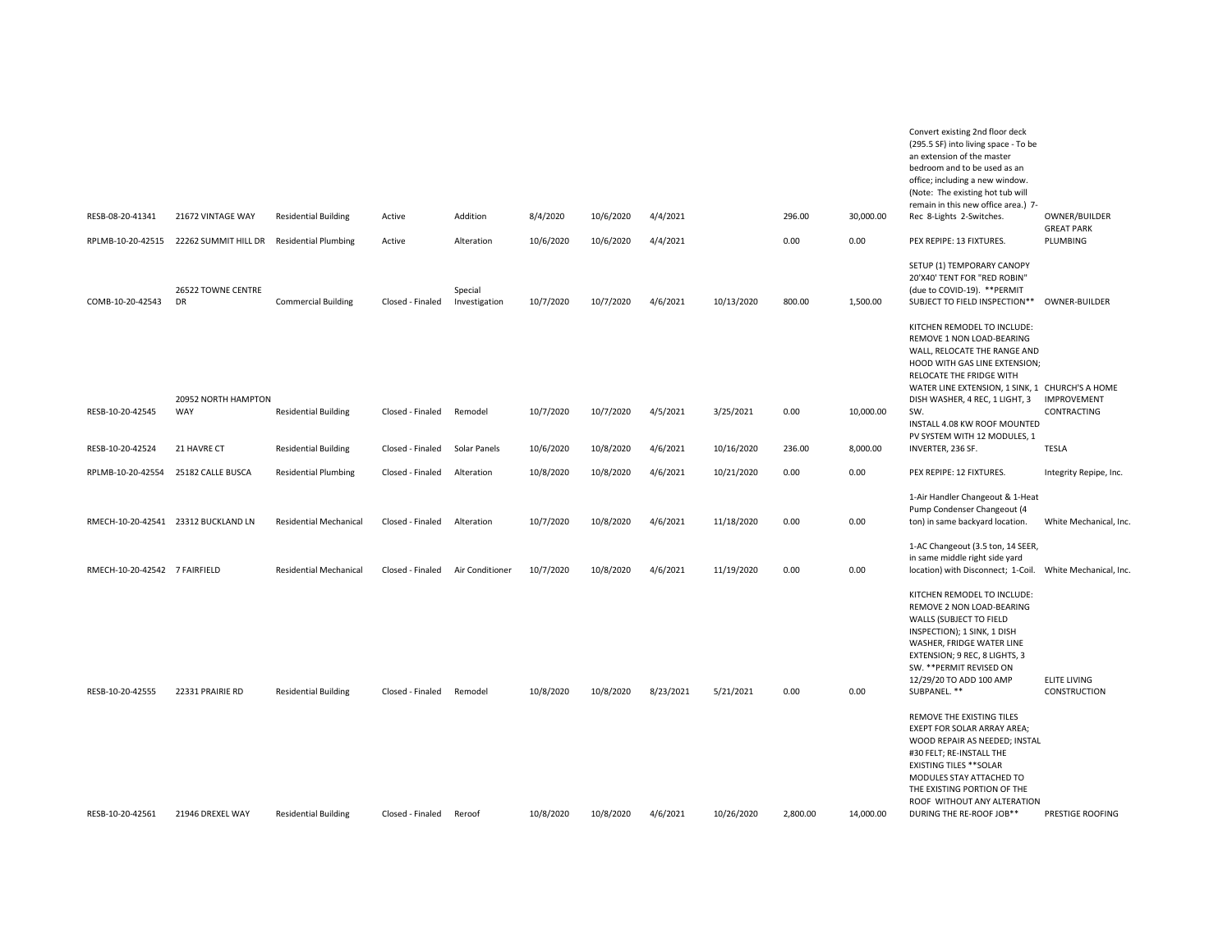|                                     |                                           |                               |                  |                          |           |           |           |            |          |           | Convert existing 2nd floor deck<br>(295.5 SF) into living space - To be<br>an extension of the master<br>bedroom and to be used as an<br>office; including a new window.<br>(Note: The existing hot tub will                                            |                                     |
|-------------------------------------|-------------------------------------------|-------------------------------|------------------|--------------------------|-----------|-----------|-----------|------------|----------|-----------|---------------------------------------------------------------------------------------------------------------------------------------------------------------------------------------------------------------------------------------------------------|-------------------------------------|
| RESB-08-20-41341                    | 21672 VINTAGE WAY                         | <b>Residential Building</b>   | Active           | Addition                 | 8/4/2020  | 10/6/2020 | 4/4/2021  |            | 296.00   | 30,000.00 | remain in this new office area.) 7-<br>Rec 8-Lights 2-Switches.                                                                                                                                                                                         | OWNER/BUILDER                       |
| RPLMB-10-20-42515                   | 22262 SUMMIT HILL DR Residential Plumbing |                               | Active           | Alteration               | 10/6/2020 | 10/6/2020 | 4/4/2021  |            | 0.00     | 0.00      | PEX REPIPE: 13 FIXTURES.                                                                                                                                                                                                                                | <b>GREAT PARK</b><br>PLUMBING       |
| COMB-10-20-42543                    | 26522 TOWNE CENTRE<br>DR                  | <b>Commercial Building</b>    | Closed - Finaled | Special<br>Investigation | 10/7/2020 | 10/7/2020 | 4/6/2021  | 10/13/2020 | 800.00   | 1,500.00  | SETUP (1) TEMPORARY CANOPY<br>20'X40' TENT FOR "RED ROBIN"<br>(due to COVID-19). ** PERMIT<br>SUBJECT TO FIELD INSPECTION**                                                                                                                             | OWNER-BUILDER                       |
|                                     |                                           |                               |                  |                          |           |           |           |            |          |           | KITCHEN REMODEL TO INCLUDE:<br>REMOVE 1 NON LOAD-BEARING<br>WALL, RELOCATE THE RANGE AND<br>HOOD WITH GAS LINE EXTENSION;<br>RELOCATE THE FRIDGE WITH<br>WATER LINE EXTENSION, 1 SINK, 1 CHURCH'S A HOME                                                |                                     |
| RESB-10-20-42545                    | 20952 NORTH HAMPTON<br>WAY                | <b>Residential Building</b>   | Closed - Finaled | Remodel                  | 10/7/2020 | 10/7/2020 | 4/5/2021  | 3/25/2021  | 0.00     | 10,000.00 | DISH WASHER, 4 REC, 1 LIGHT, 3<br>SW.<br>INSTALL 4.08 KW ROOF MOUNTED                                                                                                                                                                                   | <b>IMPROVEMENT</b><br>CONTRACTING   |
| RESB-10-20-42524                    | 21 HAVRE CT                               | <b>Residential Building</b>   | Closed - Finaled | Solar Panels             | 10/6/2020 | 10/8/2020 | 4/6/2021  | 10/16/2020 | 236.00   | 8,000.00  | PV SYSTEM WITH 12 MODULES, 1<br>INVERTER, 236 SF.                                                                                                                                                                                                       | <b>TESLA</b>                        |
| RPLMB-10-20-42554 25182 CALLE BUSCA |                                           | <b>Residential Plumbing</b>   | Closed - Finaled | Alteration               | 10/8/2020 | 10/8/2020 | 4/6/2021  | 10/21/2020 | 0.00     | 0.00      | PEX REPIPE: 12 FIXTURES.                                                                                                                                                                                                                                | Integrity Repipe, Inc.              |
| RMECH-10-20-42541 23312 BUCKLAND LN |                                           | <b>Residential Mechanical</b> | Closed - Finaled | Alteration               | 10/7/2020 | 10/8/2020 | 4/6/2021  | 11/18/2020 | 0.00     | 0.00      | 1-Air Handler Changeout & 1-Heat<br>Pump Condenser Changeout (4<br>ton) in same backyard location.                                                                                                                                                      | White Mechanical, Inc.              |
| RMECH-10-20-42542 7 FAIRFIELD       |                                           | <b>Residential Mechanical</b> | Closed - Finaled | Air Conditioner          | 10/7/2020 | 10/8/2020 | 4/6/2021  | 11/19/2020 | 0.00     | 0.00      | 1-AC Changeout (3.5 ton, 14 SEER,<br>in same middle right side yard<br>location) with Disconnect; 1-Coil.                                                                                                                                               | White Mechanical, Inc.              |
| RESB-10-20-42555                    | 22331 PRAIRIE RD                          | <b>Residential Building</b>   | Closed - Finaled | Remodel                  | 10/8/2020 | 10/8/2020 | 8/23/2021 | 5/21/2021  | 0.00     | 0.00      | KITCHEN REMODEL TO INCLUDE:<br>REMOVE 2 NON LOAD-BEARING<br>WALLS (SUBJECT TO FIELD<br>INSPECTION); 1 SINK, 1 DISH<br>WASHER, FRIDGE WATER LINE<br>EXTENSION; 9 REC, 8 LIGHTS, 3<br>SW. ** PERMIT REVISED ON<br>12/29/20 TO ADD 100 AMP<br>SUBPANEL. ** | <b>ELITE LIVING</b><br>CONSTRUCTION |
|                                     |                                           |                               |                  |                          |           |           |           |            |          |           | REMOVE THE EXISTING TILES<br>EXEPT FOR SOLAR ARRAY AREA;<br>WOOD REPAIR AS NEEDED; INSTAL<br>#30 FELT; RE-INSTALL THE<br><b>EXISTING TILES ** SOLAR</b><br>MODULES STAY ATTACHED TO<br>THE EXISTING PORTION OF THE<br>ROOF WITHOUT ANY ALTERATION       |                                     |
| RESB-10-20-42561                    | 21946 DREXEL WAY                          | <b>Residential Building</b>   | Closed - Finaled | Reroof                   | 10/8/2020 | 10/8/2020 | 4/6/2021  | 10/26/2020 | 2,800.00 | 14,000.00 | DURING THE RE-ROOF JOB**                                                                                                                                                                                                                                | PRESTIGE ROOFING                    |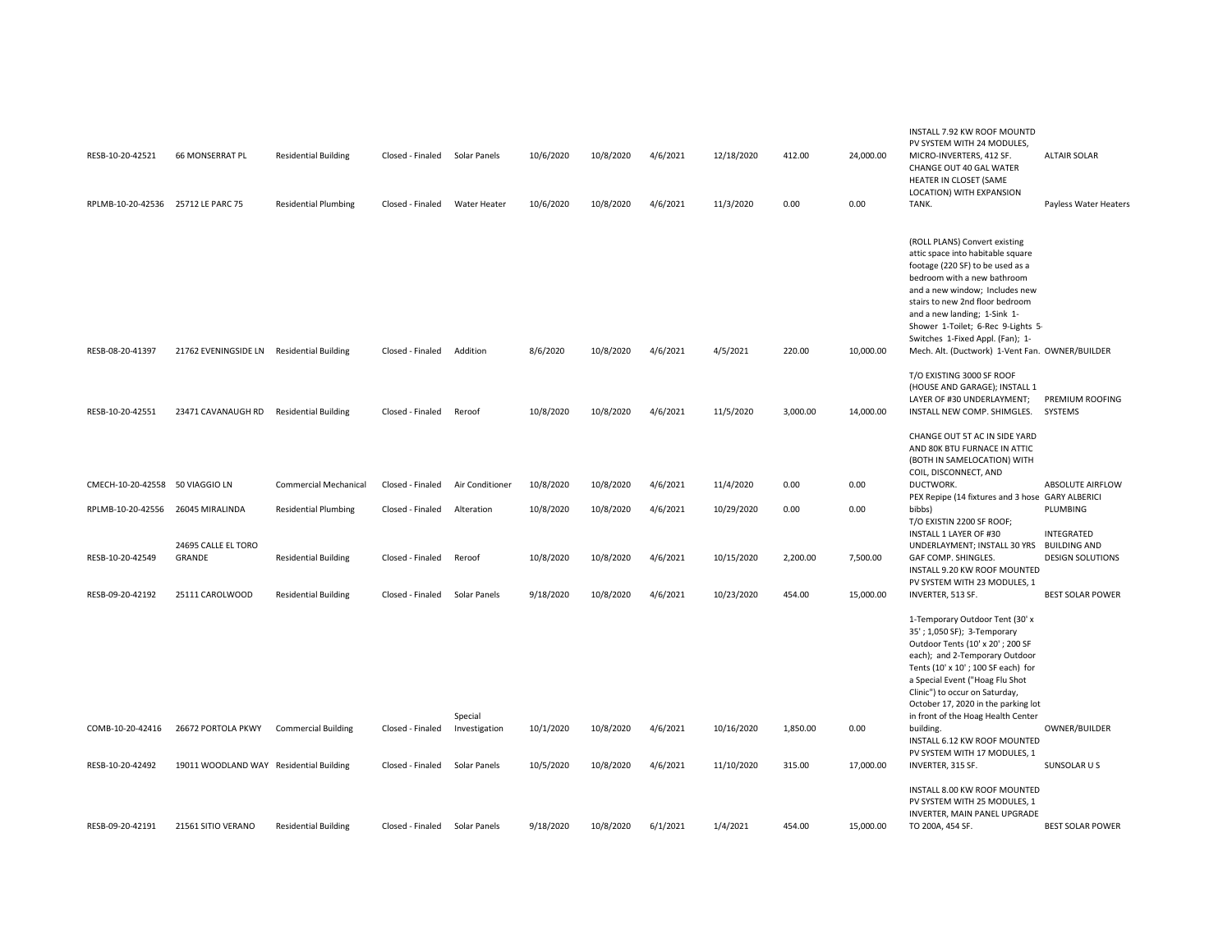| RESB-10-20-42521                   | 66 MONSERRAT PL                           | <b>Residential Building</b>  | Closed - Finaled Solar Panels |                          | 10/6/2020 | 10/8/2020 | 4/6/2021 | 12/18/2020 | 412.00   | 24,000.00 | INSTALL 7.92 KW ROOF MOUNTD<br>PV SYSTEM WITH 24 MODULES,<br>MICRO-INVERTERS, 412 SF.<br>CHANGE OUT 40 GAL WATER<br>HEATER IN CLOSET (SAME<br>LOCATION) WITH EXPANSION                                                                                                                                                                                                  | <b>ALTAIR SOLAR</b>                            |
|------------------------------------|-------------------------------------------|------------------------------|-------------------------------|--------------------------|-----------|-----------|----------|------------|----------|-----------|-------------------------------------------------------------------------------------------------------------------------------------------------------------------------------------------------------------------------------------------------------------------------------------------------------------------------------------------------------------------------|------------------------------------------------|
| RPLMB-10-20-42536 25712 LE PARC 75 |                                           | <b>Residential Plumbing</b>  | Closed - Finaled              | <b>Water Heater</b>      | 10/6/2020 | 10/8/2020 | 4/6/2021 | 11/3/2020  | 0.00     | 0.00      | TANK.                                                                                                                                                                                                                                                                                                                                                                   | Payless Water Heaters                          |
| RESB-08-20-41397                   | 21762 EVENINGSIDE LN Residential Building |                              | Closed - Finaled              | Addition                 | 8/6/2020  | 10/8/2020 | 4/6/2021 | 4/5/2021   | 220.00   | 10,000.00 | (ROLL PLANS) Convert existing<br>attic space into habitable square<br>footage (220 SF) to be used as a<br>bedroom with a new bathroom<br>and a new window; Includes new<br>stairs to new 2nd floor bedroom<br>and a new landing; 1-Sink 1-<br>Shower 1-Toilet; 6-Rec 9-Lights 5-<br>Switches 1-Fixed Appl. (Fan); 1-<br>Mech. Alt. (Ductwork) 1-Vent Fan. OWNER/BUILDER |                                                |
|                                    |                                           |                              |                               |                          |           |           |          |            |          |           | T/O EXISTING 3000 SF ROOF                                                                                                                                                                                                                                                                                                                                               |                                                |
| RESB-10-20-42551                   | 23471 CAVANAUGH RD                        | <b>Residential Building</b>  | Closed - Finaled              | Reroof                   | 10/8/2020 | 10/8/2020 | 4/6/2021 | 11/5/2020  | 3,000.00 | 14,000.00 | (HOUSE AND GARAGE); INSTALL 1<br>LAYER OF #30 UNDERLAYMENT;<br>INSTALL NEW COMP. SHIMGLES.                                                                                                                                                                                                                                                                              | PREMIUM ROOFING<br>SYSTEMS                     |
|                                    |                                           |                              |                               |                          |           |           |          |            |          |           | CHANGE OUT 5T AC IN SIDE YARD<br>AND 80K BTU FURNACE IN ATTIC<br>(BOTH IN SAMELOCATION) WITH<br>COIL, DISCONNECT, AND                                                                                                                                                                                                                                                   |                                                |
| CMECH-10-20-42558 50 VIAGGIO LN    |                                           | <b>Commercial Mechanical</b> | Closed - Finaled              | Air Conditioner          | 10/8/2020 | 10/8/2020 | 4/6/2021 | 11/4/2020  | 0.00     | 0.00      | DUCTWORK.<br>PEX Repipe (14 fixtures and 3 hose GARY ALBERICI                                                                                                                                                                                                                                                                                                           | <b>ABSOLUTE AIRFLOW</b>                        |
| RPLMB-10-20-42556 26045 MIRALINDA  |                                           | <b>Residential Plumbing</b>  | Closed - Finaled              | Alteration               | 10/8/2020 | 10/8/2020 | 4/6/2021 | 10/29/2020 | 0.00     | 0.00      | bibbs)<br>T/O EXISTIN 2200 SF ROOF;<br>INSTALL 1 LAYER OF #30                                                                                                                                                                                                                                                                                                           | PLUMBING<br>INTEGRATED                         |
| RESB-10-20-42549                   | 24695 CALLE EL TORO<br>GRANDE             | <b>Residential Building</b>  | Closed - Finaled              | Reroof                   | 10/8/2020 | 10/8/2020 | 4/6/2021 | 10/15/2020 | 2,200.00 | 7,500.00  | UNDERLAYMENT; INSTALL 30 YRS<br>GAF COMP. SHINGLES.<br>INSTALL 9.20 KW ROOF MOUNTED<br>PV SYSTEM WITH 23 MODULES, 1                                                                                                                                                                                                                                                     | <b>BUILDING AND</b><br><b>DESIGN SOLUTIONS</b> |
| RESB-09-20-42192                   | 25111 CAROLWOOD                           | <b>Residential Building</b>  | Closed - Finaled              | Solar Panels             | 9/18/2020 | 10/8/2020 | 4/6/2021 | 10/23/2020 | 454.00   | 15,000.00 | INVERTER, 513 SF.                                                                                                                                                                                                                                                                                                                                                       | <b>BEST SOLAR POWER</b>                        |
|                                    |                                           |                              |                               |                          |           |           |          |            |          |           | 1-Temporary Outdoor Tent (30' x<br>35'; 1,050 SF); 3-Temporary<br>Outdoor Tents (10' x 20'; 200 SF<br>each); and 2-Temporary Outdoor<br>Tents (10' x 10'; 100 SF each) for<br>a Special Event ("Hoag Flu Shot<br>Clinic") to occur on Saturday,<br>October 17, 2020 in the parking lot                                                                                  |                                                |
| COMB-10-20-42416                   | 26672 PORTOLA PKWY                        | <b>Commercial Building</b>   | Closed - Finaled              | Special<br>Investigation | 10/1/2020 | 10/8/2020 | 4/6/2021 | 10/16/2020 | 1,850.00 | 0.00      | in front of the Hoag Health Center<br>building.                                                                                                                                                                                                                                                                                                                         | OWNER/BUILDER                                  |
|                                    |                                           |                              |                               |                          |           |           |          |            |          |           | INSTALL 6.12 KW ROOF MOUNTED<br>PV SYSTEM WITH 17 MODULES, 1                                                                                                                                                                                                                                                                                                            |                                                |
| RESB-10-20-42492                   | 19011 WOODLAND WAY Residential Building   |                              | Closed - Finaled              | Solar Panels             | 10/5/2020 | 10/8/2020 | 4/6/2021 | 11/10/2020 | 315.00   | 17,000.00 | INVERTER, 315 SF.                                                                                                                                                                                                                                                                                                                                                       | SUNSOLAR U S                                   |
| RESB-09-20-42191                   | 21561 SITIO VERANO                        | <b>Residential Building</b>  | Closed - Finaled              | Solar Panels             | 9/18/2020 | 10/8/2020 | 6/1/2021 | 1/4/2021   | 454.00   | 15.000.00 | INSTALL 8.00 KW ROOF MOUNTED<br>PV SYSTEM WITH 25 MODULES, 1<br>INVERTER, MAIN PANEL UPGRADE<br>TO 200A, 454 SF.                                                                                                                                                                                                                                                        | <b>BEST SOLAR POWER</b>                        |
|                                    |                                           |                              |                               |                          |           |           |          |            |          |           |                                                                                                                                                                                                                                                                                                                                                                         |                                                |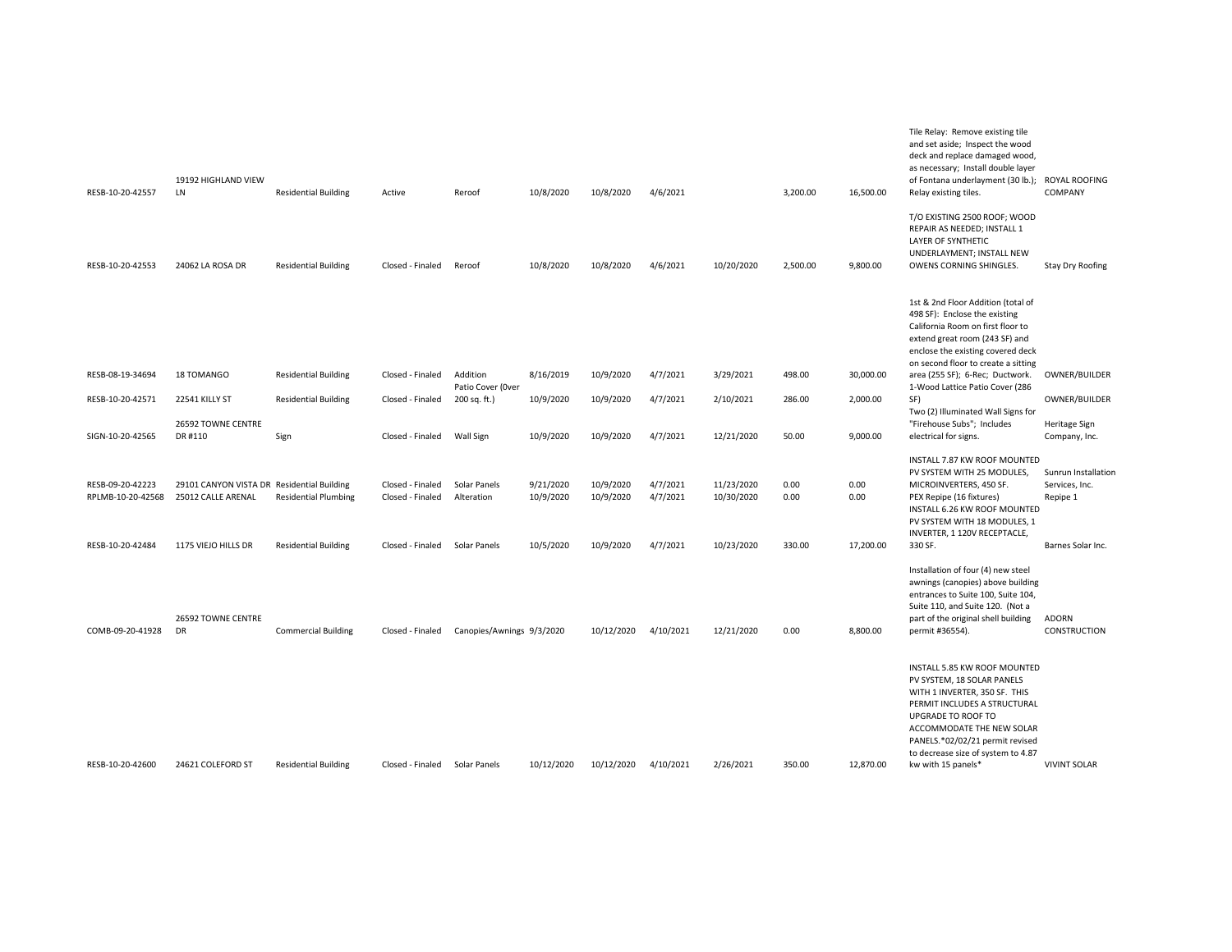| RESB-10-20-42557                      | 19192 HIGHLAND VIEW<br>LN                                        | <b>Residential Building</b> | Active                               | Reroof                        | 10/8/2020              | 10/8/2020              | 4/6/2021             |                          | 3,200.00     | 16,500.00    | Tile Relay: Remove existing tile<br>and set aside; Inspect the wood<br>deck and replace damaged wood,<br>as necessary; Install double layer<br>of Fontana underlayment (30 lb.);<br>Relay existing tiles.                                                                     | ROYAL ROOFING<br>COMPANY                          |
|---------------------------------------|------------------------------------------------------------------|-----------------------------|--------------------------------------|-------------------------------|------------------------|------------------------|----------------------|--------------------------|--------------|--------------|-------------------------------------------------------------------------------------------------------------------------------------------------------------------------------------------------------------------------------------------------------------------------------|---------------------------------------------------|
|                                       |                                                                  |                             |                                      |                               |                        |                        |                      |                          |              |              | T/O EXISTING 2500 ROOF; WOOD<br>REPAIR AS NEEDED; INSTALL 1<br>LAYER OF SYNTHETIC<br>UNDERLAYMENT; INSTALL NEW                                                                                                                                                                |                                                   |
| RESB-10-20-42553                      | 24062 LA ROSA DR                                                 | <b>Residential Building</b> | Closed - Finaled                     | Reroof                        | 10/8/2020              | 10/8/2020              | 4/6/2021             | 10/20/2020               | 2,500.00     | 9,800.00     | OWENS CORNING SHINGLES.<br>1st & 2nd Floor Addition (total of<br>498 SF): Enclose the existing<br>California Room on first floor to<br>extend great room (243 SF) and<br>enclose the existing covered deck<br>on second floor to create a sitting                             | <b>Stay Dry Roofing</b>                           |
| RESB-08-19-34694                      | 18 TOMANGO                                                       | <b>Residential Building</b> | Closed - Finaled                     | Addition<br>Patio Cover (Over | 8/16/2019              | 10/9/2020              | 4/7/2021             | 3/29/2021                | 498.00       | 30,000.00    | area (255 SF); 6-Rec; Ductwork.<br>1-Wood Lattice Patio Cover (286                                                                                                                                                                                                            | OWNER/BUILDER                                     |
| RESB-10-20-42571                      | 22541 KILLY ST                                                   | <b>Residential Building</b> | Closed - Finaled                     | 200 sq. ft.)                  | 10/9/2020              | 10/9/2020              | 4/7/2021             | 2/10/2021                | 286.00       | 2,000.00     | SF)<br>Two (2) Illuminated Wall Signs for                                                                                                                                                                                                                                     | OWNER/BUILDER                                     |
| SIGN-10-20-42565                      | 26592 TOWNE CENTRE<br>DR #110                                    | Sign                        | Closed - Finaled                     | Wall Sign                     | 10/9/2020              | 10/9/2020              | 4/7/2021             | 12/21/2020               | 50.00        | 9,000.00     | "Firehouse Subs"; Includes<br>electrical for signs.                                                                                                                                                                                                                           | Heritage Sign<br>Company, Inc.                    |
| RESB-09-20-42223<br>RPLMB-10-20-42568 | 29101 CANYON VISTA DR Residential Building<br>25012 CALLE ARENAL | <b>Residential Plumbing</b> | Closed - Finaled<br>Closed - Finaled | Solar Panels<br>Alteration    | 9/21/2020<br>10/9/2020 | 10/9/2020<br>10/9/2020 | 4/7/2021<br>4/7/2021 | 11/23/2020<br>10/30/2020 | 0.00<br>0.00 | 0.00<br>0.00 | INSTALL 7.87 KW ROOF MOUNTED<br>PV SYSTEM WITH 25 MODULES,<br>MICROINVERTERS, 450 SF.<br>PEX Repipe (16 fixtures)<br>INSTALL 6.26 KW ROOF MOUNTED<br>PV SYSTEM WITH 18 MODULES, 1                                                                                             | Sunrun Installation<br>Services, Inc.<br>Repipe 1 |
| RESB-10-20-42484                      | 1175 VIEJO HILLS DR                                              | <b>Residential Building</b> | Closed - Finaled                     | Solar Panels                  | 10/5/2020              | 10/9/2020              | 4/7/2021             | 10/23/2020               | 330.00       | 17,200.00    | INVERTER, 1 120V RECEPTACLE,<br>330 SF.                                                                                                                                                                                                                                       | Barnes Solar Inc.                                 |
| COMB-09-20-41928                      | 26592 TOWNE CENTRE<br>DR                                         | <b>Commercial Building</b>  | Closed - Finaled                     | Canopies/Awnings 9/3/2020     |                        | 10/12/2020             | 4/10/2021            | 12/21/2020               | 0.00         | 8,800.00     | Installation of four (4) new steel<br>awnings (canopies) above building<br>entrances to Suite 100, Suite 104,<br>Suite 110, and Suite 120. (Not a<br>part of the original shell building<br>permit #36554).                                                                   | <b>ADORN</b><br>CONSTRUCTION                      |
| RESB-10-20-42600                      | 24621 COLEFORD ST                                                | <b>Residential Building</b> | Closed - Finaled                     | Solar Panels                  | 10/12/2020             | 10/12/2020             | 4/10/2021            | 2/26/2021                | 350.00       | 12,870.00    | INSTALL 5.85 KW ROOF MOUNTED<br>PV SYSTEM, 18 SOLAR PANELS<br>WITH 1 INVERTER, 350 SF. THIS<br>PERMIT INCLUDES A STRUCTURAL<br>UPGRADE TO ROOF TO<br>ACCOMMODATE THE NEW SOLAR<br>PANELS.*02/02/21 permit revised<br>to decrease size of system to 4.87<br>kw with 15 panels* | <b>VIVINT SOLAR</b>                               |
|                                       |                                                                  |                             |                                      |                               |                        |                        |                      |                          |              |              |                                                                                                                                                                                                                                                                               |                                                   |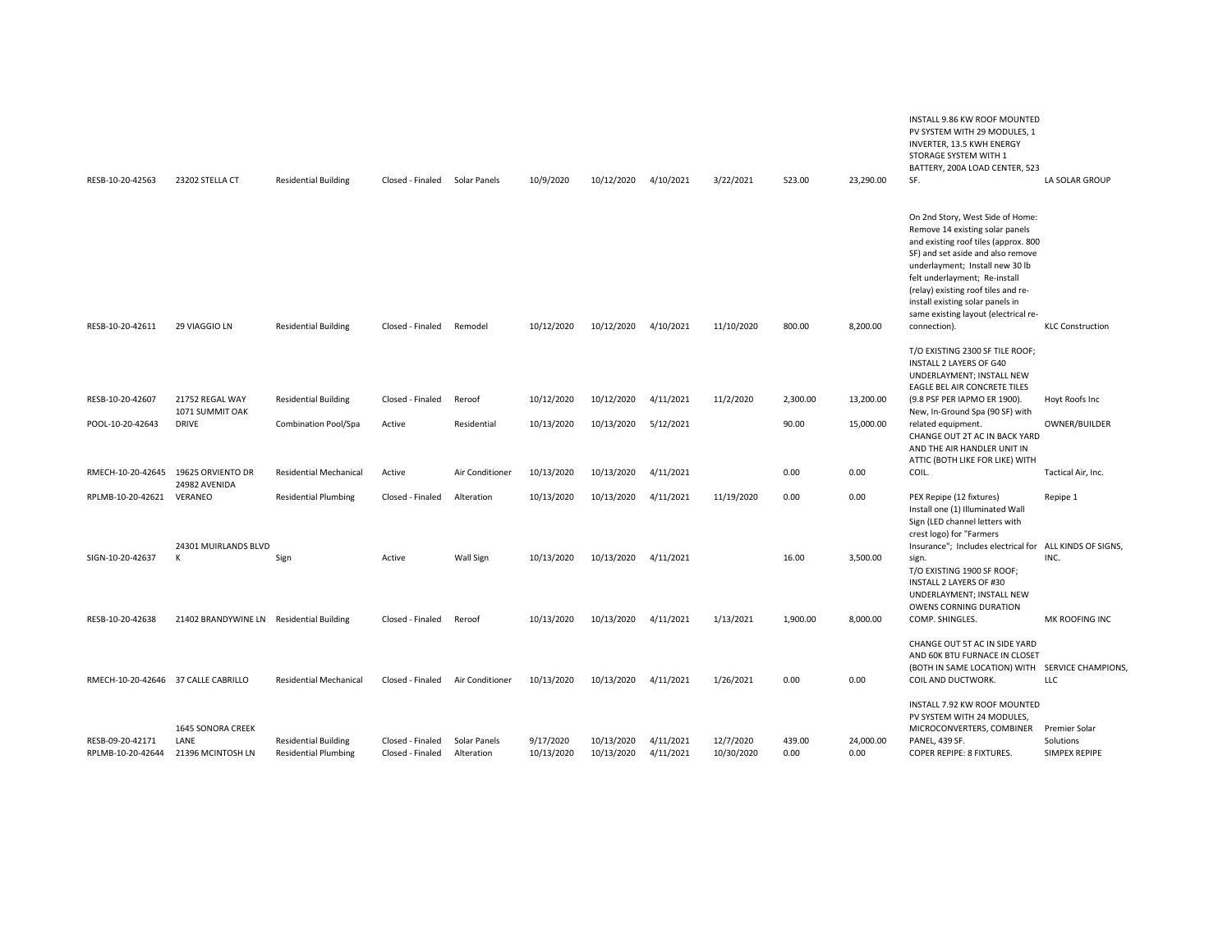|                                       |                                                |                                                            |                                      |                            |                         |                          |                        |                         |                |                   | INSTALL 9.86 KW ROOF MOUNTED<br>PV SYSTEM WITH 29 MODULES, 1<br>INVERTER, 13.5 KWH ENERGY<br>STORAGE SYSTEM WITH 1<br>BATTERY, 200A LOAD CENTER, 523                                                                                                                                                                                                    |                                             |
|---------------------------------------|------------------------------------------------|------------------------------------------------------------|--------------------------------------|----------------------------|-------------------------|--------------------------|------------------------|-------------------------|----------------|-------------------|---------------------------------------------------------------------------------------------------------------------------------------------------------------------------------------------------------------------------------------------------------------------------------------------------------------------------------------------------------|---------------------------------------------|
| RESB-10-20-42563                      | 23202 STELLA CT                                | <b>Residential Building</b>                                | Closed - Finaled Solar Panels        |                            | 10/9/2020               | 10/12/2020               | 4/10/2021              | 3/22/2021               | 523.00         | 23,290.00         | SF.                                                                                                                                                                                                                                                                                                                                                     | LA SOLAR GROUP                              |
| RESB-10-20-42611                      | 29 VIAGGIO LN                                  | <b>Residential Building</b>                                | Closed - Finaled                     | Remodel                    | 10/12/2020              | 10/12/2020               | 4/10/2021              | 11/10/2020              | 800.00         | 8,200.00          | On 2nd Story, West Side of Home:<br>Remove 14 existing solar panels<br>and existing roof tiles (approx. 800<br>SF) and set aside and also remove<br>underlayment; Install new 30 lb<br>felt underlayment; Re-install<br>(relay) existing roof tiles and re-<br>install existing solar panels in<br>same existing layout (electrical re-<br>connection). | <b>KLC Construction</b>                     |
|                                       |                                                |                                                            |                                      |                            |                         |                          |                        |                         |                |                   | T/O EXISTING 2300 SF TILE ROOF;<br>INSTALL 2 LAYERS OF G40<br>UNDERLAYMENT; INSTALL NEW<br>EAGLE BEL AIR CONCRETE TILES                                                                                                                                                                                                                                 |                                             |
| RESB-10-20-42607                      | 21752 REGAL WAY<br>1071 SUMMIT OAK             | <b>Residential Building</b>                                | Closed - Finaled                     | Reroof                     | 10/12/2020              | 10/12/2020               | 4/11/2021              | 11/2/2020               | 2,300.00       | 13,200.00         | (9.8 PSF PER IAPMO ER 1900).<br>New, In-Ground Spa (90 SF) with                                                                                                                                                                                                                                                                                         | Hoyt Roofs Inc                              |
| POOL-10-20-42643                      | <b>DRIVE</b>                                   | Combination Pool/Spa                                       | Active                               | Residential                | 10/13/2020              | 10/13/2020               | 5/12/2021              |                         | 90.00          | 15,000.00         | related equipment.<br>CHANGE OUT 2T AC IN BACK YARD<br>AND THE AIR HANDLER UNIT IN<br>ATTIC (BOTH LIKE FOR LIKE) WITH                                                                                                                                                                                                                                   | OWNER/BUILDER                               |
| RMECH-10-20-42645                     | 19625 ORVIENTO DR<br>24982 AVENIDA             | <b>Residential Mechanical</b>                              | Active                               | Air Conditioner            | 10/13/2020              | 10/13/2020               | 4/11/2021              |                         | 0.00           | 0.00              | COIL.                                                                                                                                                                                                                                                                                                                                                   | Tactical Air, Inc.                          |
| RPLMB-10-20-42621                     | VERANEO                                        | <b>Residential Plumbing</b>                                | Closed - Finaled                     | Alteration                 | 10/13/2020              | 10/13/2020               | 4/11/2021              | 11/19/2020              | 0.00           | 0.00              | PEX Repipe (12 fixtures)<br>Install one (1) Illuminated Wall<br>Sign (LED channel letters with<br>crest logo) for "Farmers                                                                                                                                                                                                                              | Repipe 1                                    |
| SIGN-10-20-42637                      | 24301 MUIRLANDS BLVD<br>К                      | Sign                                                       | Active                               | Wall Sign                  | 10/13/2020              | 10/13/2020               | 4/11/2021              |                         | 16.00          | 3,500.00          | Insurance"; Includes electrical for ALL KINDS OF SIGNS,<br>sign.<br>T/O EXISTING 1900 SF ROOF;<br>INSTALL 2 LAYERS OF #30<br>UNDERLAYMENT; INSTALL NEW<br>OWENS CORNING DURATION                                                                                                                                                                        | INC.                                        |
| RESB-10-20-42638                      | 21402 BRANDYWINE LN Residential Building       |                                                            | Closed - Finaled                     | Reroof                     | 10/13/2020              | 10/13/2020               | 4/11/2021              | 1/13/2021               | 1,900.00       | 8,000.00          | COMP. SHINGLES.                                                                                                                                                                                                                                                                                                                                         | MK ROOFING INC                              |
|                                       | RMECH-10-20-42646 37 CALLE CABRILLO            | <b>Residential Mechanical</b>                              | Closed - Finaled                     | Air Conditioner            | 10/13/2020              | 10/13/2020               | 4/11/2021              | 1/26/2021               | 0.00           | 0.00              | CHANGE OUT 5T AC IN SIDE YARD<br>AND 60K BTU FURNACE IN CLOSET<br>(BOTH IN SAME LOCATION) WITH SERVICE CHAMPIONS,<br>COIL AND DUCTWORK.                                                                                                                                                                                                                 | LLC                                         |
| RESB-09-20-42171<br>RPLMB-10-20-42644 | 1645 SONORA CREEK<br>LANE<br>21396 MCINTOSH LN | <b>Residential Building</b><br><b>Residential Plumbing</b> | Closed - Finaled<br>Closed - Finaled | Solar Panels<br>Alteration | 9/17/2020<br>10/13/2020 | 10/13/2020<br>10/13/2020 | 4/11/2021<br>4/11/2021 | 12/7/2020<br>10/30/2020 | 439.00<br>0.00 | 24,000.00<br>0.00 | INSTALL 7.92 KW ROOF MOUNTED<br>PV SYSTEM WITH 24 MODULES,<br>MICROCONVERTERS, COMBINER<br>PANEL, 439 SF.<br>COPER REPIPE: 8 FIXTURES.                                                                                                                                                                                                                  | Premier Solar<br>Solutions<br>SIMPEX REPIPE |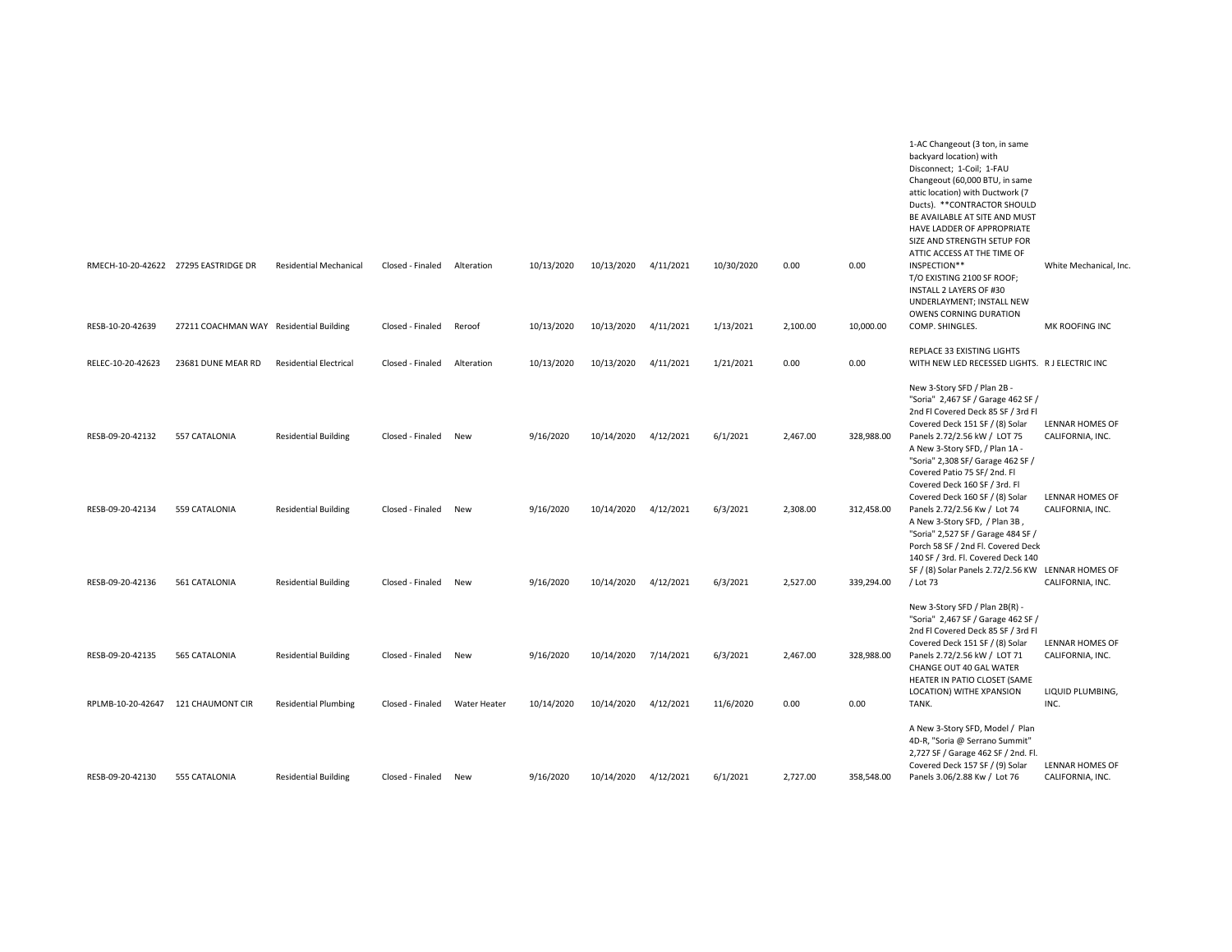|                                       |                                         |                                                            |                                      |                            |                         |                          |                        |                       |                  |                    | 1-AC Changeout (3 ton, in same<br>backyard location) with<br>Disconnect; 1-Coil; 1-FAU<br>Changeout (60,000 BTU, in same<br>attic location) with Ductwork (7<br>Ducts). ** CONTRACTOR SHOULD<br>BE AVAILABLE AT SITE AND MUST<br>HAVE LADDER OF APPROPRIATE<br>SIZE AND STRENGTH SETUP FOR<br>ATTIC ACCESS AT THE TIME OF |                                                                 |
|---------------------------------------|-----------------------------------------|------------------------------------------------------------|--------------------------------------|----------------------------|-------------------------|--------------------------|------------------------|-----------------------|------------------|--------------------|---------------------------------------------------------------------------------------------------------------------------------------------------------------------------------------------------------------------------------------------------------------------------------------------------------------------------|-----------------------------------------------------------------|
|                                       | RMECH-10-20-42622 27295 EASTRIDGE DR    | <b>Residential Mechanical</b>                              | Closed - Finaled                     | Alteration                 | 10/13/2020              | 10/13/2020               | 4/11/2021              | 10/30/2020            | 0.00             | 0.00               | INSPECTION**<br>T/O EXISTING 2100 SF ROOF;<br>INSTALL 2 LAYERS OF #30<br>UNDERLAYMENT; INSTALL NEW<br>OWENS CORNING DURATION                                                                                                                                                                                              | White Mechanical, Inc                                           |
| RESB-10-20-42639                      | 27211 COACHMAN WAY Residential Building |                                                            | Closed - Finaled                     | Reroof                     | 10/13/2020              | 10/13/2020               | 4/11/2021              | 1/13/2021             | 2,100.00         | 10,000.00          | COMP. SHINGLES.                                                                                                                                                                                                                                                                                                           | MK ROOFING INC                                                  |
| RELEC-10-20-42623                     | 23681 DUNE MEAR RD                      | <b>Residential Electrical</b>                              | Closed - Finaled                     | Alteration                 | 10/13/2020              | 10/13/2020               | 4/11/2021              | 1/21/2021             | 0.00             | 0.00               | REPLACE 33 EXISTING LIGHTS<br>WITH NEW LED RECESSED LIGHTS. R J ELECTRIC INC                                                                                                                                                                                                                                              |                                                                 |
| RESB-09-20-42132                      | 557 CATALONIA                           | <b>Residential Building</b>                                | Closed - Finaled                     | New                        | 9/16/2020               | 10/14/2020               | 4/12/2021              | 6/1/2021              | 2,467.00         | 328,988.00         | New 3-Story SFD / Plan 2B -<br>"Soria" 2,467 SF / Garage 462 SF /<br>2nd Fl Covered Deck 85 SF / 3rd Fl<br>Covered Deck 151 SF / (8) Solar<br>Panels 2.72/2.56 kW / LOT 75<br>A New 3-Story SFD, / Plan 1A -<br>"Soria" 2,308 SF/ Garage 462 SF /<br>Covered Patio 75 SF/2nd. Fl<br>Covered Deck 160 SF / 3rd. Fl         | LENNAR HOMES OF<br>CALIFORNIA, INC.                             |
| RESB-09-20-42134                      | 559 CATALONIA                           | <b>Residential Building</b>                                | Closed - Finaled                     | <b>New</b>                 | 9/16/2020               | 10/14/2020               | 4/12/2021              | 6/3/2021              | 2,308.00         | 312,458.00         | Covered Deck 160 SF / (8) Solar<br>Panels 2.72/2.56 Kw / Lot 74<br>A New 3-Story SFD, / Plan 3B,<br>"Soria" 2,527 SF / Garage 484 SF /<br>Porch 58 SF / 2nd Fl. Covered Deck                                                                                                                                              | LENNAR HOMES OF<br>CALIFORNIA, INC.                             |
| RESB-09-20-42136                      | 561 CATALONIA                           | <b>Residential Building</b>                                | Closed - Finaled                     | New                        | 9/16/2020               | 10/14/2020               | 4/12/2021              | 6/3/2021              | 2,527.00         | 339,294.00         | 140 SF / 3rd. Fl. Covered Deck 140<br>SF / (8) Solar Panels 2.72/2.56 KW LENNAR HOMES OF<br>/Lot 73                                                                                                                                                                                                                       | CALIFORNIA, INC.                                                |
| RESB-09-20-42135<br>RPLMB-10-20-42647 | 565 CATALONIA<br>121 CHAUMONT CIR       | <b>Residential Building</b><br><b>Residential Plumbing</b> | Closed - Finaled<br>Closed - Finaled | New<br><b>Water Heater</b> | 9/16/2020<br>10/14/2020 | 10/14/2020<br>10/14/2020 | 7/14/2021<br>4/12/2021 | 6/3/2021<br>11/6/2020 | 2,467.00<br>0.00 | 328,988.00<br>0.00 | New 3-Story SFD / Plan 2B(R) -<br>"Soria" 2,467 SF / Garage 462 SF /<br>2nd Fl Covered Deck 85 SF / 3rd Fl<br>Covered Deck 151 SF / (8) Solar<br>Panels 2.72/2.56 kW / LOT 71<br>CHANGE OUT 40 GAL WATER<br>HEATER IN PATIO CLOSET (SAME<br>LOCATION) WITHE XPANSION<br>TANK.                                             | LENNAR HOMES OF<br>CALIFORNIA, INC.<br>LIQUID PLUMBING,<br>INC. |
| RESB-09-20-42130                      | 555 CATALONIA                           | <b>Residential Building</b>                                | Closed - Finaled                     | New                        | 9/16/2020               | 10/14/2020               | 4/12/2021              | 6/1/2021              | 2,727.00         | 358,548.00         | A New 3-Story SFD, Model / Plan<br>4D-R, "Soria @ Serrano Summit"<br>2,727 SF / Garage 462 SF / 2nd. Fl.<br>Covered Deck 157 SF / (9) Solar<br>Panels 3.06/2.88 Kw / Lot 76                                                                                                                                               | LENNAR HOMES OF<br>CALIFORNIA, INC.                             |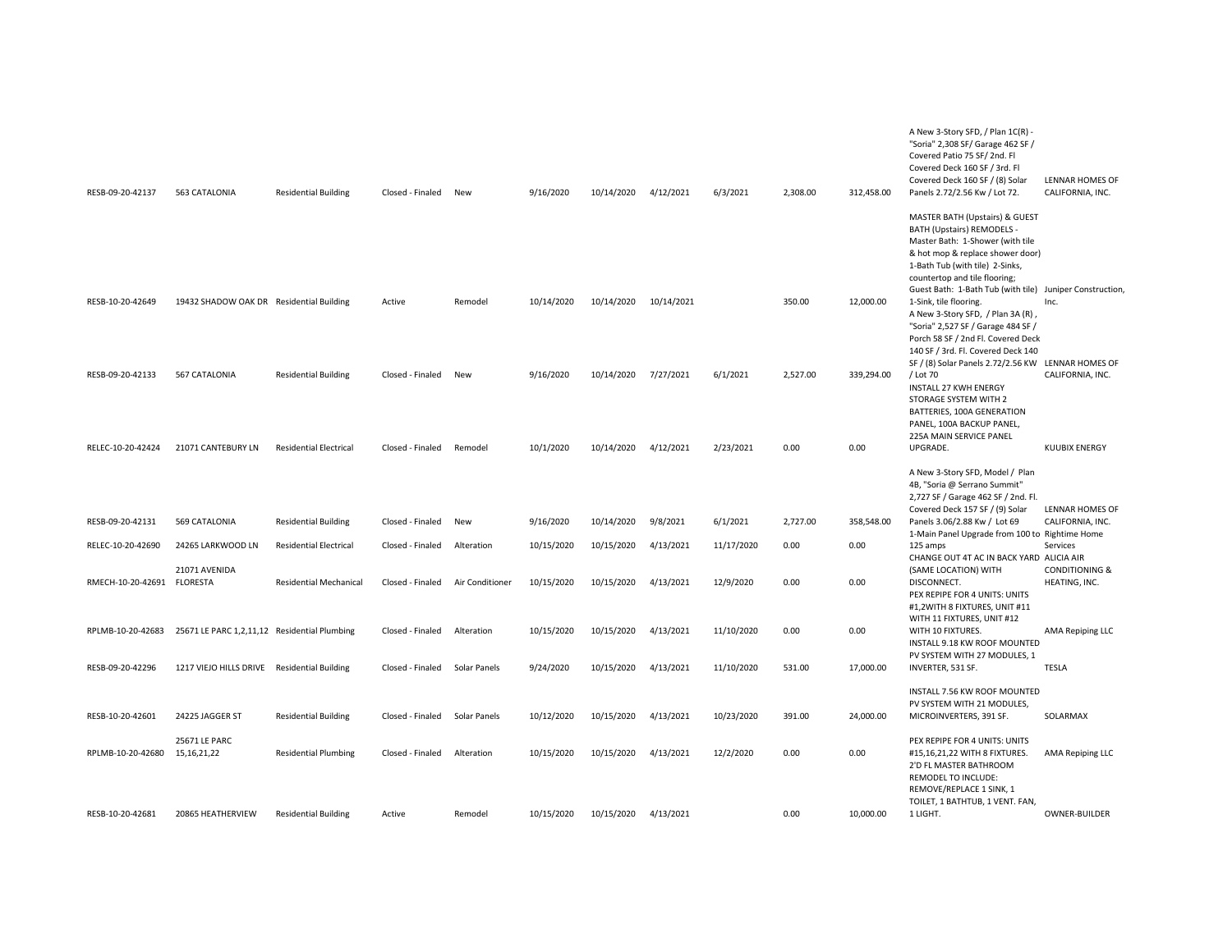| RESB-09-20-42137           | 563 CATALONIA                                | <b>Residential Building</b>   | Closed - Finaled | New             | 9/16/2020  | 10/14/2020 | 4/12/2021  | 6/3/2021   | 2,308.00 | 312,458.00 | A New 3-Story SFD, / Plan 1C(R) -<br>"Soria" 2,308 SF/ Garage 462 SF /<br>Covered Patio 75 SF/2nd. Fl<br>Covered Deck 160 SF / 3rd. Fl<br>Covered Deck 160 SF / (8) Solar<br>Panels 2.72/2.56 Kw / Lot 72.                                                           | LENNAR HOMES OF<br>CALIFORNIA, INC.   |
|----------------------------|----------------------------------------------|-------------------------------|------------------|-----------------|------------|------------|------------|------------|----------|------------|----------------------------------------------------------------------------------------------------------------------------------------------------------------------------------------------------------------------------------------------------------------------|---------------------------------------|
|                            |                                              |                               |                  |                 |            |            |            |            |          |            | MASTER BATH (Upstairs) & GUEST<br>BATH (Upstairs) REMODELS -<br>Master Bath: 1-Shower (with tile<br>& hot mop & replace shower door)<br>1-Bath Tub (with tile) 2-Sinks,<br>countertop and tile flooring;<br>Guest Bath: 1-Bath Tub (with tile) Juniper Construction, |                                       |
| RESB-10-20-42649           | 19432 SHADOW OAK DR Residential Building     |                               | Active           | Remodel         | 10/14/2020 | 10/14/2020 | 10/14/2021 |            | 350.00   | 12,000.00  | 1-Sink, tile flooring.<br>A New 3-Story SFD, / Plan 3A (R),<br>"Soria" 2,527 SF / Garage 484 SF /<br>Porch 58 SF / 2nd Fl. Covered Deck<br>140 SF / 3rd. Fl. Covered Deck 140                                                                                        | Inc.                                  |
| RESB-09-20-42133           | 567 CATALONIA                                | <b>Residential Building</b>   | Closed - Finaled | New             | 9/16/2020  | 10/14/2020 | 7/27/2021  | 6/1/2021   | 2,527.00 | 339,294.00 | SF / (8) Solar Panels 2.72/2.56 KW LENNAR HOMES OF<br>/Lot 70<br><b>INSTALL 27 KWH ENERGY</b><br>STORAGE SYSTEM WITH 2<br>BATTERIES, 100A GENERATION<br>PANEL, 100A BACKUP PANEL,<br>225A MAIN SERVICE PANEL                                                         | CALIFORNIA, INC.                      |
| RELEC-10-20-42424          | 21071 CANTEBURY LN                           | <b>Residential Electrical</b> | Closed - Finaled | Remodel         | 10/1/2020  | 10/14/2020 | 4/12/2021  | 2/23/2021  | 0.00     | 0.00       | UPGRADE.                                                                                                                                                                                                                                                             | <b>KUUBIX ENERGY</b>                  |
|                            |                                              |                               |                  |                 |            |            |            |            |          |            | A New 3-Story SFD, Model / Plan<br>4B, "Soria @ Serrano Summit"<br>2,727 SF / Garage 462 SF / 2nd. Fl.<br>Covered Deck 157 SF / (9) Solar                                                                                                                            | <b>LENNAR HOMES OF</b>                |
| RESB-09-20-42131           | 569 CATALONIA                                | <b>Residential Building</b>   | Closed - Finaled | New             | 9/16/2020  | 10/14/2020 | 9/8/2021   | 6/1/2021   | 2,727.00 | 358,548.00 | Panels 3.06/2.88 Kw / Lot 69<br>1-Main Panel Upgrade from 100 to Rightime Home                                                                                                                                                                                       | CALIFORNIA, INC.                      |
| RELEC-10-20-42690          | 24265 LARKWOOD LN<br>21071 AVENIDA           | <b>Residential Electrical</b> | Closed - Finaled | Alteration      | 10/15/2020 | 10/15/2020 | 4/13/2021  | 11/17/2020 | 0.00     | 0.00       | 125 amps<br>CHANGE OUT 4T AC IN BACK YARD ALICIA AIR                                                                                                                                                                                                                 | Services<br><b>CONDITIONING &amp;</b> |
| RMECH-10-20-42691 FLORESTA |                                              | <b>Residential Mechanical</b> | Closed - Finaled | Air Conditioner | 10/15/2020 | 10/15/2020 | 4/13/2021  | 12/9/2020  | 0.00     | 0.00       | (SAME LOCATION) WITH<br>DISCONNECT.<br>PEX REPIPE FOR 4 UNITS: UNITS<br>#1,2WITH 8 FIXTURES, UNIT #11<br>WITH 11 FIXTURES, UNIT #12                                                                                                                                  | HEATING, INC.                         |
| RPLMB-10-20-42683          | 25671 LE PARC 1,2,11,12 Residential Plumbing |                               | Closed - Finaled | Alteration      | 10/15/2020 | 10/15/2020 | 4/13/2021  | 11/10/2020 | 0.00     | 0.00       | WITH 10 FIXTURES.<br>INSTALL 9.18 KW ROOF MOUNTED                                                                                                                                                                                                                    | AMA Repiping LLC                      |
| RESB-09-20-42296           | 1217 VIEJO HILLS DRIVE Residential Building  |                               | Closed - Finaled | Solar Panels    | 9/24/2020  | 10/15/2020 | 4/13/2021  | 11/10/2020 | 531.00   | 17,000.00  | PV SYSTEM WITH 27 MODULES, 1<br>INVERTER, 531 SF.                                                                                                                                                                                                                    | <b>TESLA</b>                          |
| RESB-10-20-42601           | 24225 JAGGER ST                              | <b>Residential Building</b>   | Closed - Finaled | Solar Panels    | 10/12/2020 | 10/15/2020 | 4/13/2021  | 10/23/2020 | 391.00   | 24,000.00  | INSTALL 7.56 KW ROOF MOUNTED<br>PV SYSTEM WITH 21 MODULES,<br>MICROINVERTERS, 391 SF.                                                                                                                                                                                | SOLARMAX                              |
|                            |                                              |                               |                  |                 |            |            |            |            |          |            |                                                                                                                                                                                                                                                                      |                                       |
| RPLMB-10-20-42680          | 25671 LE PARC<br>15, 16, 21, 22              | <b>Residential Plumbing</b>   | Closed - Finaled | Alteration      | 10/15/2020 | 10/15/2020 | 4/13/2021  | 12/2/2020  | 0.00     | 0.00       | PEX REPIPE FOR 4 UNITS: UNITS<br>#15,16,21,22 WITH 8 FIXTURES.<br>2'D FL MASTER BATHROOM<br><b>REMODEL TO INCLUDE:</b><br>REMOVE/REPLACE 1 SINK, 1<br>TOILET, 1 BATHTUB, 1 VENT. FAN,                                                                                | AMA Repiping LLC                      |
| RESB-10-20-42681           | 20865 HEATHERVIEW                            | <b>Residential Building</b>   | Active           | Remodel         | 10/15/2020 | 10/15/2020 | 4/13/2021  |            | 0.00     | 10.000.00  | 1 LIGHT.                                                                                                                                                                                                                                                             | <b>OWNER-BUILDER</b>                  |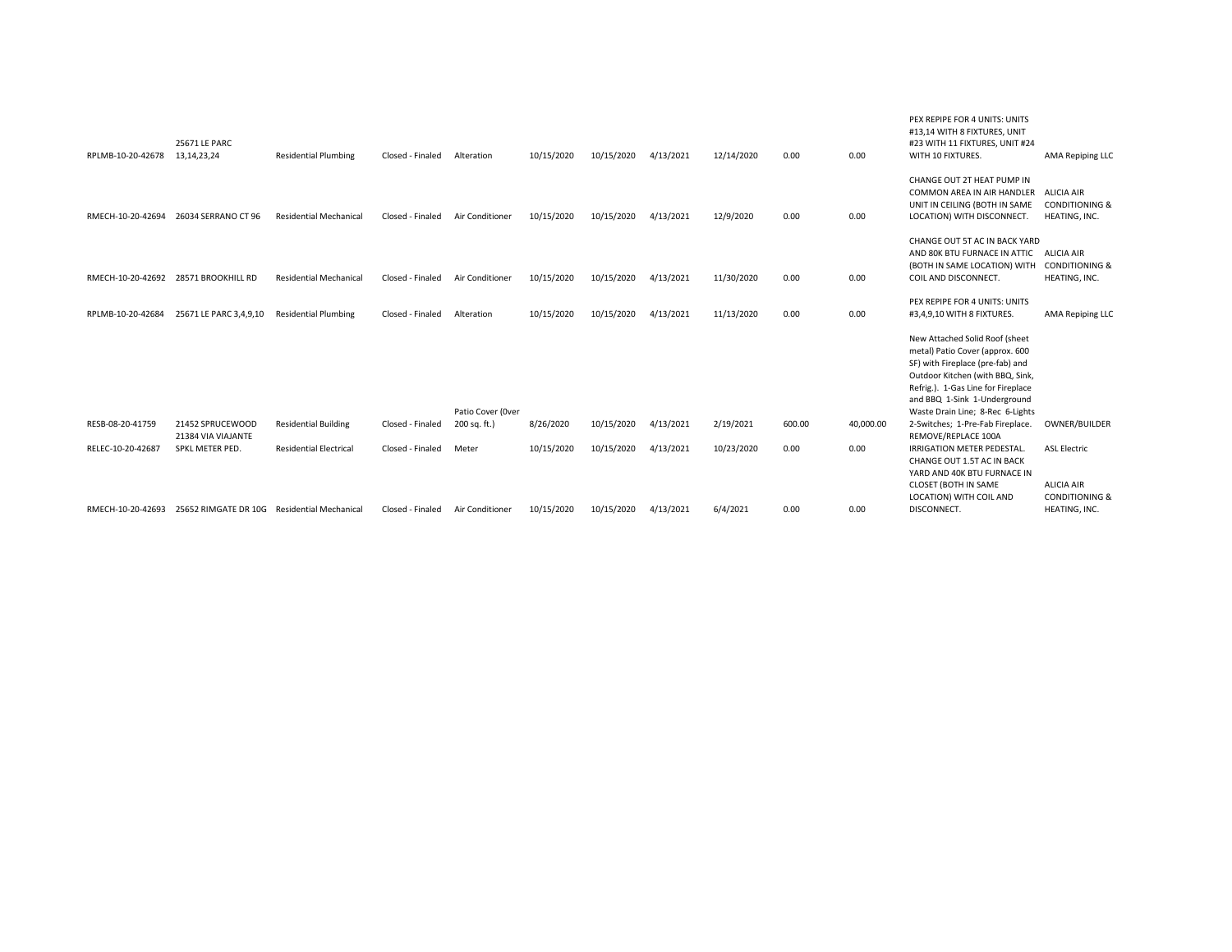| RPLMB-10-20-42678 | 25671 LE PARC<br>13, 14, 23, 24             | <b>Residential Plumbing</b>   | Closed - Finaled | Alteration        | 10/15/2020 | 10/15/2020 | 4/13/2021 | 12/14/2020 | 0.00   | 0.00      | PEX REPIPE FOR 4 UNITS: UNITS<br>#13,14 WITH 8 FIXTURES, UNIT<br>#23 WITH 11 FIXTURES, UNIT #24<br>WITH 10 FIXTURES.                                                                                                                                | <b>AMA Repiping LLC</b>                                               |
|-------------------|---------------------------------------------|-------------------------------|------------------|-------------------|------------|------------|-----------|------------|--------|-----------|-----------------------------------------------------------------------------------------------------------------------------------------------------------------------------------------------------------------------------------------------------|-----------------------------------------------------------------------|
| RMECH-10-20-42694 | 26034 SERRANO CT 96                         | <b>Residential Mechanical</b> | Closed - Finaled | Air Conditioner   | 10/15/2020 | 10/15/2020 | 4/13/2021 | 12/9/2020  | 0.00   | 0.00      | CHANGE OUT 2T HEAT PUMP IN<br>COMMON AREA IN AIR HANDLER<br>UNIT IN CEILING (BOTH IN SAME<br>LOCATION) WITH DISCONNECT.                                                                                                                             | <b>ALICIA AIR</b><br><b>CONDITIONING &amp;</b><br>HEATING, INC.       |
| RMECH-10-20-42692 | 28571 BROOKHILL RD                          | <b>Residential Mechanical</b> | Closed - Finaled | Air Conditioner   | 10/15/2020 | 10/15/2020 | 4/13/2021 | 11/30/2020 | 0.00   | 0.00      | CHANGE OUT 5T AC IN BACK YARD<br>AND 80K BTU FURNACE IN ATTIC<br>(BOTH IN SAME LOCATION) WITH<br>COIL AND DISCONNECT.                                                                                                                               | ALICIA AIR<br><b>CONDITIONING &amp;</b><br>HEATING, INC.              |
| RPLMB-10-20-42684 | 25671 LE PARC 3,4,9,10                      | <b>Residential Plumbing</b>   | Closed - Finaled | Alteration        | 10/15/2020 | 10/15/2020 | 4/13/2021 | 11/13/2020 | 0.00   | 0.00      | PEX REPIPE FOR 4 UNITS: UNITS<br>#3,4,9,10 WITH 8 FIXTURES.                                                                                                                                                                                         | <b>AMA Repiping LLC</b>                                               |
|                   |                                             |                               |                  | Patio Cover (Over |            |            |           |            |        |           | New Attached Solid Roof (sheet<br>metal) Patio Cover (approx. 600<br>SF) with Fireplace (pre-fab) and<br>Outdoor Kitchen (with BBQ, Sink,<br>Refrig.). 1-Gas Line for Fireplace<br>and BBQ 1-Sink 1-Underground<br>Waste Drain Line; 8-Rec 6-Lights |                                                                       |
| RESB-08-20-41759  | 21452 SPRUCEWOOD<br>21384 VIA VIAJANTE      | <b>Residential Building</b>   | Closed - Finaled | 200 sq. ft.)      | 8/26/2020  | 10/15/2020 | 4/13/2021 | 2/19/2021  | 600.00 | 40,000.00 | 2-Switches; 1-Pre-Fab Fireplace.<br>REMOVE/REPLACE 100A                                                                                                                                                                                             | OWNER/BUILDER                                                         |
| RELEC-10-20-42687 | SPKL METER PED.                             | <b>Residential Electrical</b> | Closed - Finaled | Meter             | 10/15/2020 | 10/15/2020 | 4/13/2021 | 10/23/2020 | 0.00   | 0.00      | <b>IRRIGATION METER PEDESTAL.</b><br>CHANGE OUT 1.5T AC IN BACK<br>YARD AND 40K BTU FURNACE IN<br>CLOSET (BOTH IN SAME<br>LOCATION) WITH COIL AND                                                                                                   | <b>ASL Electric</b><br><b>ALICIA AIR</b><br><b>CONDITIONING &amp;</b> |
| RMECH-10-20-42693 | 25652 RIMGATE DR 10G Residential Mechanical |                               | Closed - Finaled | Air Conditioner   | 10/15/2020 | 10/15/2020 | 4/13/2021 | 6/4/2021   | 0.00   | 0.00      | DISCONNECT.                                                                                                                                                                                                                                         | HEATING, INC.                                                         |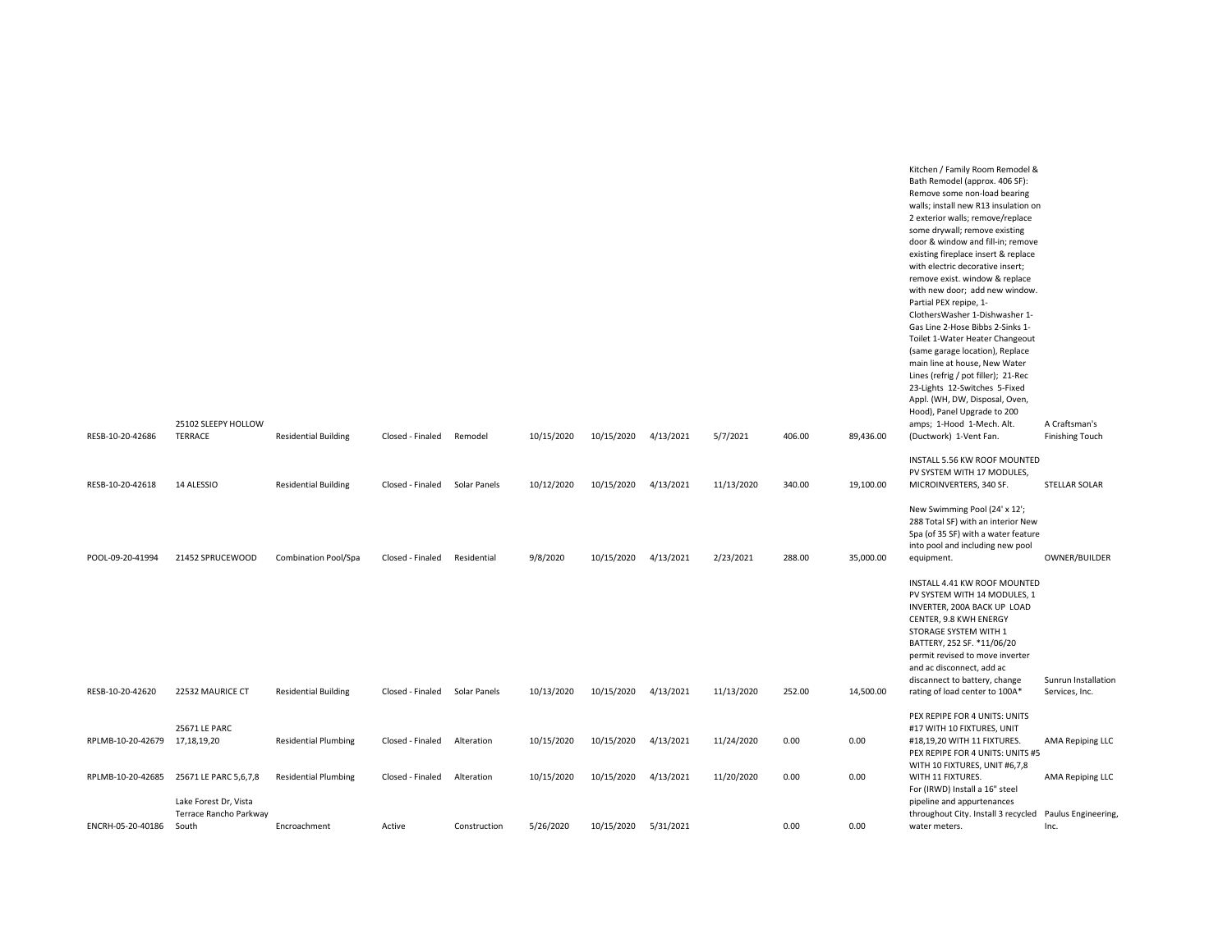|                   | 25102 SLEEPY HOLLOW                                      |                             |                  |              |            |                      |           |            |        |           | Kitchen / Family Room Remodel &<br>Bath Remodel (approx. 406 SF):<br>Remove some non-load bearing<br>walls; install new R13 insulation on<br>2 exterior walls; remove/replace<br>some drywall; remove existing<br>door & window and fill-in; remove<br>existing fireplace insert & replace<br>with electric decorative insert;<br>remove exist. window & replace<br>with new door; add new window.<br>Partial PEX repipe, 1-<br>ClothersWasher 1-Dishwasher 1-<br>Gas Line 2-Hose Bibbs 2-Sinks 1-<br>Toilet 1-Water Heater Changeout<br>(same garage location), Replace<br>main line at house, New Water<br>Lines (refrig / pot filler); 21-Rec<br>23-Lights 12-Switches 5-Fixed<br>Appl. (WH, DW, Disposal, Oven,<br>Hood), Panel Upgrade to 200 |                                         |
|-------------------|----------------------------------------------------------|-----------------------------|------------------|--------------|------------|----------------------|-----------|------------|--------|-----------|----------------------------------------------------------------------------------------------------------------------------------------------------------------------------------------------------------------------------------------------------------------------------------------------------------------------------------------------------------------------------------------------------------------------------------------------------------------------------------------------------------------------------------------------------------------------------------------------------------------------------------------------------------------------------------------------------------------------------------------------------|-----------------------------------------|
| RESB-10-20-42686  | <b>TERRACE</b>                                           | <b>Residential Building</b> | Closed - Finaled | Remodel      | 10/15/2020 | 10/15/2020           | 4/13/2021 | 5/7/2021   | 406.00 | 89,436.00 | amps; 1-Hood 1-Mech. Alt.<br>(Ductwork) 1-Vent Fan.                                                                                                                                                                                                                                                                                                                                                                                                                                                                                                                                                                                                                                                                                                | A Craftsman's<br><b>Finishing Touch</b> |
| RESB-10-20-42618  | 14 ALESSIO                                               | <b>Residential Building</b> | Closed - Finaled | Solar Panels | 10/12/2020 | 10/15/2020           | 4/13/2021 | 11/13/2020 | 340.00 | 19,100.00 | INSTALL 5.56 KW ROOF MOUNTED<br>PV SYSTEM WITH 17 MODULES,<br>MICROINVERTERS, 340 SF.                                                                                                                                                                                                                                                                                                                                                                                                                                                                                                                                                                                                                                                              | STELLAR SOLAR                           |
| POOL-09-20-41994  | 21452 SPRUCEWOOD                                         | Combination Pool/Spa        | Closed - Finaled | Residential  | 9/8/2020   | 10/15/2020           | 4/13/2021 | 2/23/2021  | 288.00 | 35,000.00 | New Swimming Pool (24' x 12';<br>288 Total SF) with an interior New<br>Spa (of 35 SF) with a water feature<br>into pool and including new pool<br>equipment.                                                                                                                                                                                                                                                                                                                                                                                                                                                                                                                                                                                       | OWNER/BUILDER                           |
| RESB-10-20-42620  | 22532 MAURICE CT                                         | <b>Residential Building</b> | Closed - Finaled | Solar Panels | 10/13/2020 | 10/15/2020           | 4/13/2021 | 11/13/2020 | 252.00 | 14,500.00 | INSTALL 4.41 KW ROOF MOUNTED<br>PV SYSTEM WITH 14 MODULES, 1<br>INVERTER, 200A BACK UP LOAD<br>CENTER, 9.8 KWH ENERGY<br>STORAGE SYSTEM WITH 1<br>BATTERY, 252 SF. *11/06/20<br>permit revised to move inverter<br>and ac disconnect, add ac<br>discannect to battery, change<br>rating of load center to 100A*                                                                                                                                                                                                                                                                                                                                                                                                                                    | Sunrun Installation<br>Services, Inc.   |
|                   |                                                          |                             |                  |              |            |                      |           |            |        |           | PEX REPIPE FOR 4 UNITS: UNITS                                                                                                                                                                                                                                                                                                                                                                                                                                                                                                                                                                                                                                                                                                                      |                                         |
| RPLMB-10-20-42679 | 25671 LE PARC<br>17,18,19,20                             | <b>Residential Plumbing</b> | Closed - Finaled | Alteration   | 10/15/2020 | 10/15/2020           | 4/13/2021 | 11/24/2020 | 0.00   | 0.00      | #17 WITH 10 FIXTURES, UNIT<br>#18,19,20 WITH 11 FIXTURES.<br>PEX REPIPE FOR 4 UNITS: UNITS #5<br>WITH 10 FIXTURES, UNIT #6,7,8                                                                                                                                                                                                                                                                                                                                                                                                                                                                                                                                                                                                                     | AMA Repiping LLC                        |
| RPLMB-10-20-42685 | 25671 LE PARC 5,6,7,8                                    | <b>Residential Plumbing</b> | Closed - Finaled | Alteration   | 10/15/2020 | 10/15/2020           | 4/13/2021 | 11/20/2020 | 0.00   | 0.00      | WITH 11 FIXTURES.<br>For (IRWD) Install a 16" steel                                                                                                                                                                                                                                                                                                                                                                                                                                                                                                                                                                                                                                                                                                | AMA Repiping LLC                        |
| ENCRH-05-20-40186 | Lake Forest Dr, Vista<br>Terrace Rancho Parkway<br>South | Encroachment                | Active           | Construction | 5/26/2020  | 10/15/2020 5/31/2021 |           |            | 0.00   | 0.00      | pipeline and appurtenances<br>throughout City. Install 3 recycled<br>water meters.                                                                                                                                                                                                                                                                                                                                                                                                                                                                                                                                                                                                                                                                 | Paulus Engineering,<br>Inc.             |
|                   |                                                          |                             |                  |              |            |                      |           |            |        |           |                                                                                                                                                                                                                                                                                                                                                                                                                                                                                                                                                                                                                                                                                                                                                    |                                         |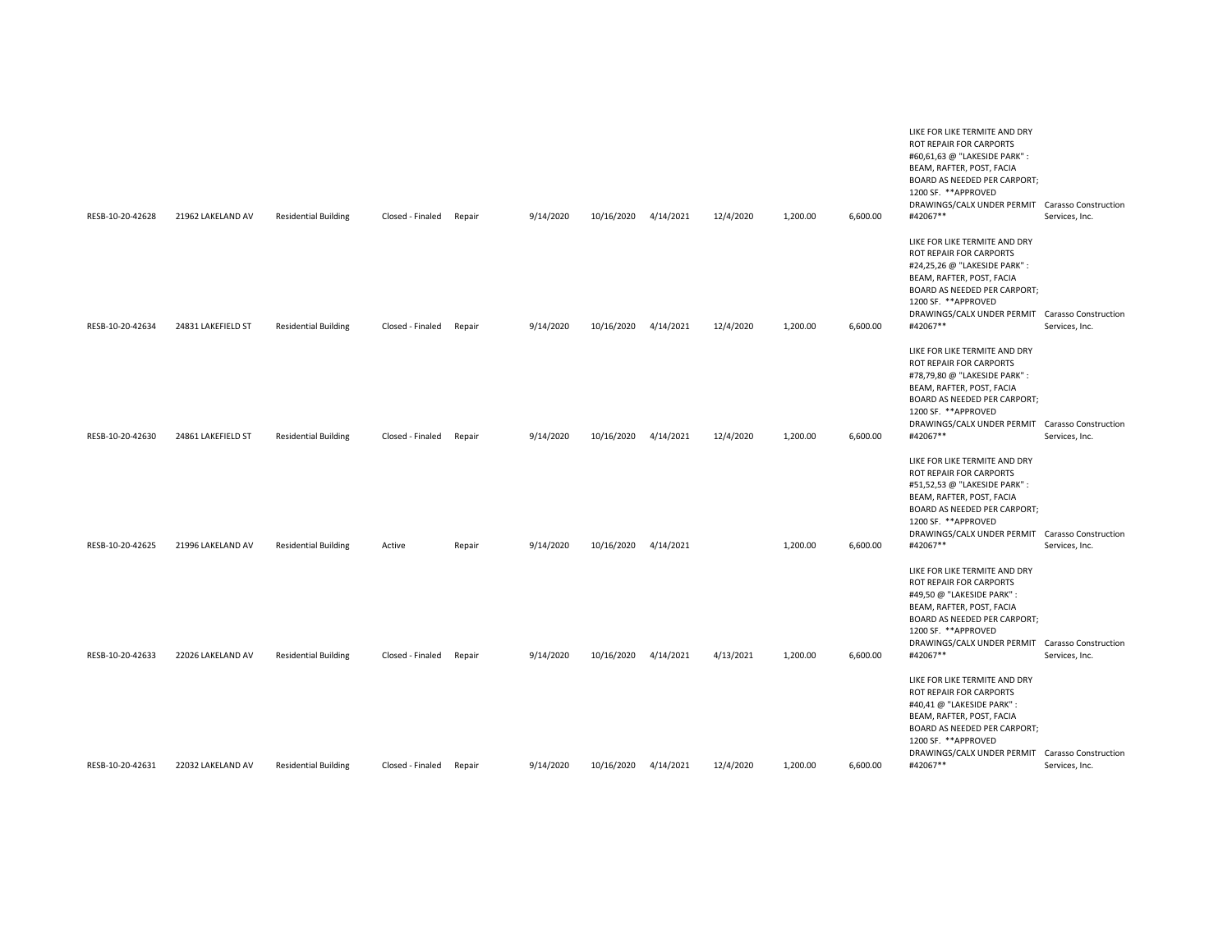| RESB-10-20-42628 | 21962 LAKELAND AV  | <b>Residential Building</b> | Closed - Finaled | Repair | 9/14/2020 | 10/16/2020 | 4/14/2021 | 12/4/2020 | 1,200.00 | 6,600.00 | LIKE FOR LIKE TERMITE AND DRY<br>ROT REPAIR FOR CARPORTS<br>#60,61,63 @ "LAKESIDE PARK" :<br>BEAM, RAFTER, POST, FACIA<br>BOARD AS NEEDED PER CARPORT;<br>1200 SF. ** APPROVED<br>DRAWINGS/CALX UNDER PERMIT Carasso Construction<br>#42067**                                               | Services, Inc. |
|------------------|--------------------|-----------------------------|------------------|--------|-----------|------------|-----------|-----------|----------|----------|---------------------------------------------------------------------------------------------------------------------------------------------------------------------------------------------------------------------------------------------------------------------------------------------|----------------|
|                  |                    |                             |                  |        |           |            |           |           |          |          | LIKE FOR LIKE TERMITE AND DRY<br>ROT REPAIR FOR CARPORTS<br>#24,25,26 @ "LAKESIDE PARK" :<br>BEAM, RAFTER, POST, FACIA<br><b>BOARD AS NEEDED PER CARPORT;</b><br>1200 SF. ** APPROVED<br>DRAWINGS/CALX UNDER PERMIT Carasso Construction                                                    |                |
| RESB-10-20-42634 | 24831 LAKEFIELD ST | <b>Residential Building</b> | Closed - Finaled | Repair | 9/14/2020 | 10/16/2020 | 4/14/2021 | 12/4/2020 | 1,200.00 | 6,600.00 | #42067**<br>LIKE FOR LIKE TERMITE AND DRY<br>ROT REPAIR FOR CARPORTS<br>#78,79,80 @ "LAKESIDE PARK":<br>BEAM, RAFTER, POST, FACIA<br>BOARD AS NEEDED PER CARPORT;<br>1200 SF. ** APPROVED<br>DRAWINGS/CALX UNDER PERMIT Carasso Construction                                                | Services, Inc. |
| RESB-10-20-42630 | 24861 LAKEFIELD ST | <b>Residential Building</b> | Closed - Finaled | Repair | 9/14/2020 | 10/16/2020 | 4/14/2021 | 12/4/2020 | 1,200.00 | 6,600.00 | #42067**<br>LIKE FOR LIKE TERMITE AND DRY<br>ROT REPAIR FOR CARPORTS<br>#51,52,53 @ "LAKESIDE PARK":<br>BEAM, RAFTER, POST, FACIA<br><b>BOARD AS NEEDED PER CARPORT;</b><br>1200 SF. **APPROVED                                                                                             | Services, Inc. |
| RESB-10-20-42625 | 21996 LAKELAND AV  | <b>Residential Building</b> | Active           | Repair | 9/14/2020 | 10/16/2020 | 4/14/2021 |           | 1,200.00 | 6,600.00 | DRAWINGS/CALX UNDER PERMIT Carasso Construction<br>#42067**<br>LIKE FOR LIKE TERMITE AND DRY<br>ROT REPAIR FOR CARPORTS<br>#49,50 @ "LAKESIDE PARK":<br>BEAM, RAFTER, POST, FACIA<br>BOARD AS NEEDED PER CARPORT;<br>1200 SF. **APPROVED<br>DRAWINGS/CALX UNDER PERMIT Carasso Construction | Services, Inc. |
| RESB-10-20-42633 | 22026 LAKELAND AV  | <b>Residential Building</b> | Closed - Finaled | Repair | 9/14/2020 | 10/16/2020 | 4/14/2021 | 4/13/2021 | 1,200.00 | 6,600.00 | #42067**<br>LIKE FOR LIKE TERMITE AND DRY<br>ROT REPAIR FOR CARPORTS<br>#40,41 @ "LAKESIDE PARK" :<br>BEAM, RAFTER, POST, FACIA<br>BOARD AS NEEDED PER CARPORT;<br>1200 SF. **APPROVED<br>DRAWINGS/CALX UNDER PERMIT Carasso Construction                                                   | Services, Inc. |
| RESB-10-20-42631 | 22032 LAKELAND AV  | <b>Residential Building</b> | Closed - Finaled | Repair | 9/14/2020 | 10/16/2020 | 4/14/2021 | 12/4/2020 | 1,200.00 | 6,600.00 | #42067**                                                                                                                                                                                                                                                                                    | Services, Inc. |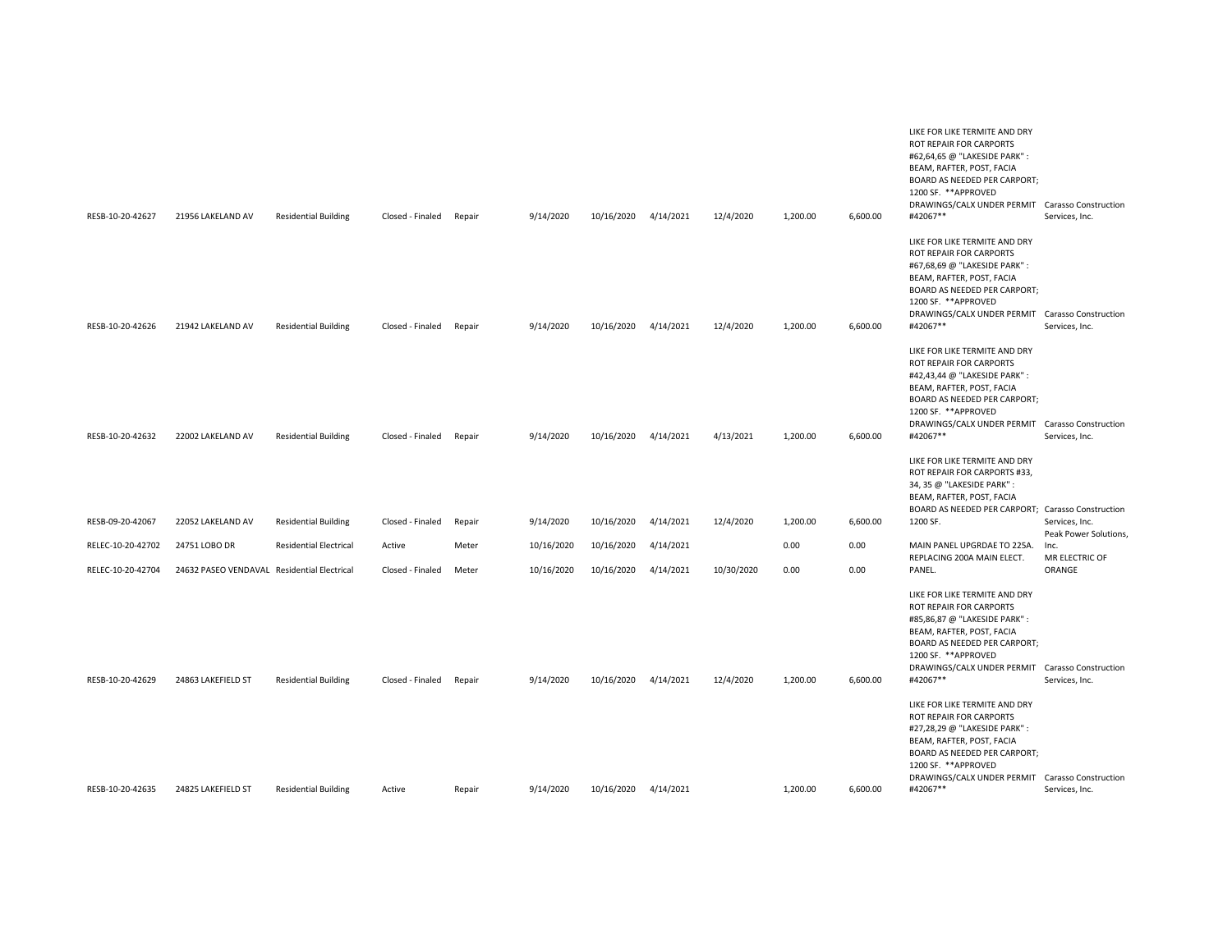| RESB-10-20-42627  | 21956 LAKELAND AV                           | <b>Residential Building</b>   | Closed - Finaled | Repair | 9/14/2020  | 10/16/2020 | 4/14/2021 | 12/4/2020  | 1,200.00 | 6,600.00 | LIKE FOR LIKE TERMITE AND DRY<br>ROT REPAIR FOR CARPORTS<br>#62,64,65 @ "LAKESIDE PARK":<br>BEAM, RAFTER, POST, FACIA<br>BOARD AS NEEDED PER CARPORT;<br>1200 SF. **APPROVED<br>DRAWINGS/CALX UNDER PERMIT Carasso Construction<br>#42067**   | Services, Inc.                          |
|-------------------|---------------------------------------------|-------------------------------|------------------|--------|------------|------------|-----------|------------|----------|----------|-----------------------------------------------------------------------------------------------------------------------------------------------------------------------------------------------------------------------------------------------|-----------------------------------------|
| RESB-10-20-42626  | 21942 LAKELAND AV                           | <b>Residential Building</b>   | Closed - Finaled | Repair | 9/14/2020  | 10/16/2020 | 4/14/2021 | 12/4/2020  | 1,200.00 | 6,600.00 | LIKE FOR LIKE TERMITE AND DRY<br>ROT REPAIR FOR CARPORTS<br>#67,68,69 @ "LAKESIDE PARK" :<br>BEAM, RAFTER, POST, FACIA<br>BOARD AS NEEDED PER CARPORT;<br>1200 SF. **APPROVED<br>DRAWINGS/CALX UNDER PERMIT Carasso Construction<br>#42067**  | Services, Inc.                          |
| RESB-10-20-42632  | 22002 LAKELAND AV                           | <b>Residential Building</b>   | Closed - Finaled | Repair | 9/14/2020  | 10/16/2020 | 4/14/2021 | 4/13/2021  | 1,200.00 | 6,600.00 | LIKE FOR LIKE TERMITE AND DRY<br>ROT REPAIR FOR CARPORTS<br>#42,43,44 @ "LAKESIDE PARK" :<br>BEAM, RAFTER, POST, FACIA<br>BOARD AS NEEDED PER CARPORT;<br>1200 SF. ** APPROVED<br>DRAWINGS/CALX UNDER PERMIT Carasso Construction<br>#42067** | Services, Inc.                          |
| RESB-09-20-42067  | 22052 LAKELAND AV                           |                               | Closed - Finaled |        | 9/14/2020  | 10/16/2020 | 4/14/2021 | 12/4/2020  | 1,200.00 | 6,600.00 | LIKE FOR LIKE TERMITE AND DRY<br>ROT REPAIR FOR CARPORTS #33,<br>34, 35 @ "LAKESIDE PARK":<br>BEAM, RAFTER, POST, FACIA<br>BOARD AS NEEDED PER CARPORT; Carasso Construction<br>1200 SF.                                                      |                                         |
|                   |                                             | <b>Residential Building</b>   |                  | Repair |            |            |           |            |          |          |                                                                                                                                                                                                                                               | Services, Inc.<br>Peak Power Solutions, |
| RELEC-10-20-42702 | 24751 LOBO DR                               | <b>Residential Electrical</b> | Active           | Meter  | 10/16/2020 | 10/16/2020 | 4/14/2021 |            | 0.00     | 0.00     | MAIN PANEL UPGRDAE TO 225A.<br>REPLACING 200A MAIN ELECT.                                                                                                                                                                                     | Inc.<br>MR ELECTRIC OF                  |
| RELEC-10-20-42704 | 24632 PASEO VENDAVAL Residential Electrical |                               | Closed - Finaled | Meter  | 10/16/2020 | 10/16/2020 | 4/14/2021 | 10/30/2020 | 0.00     | 0.00     | PANEL.                                                                                                                                                                                                                                        | ORANGE                                  |
| RESB-10-20-42629  | 24863 LAKEFIELD ST                          | <b>Residential Building</b>   | Closed - Finaled | Repair | 9/14/2020  | 10/16/2020 | 4/14/2021 | 12/4/2020  | 1,200.00 | 6,600.00 | LIKE FOR LIKE TERMITE AND DRY<br>ROT REPAIR FOR CARPORTS<br>#85,86,87 @ "LAKESIDE PARK":<br>BEAM, RAFTER, POST, FACIA<br>BOARD AS NEEDED PER CARPORT;<br>1200 SF. **APPROVED<br>DRAWINGS/CALX UNDER PERMIT Carasso Construction<br>#42067**   | Services, Inc.                          |
| RESB-10-20-42635  | 24825 LAKEFIELD ST                          | <b>Residential Building</b>   | Active           | Repair | 9/14/2020  | 10/16/2020 | 4/14/2021 |            | 1,200.00 | 6,600.00 | LIKE FOR LIKE TERMITE AND DRY<br>ROT REPAIR FOR CARPORTS<br>#27,28,29 @ "LAKESIDE PARK" :<br>BEAM, RAFTER, POST, FACIA<br>BOARD AS NEEDED PER CARPORT;<br>1200 SF. **APPROVED<br>DRAWINGS/CALX UNDER PERMIT Carasso Construction<br>#42067**  | Services, Inc.                          |
|                   |                                             |                               |                  |        |            |            |           |            |          |          |                                                                                                                                                                                                                                               |                                         |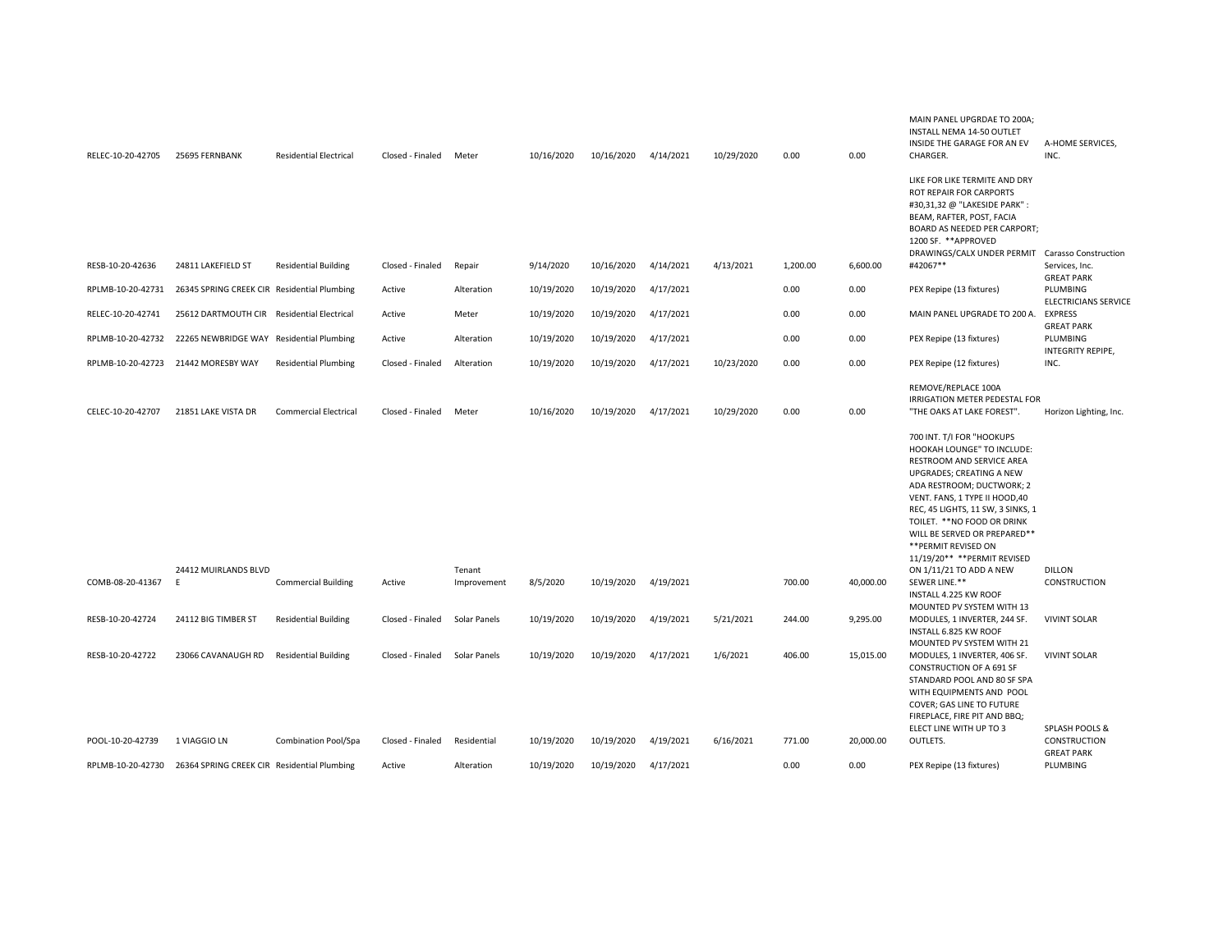| RELEC-10-20-42705 | 25695 FERNBANK                              | <b>Residential Electrical</b> | Closed - Finaled | Meter               | 10/16/2020 | 10/16/2020 | 4/14/2021 | 10/29/2020 | 0.00     | 0.00      | MAIN PANEL UPGRDAE TO 200A;<br>INSTALL NEMA 14-50 OUTLET<br>INSIDE THE GARAGE FOR AN EV<br>CHARGER.                                                                                                                                                                                                                                         | A-HOME SERVICES,<br>INC.                |
|-------------------|---------------------------------------------|-------------------------------|------------------|---------------------|------------|------------|-----------|------------|----------|-----------|---------------------------------------------------------------------------------------------------------------------------------------------------------------------------------------------------------------------------------------------------------------------------------------------------------------------------------------------|-----------------------------------------|
|                   |                                             |                               |                  |                     |            |            |           |            |          |           | LIKE FOR LIKE TERMITE AND DRY<br>ROT REPAIR FOR CARPORTS<br>#30,31,32 @ "LAKESIDE PARK":<br>BEAM, RAFTER, POST, FACIA<br>BOARD AS NEEDED PER CARPORT;<br>1200 SF. ** APPROVED<br>DRAWINGS/CALX UNDER PERMIT Carasso Construction                                                                                                            |                                         |
| RESB-10-20-42636  | 24811 LAKEFIELD ST                          | <b>Residential Building</b>   | Closed - Finaled | Repair              | 9/14/2020  | 10/16/2020 | 4/14/2021 | 4/13/2021  | 1,200.00 | 6,600.00  | #42067**                                                                                                                                                                                                                                                                                                                                    | Services, Inc.<br><b>GREAT PARK</b>     |
| RPLMB-10-20-42731 | 26345 SPRING CREEK CIR Residential Plumbing |                               | Active           | Alteration          | 10/19/2020 | 10/19/2020 | 4/17/2021 |            | 0.00     | 0.00      | PEX Repipe (13 fixtures)                                                                                                                                                                                                                                                                                                                    | PLUMBING<br><b>ELECTRICIANS SERVICE</b> |
| RELEC-10-20-42741 | 25612 DARTMOUTH CIR Residential Electrical  |                               | Active           | Meter               | 10/19/2020 | 10/19/2020 | 4/17/2021 |            | 0.00     | 0.00      | MAIN PANEL UPGRADE TO 200 A.                                                                                                                                                                                                                                                                                                                | <b>EXPRESS</b><br><b>GREAT PARK</b>     |
| RPLMB-10-20-42732 | 22265 NEWBRIDGE WAY Residential Plumbing    |                               | Active           | Alteration          | 10/19/2020 | 10/19/2020 | 4/17/2021 |            | 0.00     | 0.00      | PEX Repipe (13 fixtures)                                                                                                                                                                                                                                                                                                                    | PLUMBING                                |
| RPLMB-10-20-42723 | 21442 MORESBY WAY                           | <b>Residential Plumbing</b>   | Closed - Finaled | Alteration          | 10/19/2020 | 10/19/2020 | 4/17/2021 | 10/23/2020 | 0.00     | 0.00      | PEX Repipe (12 fixtures)                                                                                                                                                                                                                                                                                                                    | INTEGRITY REPIPE,<br>INC.               |
| CELEC-10-20-42707 | 21851 LAKE VISTA DR                         | <b>Commercial Electrical</b>  | Closed - Finaled | Meter               | 10/16/2020 | 10/19/2020 | 4/17/2021 | 10/29/2020 | 0.00     | 0.00      | REMOVE/REPLACE 100A<br>IRRIGATION METER PEDESTAL FOR<br>"THE OAKS AT LAKE FOREST".                                                                                                                                                                                                                                                          | Horizon Lighting, Inc.                  |
|                   |                                             |                               |                  |                     |            |            |           |            |          |           | 700 INT. T/I FOR "HOOKUPS<br>HOOKAH LOUNGE" TO INCLUDE:<br>RESTROOM AND SERVICE AREA<br>UPGRADES; CREATING A NEW<br>ADA RESTROOM; DUCTWORK; 2<br>VENT. FANS, 1 TYPE II HOOD, 40<br>REC, 45 LIGHTS, 11 SW, 3 SINKS, 1<br>TOILET. ** NO FOOD OR DRINK<br>WILL BE SERVED OR PREPARED**<br>** PERMIT REVISED ON<br>11/19/20** ** PERMIT REVISED |                                         |
|                   | 24412 MUIRLANDS BLVD                        |                               |                  | Tenant              |            |            |           |            |          |           | ON 1/11/21 TO ADD A NEW                                                                                                                                                                                                                                                                                                                     | <b>DILLON</b>                           |
| COMB-08-20-41367  | E                                           | <b>Commercial Building</b>    | Active           | Improvement         | 8/5/2020   | 10/19/2020 | 4/19/2021 |            | 700.00   | 40,000.00 | SEWER LINE.**<br>INSTALL 4.225 KW ROOF                                                                                                                                                                                                                                                                                                      | <b>CONSTRUCTION</b>                     |
| RESB-10-20-42724  | 24112 BIG TIMBER ST                         | <b>Residential Building</b>   | Closed - Finaled | Solar Panels        | 10/19/2020 | 10/19/2020 | 4/19/2021 | 5/21/2021  | 244.00   | 9,295.00  | MOUNTED PV SYSTEM WITH 13<br>MODULES, 1 INVERTER, 244 SF.<br>INSTALL 6.825 KW ROOF<br>MOUNTED PV SYSTEM WITH 21                                                                                                                                                                                                                             | <b>VIVINT SOLAR</b>                     |
| RESB-10-20-42722  | 23066 CAVANAUGH RD                          | <b>Residential Building</b>   | Closed - Finaled | <b>Solar Panels</b> | 10/19/2020 | 10/19/2020 | 4/17/2021 | 1/6/2021   | 406.00   | 15,015.00 | MODULES, 1 INVERTER, 406 SF.<br>CONSTRUCTION OF A 691 SF<br>STANDARD POOL AND 80 SF SPA<br>WITH EQUIPMENTS AND POOL<br>COVER; GAS LINE TO FUTURE<br>FIREPLACE, FIRE PIT AND BBQ;                                                                                                                                                            | <b>VIVINT SOLAR</b>                     |
| POOL-10-20-42739  | 1 VIAGGIO LN                                | Combination Pool/Spa          | Closed - Finaled | Residential         | 10/19/2020 | 10/19/2020 | 4/19/2021 | 6/16/2021  | 771.00   | 20,000.00 | ELECT LINE WITH UP TO 3<br>OUTLETS.                                                                                                                                                                                                                                                                                                         | SPLASH POOLS &<br>CONSTRUCTION          |
| RPLMB-10-20-42730 | 26364 SPRING CREEK CIR Residential Plumbing |                               | Active           | Alteration          | 10/19/2020 | 10/19/2020 | 4/17/2021 |            | 0.00     | 0.00      | PEX Repipe (13 fixtures)                                                                                                                                                                                                                                                                                                                    | <b>GREAT PARK</b><br>PLUMBING           |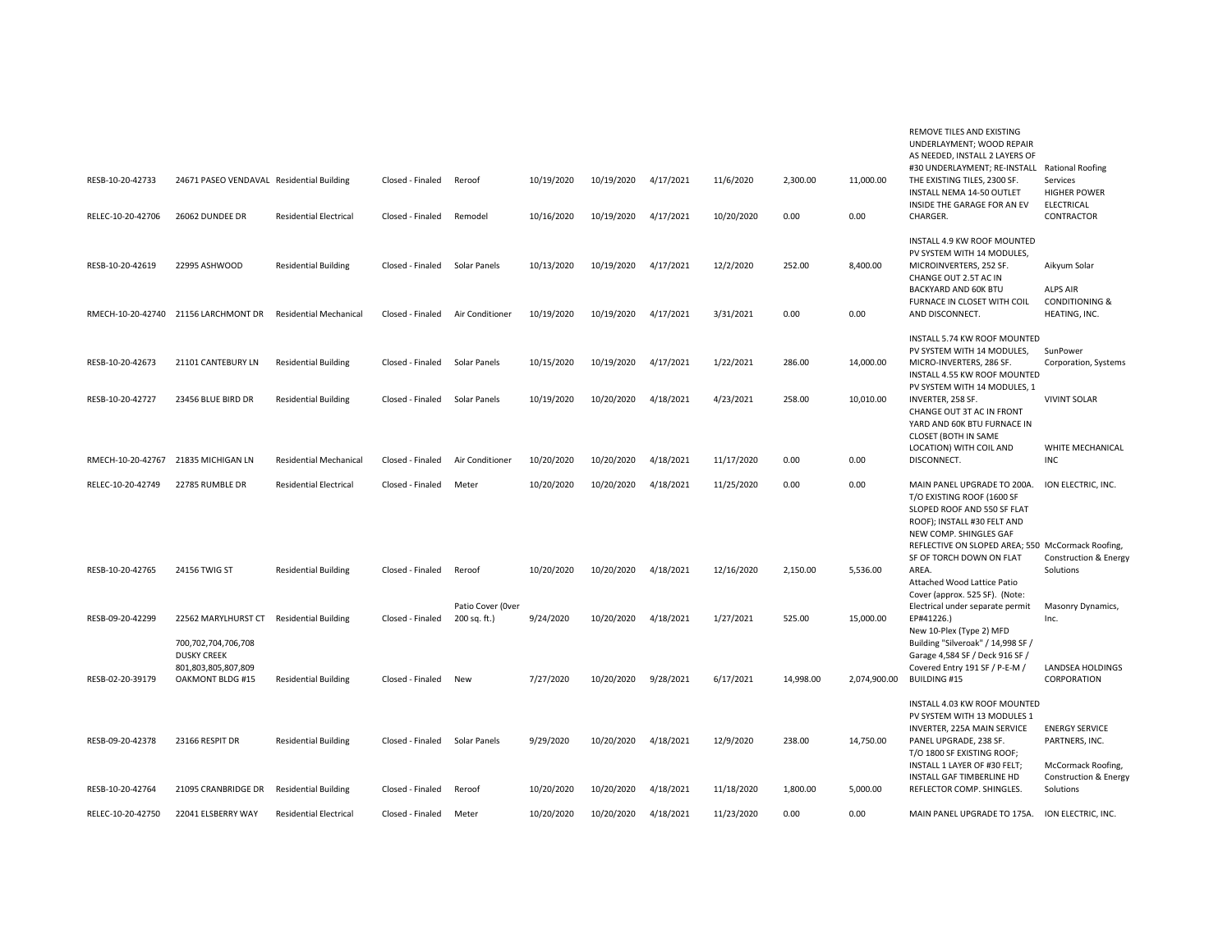| RESB-10-20-42733<br>RELEC-10-20-42706 | 24671 PASEO VENDAVAL Residential Building<br>26062 DUNDEE DR                         | <b>Residential Electrical</b> | Closed - Finaled<br>Closed - Finaled | Reroof<br>Remodel                 | 10/19/2020<br>10/16/2020 | 10/19/2020<br>10/19/2020 | 4/17/2021<br>4/17/2021 | 11/6/2020<br>10/20/2020 | 2,300.00<br>0.00 | 11,000.00<br>0.00 | REMOVE TILES AND EXISTING<br>UNDERLAYMENT; WOOD REPAIR<br>AS NEEDED, INSTALL 2 LAYERS OF<br>#30 UNDERLAYMENT; RE-INSTALL<br>THE EXISTING TILES, 2300 SF.<br>INSTALL NEMA 14-50 OUTLET<br>INSIDE THE GARAGE FOR AN EV<br>CHARGER.   | <b>Rational Roofing</b><br>Services<br><b>HIGHER POWER</b><br>ELECTRICAL<br>CONTRACTOR |
|---------------------------------------|--------------------------------------------------------------------------------------|-------------------------------|--------------------------------------|-----------------------------------|--------------------------|--------------------------|------------------------|-------------------------|------------------|-------------------|------------------------------------------------------------------------------------------------------------------------------------------------------------------------------------------------------------------------------------|----------------------------------------------------------------------------------------|
| RESB-10-20-42619                      | 22995 ASHWOOD                                                                        | <b>Residential Building</b>   | Closed - Finaled                     | Solar Panels                      | 10/13/2020               | 10/19/2020               | 4/17/2021              | 12/2/2020               | 252.00           | 8,400.00          | INSTALL 4.9 KW ROOF MOUNTED<br>PV SYSTEM WITH 14 MODULES,<br>MICROINVERTERS, 252 SF.<br>CHANGE OUT 2.5T AC IN                                                                                                                      | Aikyum Solar                                                                           |
|                                       | RMECH-10-20-42740 21156 LARCHMONT DR                                                 | <b>Residential Mechanical</b> | Closed - Finaled                     | Air Conditioner                   | 10/19/2020               | 10/19/2020               | 4/17/2021              | 3/31/2021               | 0.00             | 0.00              | BACKYARD AND 60K BTU<br>FURNACE IN CLOSET WITH COIL<br>AND DISCONNECT.                                                                                                                                                             | <b>ALPS AIR</b><br><b>CONDITIONING &amp;</b><br>HEATING, INC.                          |
| RESB-10-20-42673                      | 21101 CANTEBURY LN                                                                   | <b>Residential Building</b>   | Closed - Finaled                     | Solar Panels                      | 10/15/2020               | 10/19/2020               | 4/17/2021              | 1/22/2021               | 286.00           | 14,000.00         | INSTALL 5.74 KW ROOF MOUNTED<br>PV SYSTEM WITH 14 MODULES,<br>MICRO-INVERTERS, 286 SF.<br>INSTALL 4.55 KW ROOF MOUNTED                                                                                                             | SunPower<br>Corporation, Systems                                                       |
| RESB-10-20-42727                      | 23456 BLUE BIRD DR                                                                   | <b>Residential Building</b>   | Closed - Finaled                     | Solar Panels                      | 10/19/2020               | 10/20/2020               | 4/18/2021              | 4/23/2021               | 258.00           | 10,010.00         | PV SYSTEM WITH 14 MODULES, 1<br>INVERTER, 258 SF.<br>CHANGE OUT 3T AC IN FRONT<br>YARD AND 60K BTU FURNACE IN<br>CLOSET (BOTH IN SAME                                                                                              | <b>VIVINT SOLAR</b>                                                                    |
| RMECH-10-20-42767                     | 21835 MICHIGAN LN                                                                    | <b>Residential Mechanical</b> | Closed - Finaled                     | Air Conditioner                   | 10/20/2020               | 10/20/2020               | 4/18/2021              | 11/17/2020              | 0.00             | 0.00              | LOCATION) WITH COIL AND<br>DISCONNECT.                                                                                                                                                                                             | WHITE MECHANICAL<br>INC                                                                |
| RELEC-10-20-42749                     | 22785 RUMBLE DR                                                                      | <b>Residential Electrical</b> | Closed - Finaled                     | Meter                             | 10/20/2020               | 10/20/2020               | 4/18/2021              | 11/25/2020              | 0.00             | 0.00              | MAIN PANEL UPGRADE TO 200A.<br>T/O EXISTING ROOF (1600 SF<br>SLOPED ROOF AND 550 SF FLAT<br>ROOF); INSTALL #30 FELT AND<br>NEW COMP. SHINGLES GAF<br>REFLECTIVE ON SLOPED AREA; 550 McCormack Roofing,<br>SF OF TORCH DOWN ON FLAT | ION ELECTRIC, INC.<br><b>Construction &amp; Energy</b>                                 |
| RESB-10-20-42765                      | 24156 TWIG ST                                                                        | <b>Residential Building</b>   | Closed - Finaled                     | Reroof                            | 10/20/2020               | 10/20/2020               | 4/18/2021              | 12/16/2020              | 2,150.00         | 5,536.00          | AREA.<br>Attached Wood Lattice Patio<br>Cover (approx. 525 SF). (Note:                                                                                                                                                             | Solutions                                                                              |
| RESB-09-20-42299                      | 22562 MARYLHURST CT                                                                  | <b>Residential Building</b>   | Closed - Finaled                     | Patio Cover (Over<br>200 sq. ft.) | 9/24/2020                | 10/20/2020               | 4/18/2021              | 1/27/2021               | 525.00           | 15,000.00         | Electrical under separate permit<br>EP#41226.)<br>New 10-Plex (Type 2) MFD                                                                                                                                                         | Masonry Dynamics,<br>Inc.                                                              |
| RESB-02-20-39179                      | 700,702,704,706,708<br><b>DUSKY CREEK</b><br>801,803,805,807,809<br>OAKMONT BLDG #15 | <b>Residential Building</b>   | Closed - Finaled                     | New                               | 7/27/2020                | 10/20/2020               | 9/28/2021              | 6/17/2021               | 14,998.00        | 2,074,900.00      | Building "Silveroak" / 14,998 SF /<br>Garage 4,584 SF / Deck 916 SF /<br>Covered Entry 191 SF / P-E-M /<br>BUILDING #15                                                                                                            | LANDSEA HOLDINGS<br>CORPORATION                                                        |
| RESB-09-20-42378                      | 23166 RESPIT DR                                                                      | <b>Residential Building</b>   | Closed - Finaled                     | Solar Panels                      | 9/29/2020                | 10/20/2020               | 4/18/2021              | 12/9/2020               | 238.00           | 14,750.00         | INSTALL 4.03 KW ROOF MOUNTED<br>PV SYSTEM WITH 13 MODULES 1<br>INVERTER, 225A MAIN SERVICE<br>PANEL UPGRADE, 238 SF.<br>T/O 1800 SF EXISTING ROOF;<br>INSTALL 1 LAYER OF #30 FELT;                                                 | <b>ENERGY SERVICE</b><br>PARTNERS, INC.<br>McCormack Roofing,                          |
| RESB-10-20-42764                      | 21095 CRANBRIDGE DR                                                                  | <b>Residential Building</b>   | Closed - Finaled                     | Reroof                            | 10/20/2020               | 10/20/2020               | 4/18/2021              | 11/18/2020              | 1,800.00         | 5,000.00          | INSTALL GAF TIMBERLINE HD<br>REFLECTOR COMP. SHINGLES.                                                                                                                                                                             | Construction & Energy<br>Solutions                                                     |
| RELEC-10-20-42750                     | 22041 ELSBERRY WAY                                                                   | <b>Residential Electrical</b> | Closed - Finaled                     | Meter                             | 10/20/2020               | 10/20/2020               | 4/18/2021              | 11/23/2020              | 0.00             | 0.00              | MAIN PANEL UPGRADE TO 175A.                                                                                                                                                                                                        | ION ELECTRIC, INC.                                                                     |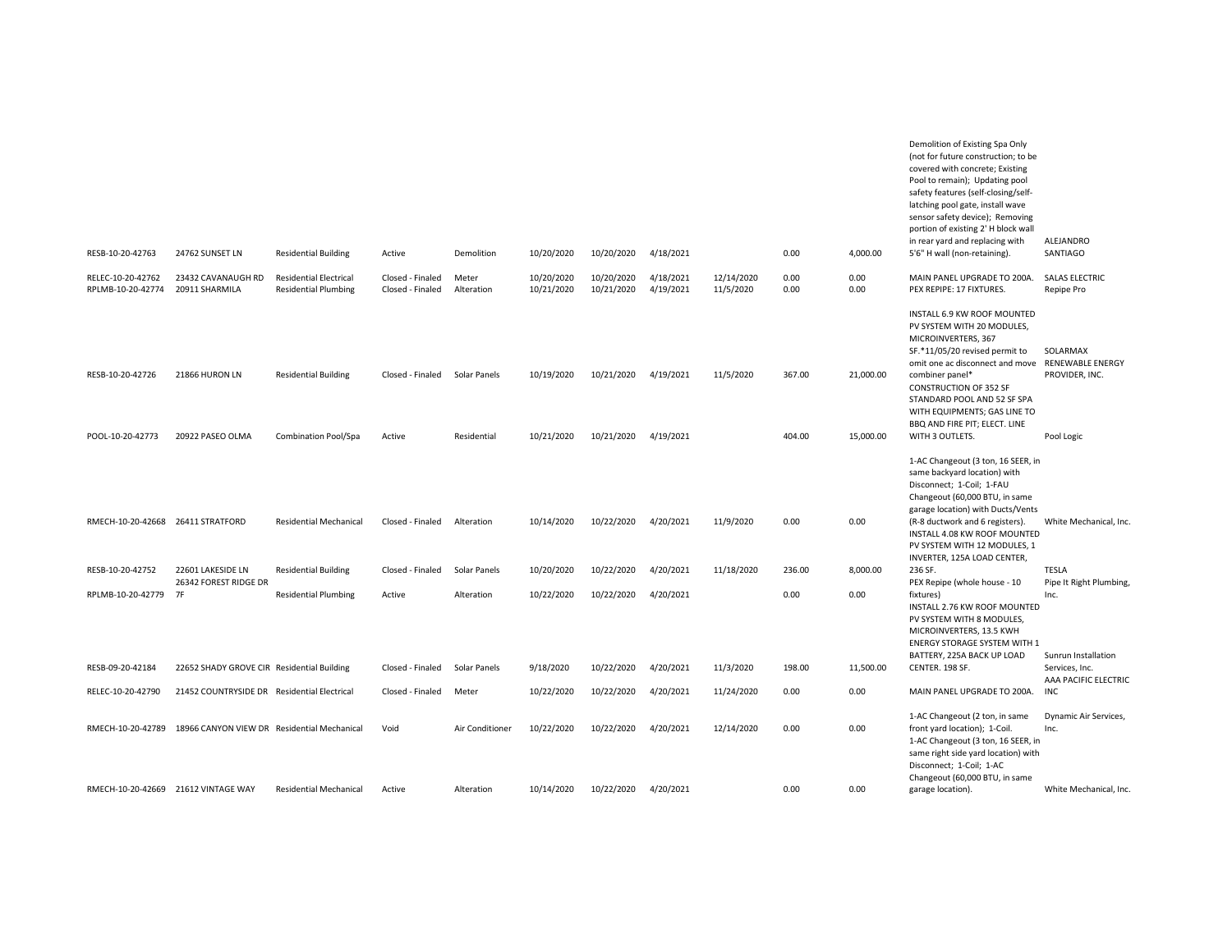| RESB-10-20-42763                       | 24762 SUNSET LN                                               | <b>Residential Building</b>                                  | Active                               | Demolition          | 10/20/2020               | 10/20/2020               | 4/18/2021              |                         | 0.00         | 4,000.00     | (not for future construction; to be<br>covered with concrete; Existing<br>Pool to remain); Updating pool<br>safety features (self-closing/self-<br>latching pool gate, install wave<br>sensor safety device); Removing<br>portion of existing 2' H block wall<br>in rear yard and replacing with<br>5'6" H wall (non-retaining). | ALEJANDRO<br>SANTIAGO                                 |
|----------------------------------------|---------------------------------------------------------------|--------------------------------------------------------------|--------------------------------------|---------------------|--------------------------|--------------------------|------------------------|-------------------------|--------------|--------------|----------------------------------------------------------------------------------------------------------------------------------------------------------------------------------------------------------------------------------------------------------------------------------------------------------------------------------|-------------------------------------------------------|
|                                        |                                                               |                                                              |                                      |                     |                          |                          |                        |                         |              |              |                                                                                                                                                                                                                                                                                                                                  |                                                       |
| RELEC-10-20-42762<br>RPLMB-10-20-42774 | 23432 CAVANAUGH RD<br>20911 SHARMILA                          | <b>Residential Electrical</b><br><b>Residential Plumbing</b> | Closed - Finaled<br>Closed - Finaled | Meter<br>Alteration | 10/20/2020<br>10/21/2020 | 10/20/2020<br>10/21/2020 | 4/18/2021<br>4/19/2021 | 12/14/2020<br>11/5/2020 | 0.00<br>0.00 | 0.00<br>0.00 | MAIN PANEL UPGRADE TO 200A.<br>PEX REPIPE: 17 FIXTURES.                                                                                                                                                                                                                                                                          | <b>SALAS ELECTRIC</b><br>Repipe Pro                   |
| RESB-10-20-42726                       | 21866 HURON LN                                                | <b>Residential Building</b>                                  | Closed - Finaled                     | Solar Panels        | 10/19/2020               | 10/21/2020               | 4/19/2021              | 11/5/2020               | 367.00       | 21,000.00    | INSTALL 6.9 KW ROOF MOUNTED<br>PV SYSTEM WITH 20 MODULES,<br>MICROINVERTERS, 367<br>SF.*11/05/20 revised permit to<br>omit one ac disconnect and move<br>combiner panel*<br><b>CONSTRUCTION OF 352 SF</b><br>STANDARD POOL AND 52 SF SPA<br>WITH EQUIPMENTS; GAS LINE TO                                                         | SOLARMAX<br><b>RENEWABLE ENERGY</b><br>PROVIDER, INC. |
| POOL-10-20-42773                       | 20922 PASEO OLMA                                              | <b>Combination Pool/Spa</b>                                  | Active                               | Residential         | 10/21/2020               | 10/21/2020               | 4/19/2021              |                         | 404.00       | 15,000.00    | BBQ AND FIRE PIT; ELECT. LINE<br>WITH 3 OUTLETS.                                                                                                                                                                                                                                                                                 | Pool Logic                                            |
| RMECH-10-20-42668 26411 STRATFORD      |                                                               | <b>Residential Mechanical</b>                                | Closed - Finaled                     | Alteration          | 10/14/2020               | 10/22/2020               | 4/20/2021              | 11/9/2020               | 0.00         | 0.00         | 1-AC Changeout (3 ton, 16 SEER, in<br>same backyard location) with<br>Disconnect; 1-Coil; 1-FAU<br>Changeout (60,000 BTU, in same<br>garage location) with Ducts/Vents<br>(R-8 ductwork and 6 registers).<br>INSTALL 4.08 KW ROOF MOUNTED<br>PV SYSTEM WITH 12 MODULES, 1                                                        | White Mechanical, Inc.                                |
| RESB-10-20-42752                       | 22601 LAKESIDE LN                                             | <b>Residential Building</b>                                  | Closed - Finaled                     | Solar Panels        | 10/20/2020               | 10/22/2020               | 4/20/2021              | 11/18/2020              | 236.00       | 8.000.00     | INVERTER, 125A LOAD CENTER,<br>236 SF.                                                                                                                                                                                                                                                                                           | <b>TESLA</b>                                          |
|                                        | 26342 FOREST RIDGE DR                                         |                                                              |                                      |                     |                          |                          |                        |                         |              |              | PEX Repipe (whole house - 10                                                                                                                                                                                                                                                                                                     | Pipe It Right Plumbing,                               |
| RPLMB-10-20-42779 7F                   |                                                               | <b>Residential Plumbing</b>                                  | Active                               | Alteration          | 10/22/2020               | 10/22/2020               | 4/20/2021              |                         | 0.00         | 0.00         | fixtures)<br>INSTALL 2.76 KW ROOF MOUNTED<br>PV SYSTEM WITH 8 MODULES,<br>MICROINVERTERS, 13.5 KWH<br>ENERGY STORAGE SYSTEM WITH 1                                                                                                                                                                                               | Inc.                                                  |
| RESB-09-20-42184                       | 22652 SHADY GROVE CIR Residential Building                    |                                                              | Closed - Finaled                     | Solar Panels        | 9/18/2020                | 10/22/2020               | 4/20/2021              | 11/3/2020               | 198.00       | 11,500.00    | BATTERY, 225A BACK UP LOAD<br>CENTER. 198 SF.                                                                                                                                                                                                                                                                                    | Sunrun Installation<br>Services, Inc.                 |
| RELEC-10-20-42790                      | 21452 COUNTRYSIDE DR Residential Electrical                   |                                                              | Closed - Finaled                     | Meter               | 10/22/2020               | 10/22/2020               | 4/20/2021              | 11/24/2020              | 0.00         | 0.00         | MAIN PANEL UPGRADE TO 200A.                                                                                                                                                                                                                                                                                                      | AAA PACIFIC ELECTRIC<br><b>INC</b>                    |
|                                        | RMECH-10-20-42789 18966 CANYON VIEW DR Residential Mechanical |                                                              | Void                                 | Air Conditioner     | 10/22/2020               | 10/22/2020               | 4/20/2021              | 12/14/2020              | 0.00         | 0.00         | 1-AC Changeout (2 ton, in same<br>front yard location); 1-Coil.<br>1-AC Changeout (3 ton, 16 SEER, in<br>same right side yard location) with<br>Disconnect; 1-Coil; 1-AC                                                                                                                                                         | Dynamic Air Services,<br>Inc.                         |
| RMECH-10-20-42669 21612 VINTAGE WAY    |                                                               | <b>Residential Mechanical</b>                                | Active                               | Alteration          | 10/14/2020               | 10/22/2020               | 4/20/2021              |                         | 0.00         | 0.00         | Changeout (60,000 BTU, in same<br>garage location).                                                                                                                                                                                                                                                                              | White Mechanical, Inc.                                |

Demolition of Existing Spa Only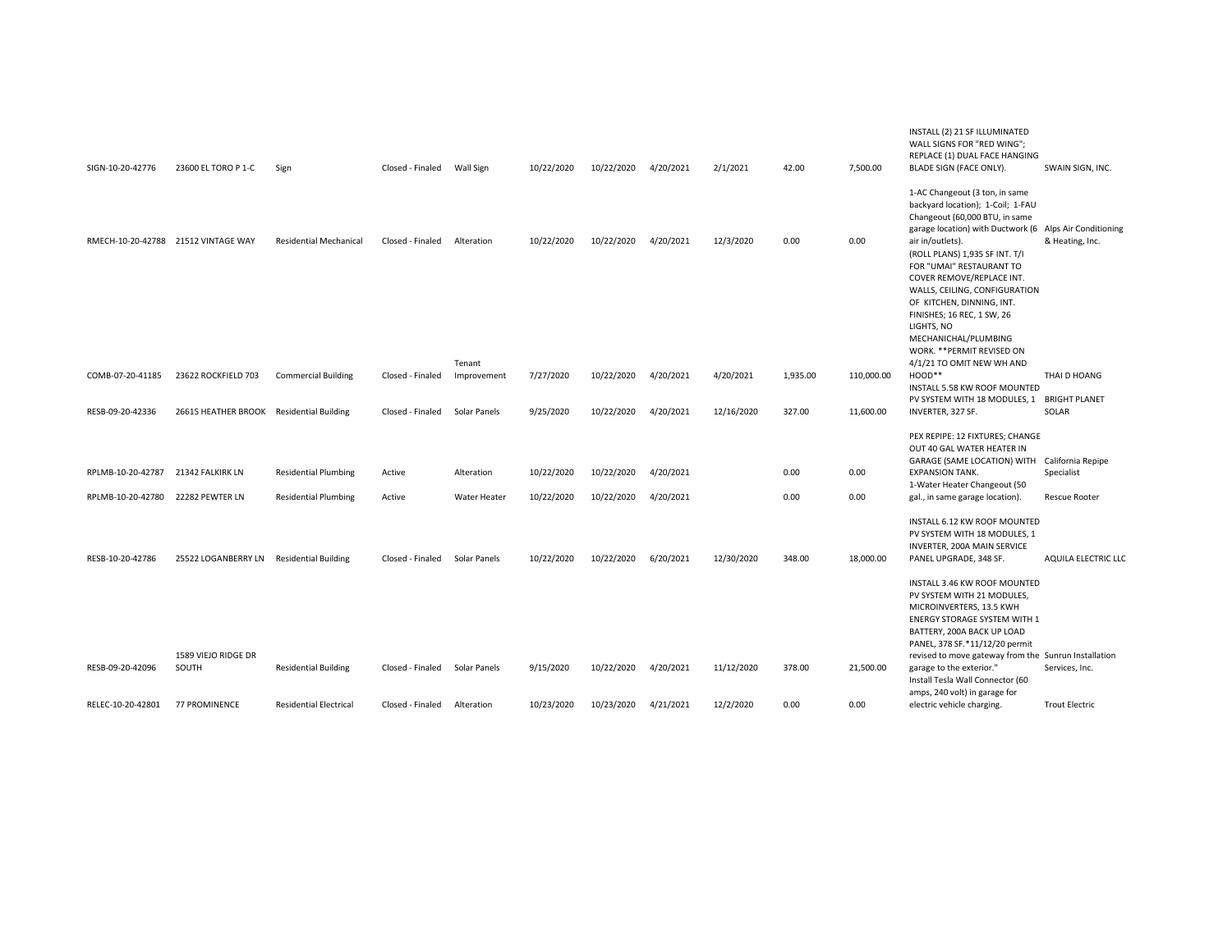| SIGN-10-20-42776                    | 23600 EL TORO P 1-C                      | Sign                          | Closed - Finaled | <b>Wall Sign</b>     | 10/22/2020 | 10/22/2020 | 4/20/2021 | 2/1/2021   | 42.00    | 7,500.00   | INSTALL (2) 21 SF ILLUMINATED<br>WALL SIGNS FOR "RED WING";<br>REPLACE (1) DUAL FACE HANGING<br>BLADE SIGN (FACE ONLY).                                                                                                                                                                                  | SWAIN SIGN, INC.                     |
|-------------------------------------|------------------------------------------|-------------------------------|------------------|----------------------|------------|------------|-----------|------------|----------|------------|----------------------------------------------------------------------------------------------------------------------------------------------------------------------------------------------------------------------------------------------------------------------------------------------------------|--------------------------------------|
|                                     |                                          |                               |                  |                      |            |            |           |            |          |            | 1-AC Changeout (3 ton, in same<br>backyard location); 1-Coil; 1-FAU<br>Changeout (60,000 BTU, in same<br>garage location) with Ductwork (6 Alps Air Conditioning                                                                                                                                         |                                      |
| RMECH-10-20-42788 21512 VINTAGE WAY |                                          | <b>Residential Mechanical</b> | Closed - Finaled | Alteration<br>Tenant | 10/22/2020 | 10/22/2020 | 4/20/2021 | 12/3/2020  | 0.00     | 0.00       | air in/outlets).<br>(ROLL PLANS) 1,935 SF INT. T/I<br>FOR "UMAI" RESTAURANT TO<br>COVER REMOVE/REPLACE INT.<br>WALLS, CEILING, CONFIGURATION<br>OF KITCHEN, DINNING, INT.<br>FINISHES; 16 REC, 1 SW, 26<br>LIGHTS, NO<br>MECHANICHAL/PLUMBING<br>WORK. ** PERMIT REVISED ON<br>4/1/21 TO OMIT NEW WH AND | & Heating, Inc.                      |
| COMB-07-20-41185                    | 23622 ROCKFIELD 703                      | <b>Commercial Building</b>    | Closed - Finaled | Improvement          | 7/27/2020  | 10/22/2020 | 4/20/2021 | 4/20/2021  | 1,935.00 | 110,000.00 | HOOD**<br>INSTALL 5.58 KW ROOF MOUNTED<br>PV SYSTEM WITH 18 MODULES, 1                                                                                                                                                                                                                                   | THAI D HOANG<br><b>BRIGHT PLANET</b> |
| RESB-09-20-42336                    | 26615 HEATHER BROOK Residential Building |                               | Closed - Finaled | Solar Panels         | 9/25/2020  | 10/22/2020 | 4/20/2021 | 12/16/2020 | 327.00   | 11,600.00  | INVERTER, 327 SF.                                                                                                                                                                                                                                                                                        | SOLAR                                |
|                                     |                                          |                               |                  |                      |            |            |           |            |          |            | PEX REPIPE: 12 FIXTURES; CHANGE<br>OUT 40 GAL WATER HEATER IN<br>GARAGE (SAME LOCATION) WITH California Repipe                                                                                                                                                                                           |                                      |
| RPLMB-10-20-42787                   | 21342 FALKIRK LN                         | <b>Residential Plumbing</b>   | Active           | Alteration           | 10/22/2020 | 10/22/2020 | 4/20/2021 |            | 0.00     | 0.00       | <b>EXPANSION TANK.</b><br>1-Water Heater Changeout (50                                                                                                                                                                                                                                                   | Specialist                           |
| RPLMB-10-20-42780                   | 22282 PEWTER LN                          | <b>Residential Plumbing</b>   | Active           | <b>Water Heater</b>  | 10/22/2020 | 10/22/2020 | 4/20/2021 |            | 0.00     | 0.00       | gal., in same garage location).                                                                                                                                                                                                                                                                          | <b>Rescue Rooter</b>                 |
|                                     |                                          |                               |                  |                      |            |            |           |            |          |            | INSTALL 6.12 KW ROOF MOUNTED<br>PV SYSTEM WITH 18 MODULES, 1<br>INVERTER, 200A MAIN SERVICE                                                                                                                                                                                                              |                                      |
| RESB-10-20-42786                    | 25522 LOGANBERRY LN Residential Building |                               | Closed - Finaled | Solar Panels         | 10/22/2020 | 10/22/2020 | 6/20/2021 | 12/30/2020 | 348.00   | 18,000.00  | PANEL UPGRADE, 348 SF.                                                                                                                                                                                                                                                                                   | AQUILA ELECTRIC LLO                  |
|                                     |                                          |                               |                  |                      |            |            |           |            |          |            | INSTALL 3.46 KW ROOF MOUNTED<br>PV SYSTEM WITH 21 MODULES,<br>MICROINVERTERS, 13.5 KWH<br>ENERGY STORAGE SYSTEM WITH 1<br>BATTERY, 200A BACK UP LOAD<br>PANEL, 378 SF.*11/12/20 permit                                                                                                                   |                                      |
|                                     | 1589 VIEJO RIDGE DR                      |                               |                  |                      |            |            |           |            |          |            | revised to move gateway from the Sunrun Installation                                                                                                                                                                                                                                                     |                                      |
| RESB-09-20-42096                    | SOUTH                                    | <b>Residential Building</b>   | Closed - Finaled | Solar Panels         | 9/15/2020  | 10/22/2020 | 4/20/2021 | 11/12/2020 | 378.00   | 21,500.00  | garage to the exterior."<br>Install Tesla Wall Connector (60<br>amps, 240 volt) in garage for                                                                                                                                                                                                            | Services, Inc.                       |
| RELEC-10-20-42801                   | <b>77 PROMINENCE</b>                     | <b>Residential Electrical</b> | Closed - Finaled | Alteration           | 10/23/2020 | 10/23/2020 | 4/21/2021 | 12/2/2020  | 0.00     | 0.00       | electric vehicle charging.                                                                                                                                                                                                                                                                               | <b>Trout Electric</b>                |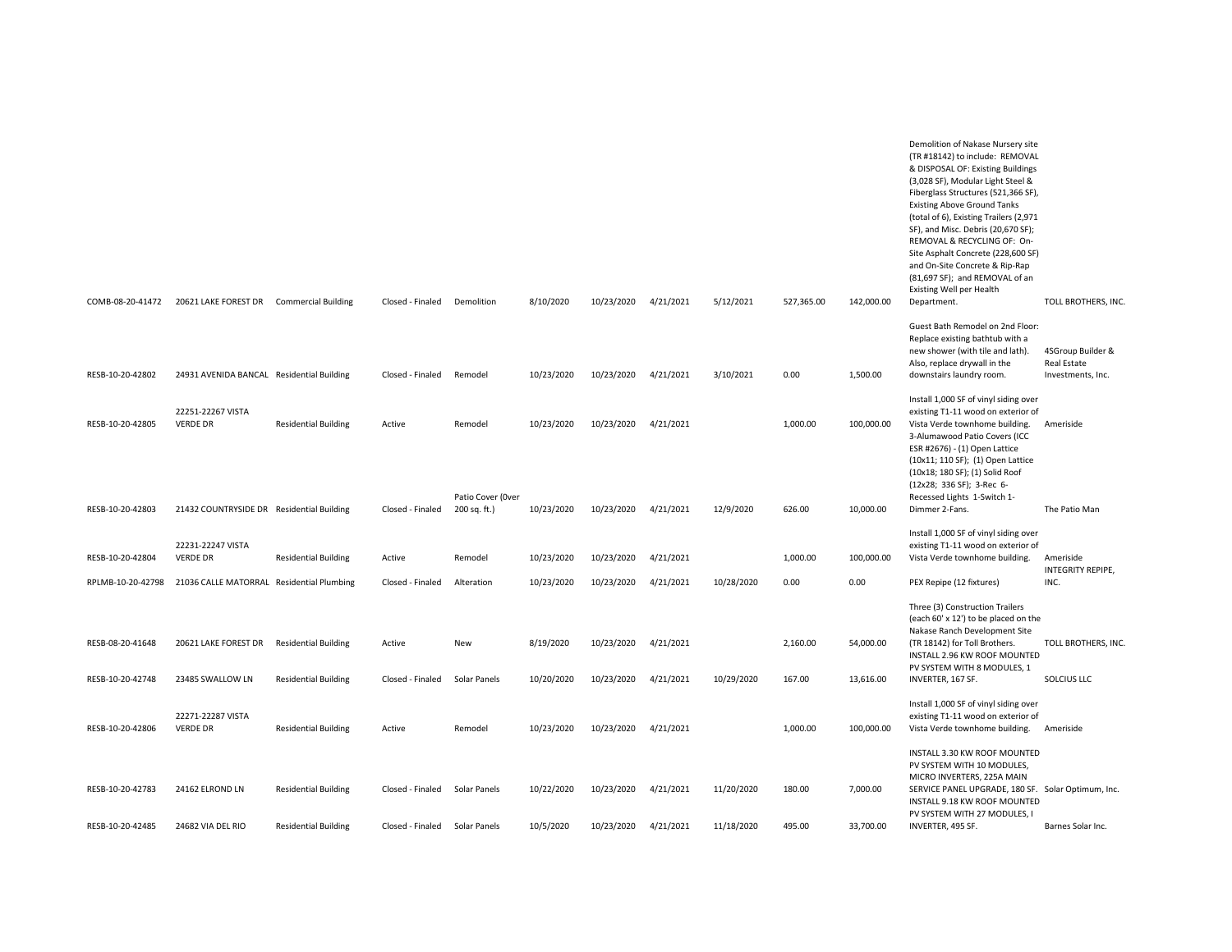| COMB-08-20-41472  | 20621 LAKE FOREST DR Commercial Building  |                             | Closed - Finaled | Demolition                        | 8/10/2020  | 10/23/2020 | 4/21/2021 | 5/12/2021  | 527,365.00 | 142,000.00 | Demolition of Nakase Nursery site<br>(TR #18142) to include: REMOVAL<br>& DISPOSAL OF: Existing Buildings<br>(3,028 SF), Modular Light Steel &<br>Fiberglass Structures (521,366 SF),<br><b>Existing Above Ground Tanks</b><br>(total of 6), Existing Trailers (2,971<br>SF), and Misc. Debris (20,670 SF);<br>REMOVAL & RECYCLING OF: On-<br>Site Asphalt Concrete (228,600 SF)<br>and On-Site Concrete & Rip-Rap<br>(81,697 SF); and REMOVAL of an<br><b>Existing Well per Health</b><br>Department. | TOLL BROTHERS, INC               |
|-------------------|-------------------------------------------|-----------------------------|------------------|-----------------------------------|------------|------------|-----------|------------|------------|------------|--------------------------------------------------------------------------------------------------------------------------------------------------------------------------------------------------------------------------------------------------------------------------------------------------------------------------------------------------------------------------------------------------------------------------------------------------------------------------------------------------------|----------------------------------|
|                   |                                           |                             |                  |                                   |            |            |           |            |            |            | Guest Bath Remodel on 2nd Floor:<br>Replace existing bathtub with a<br>new shower (with tile and lath).                                                                                                                                                                                                                                                                                                                                                                                                | 4SGroup Builder &                |
| RESB-10-20-42802  | 24931 AVENIDA BANCAL Residential Building |                             | Closed - Finaled | Remodel                           | 10/23/2020 | 10/23/2020 | 4/21/2021 | 3/10/2021  | 0.00       | 1,500.00   | Also, replace drywall in the<br>downstairs laundry room.                                                                                                                                                                                                                                                                                                                                                                                                                                               | Real Estate<br>Investments, Inc. |
| RESB-10-20-42805  | 22251-22267 VISTA<br><b>VERDE DR</b>      | <b>Residential Building</b> | Active           | Remodel                           | 10/23/2020 | 10/23/2020 | 4/21/2021 |            | 1,000.00   | 100,000.00 | Install 1,000 SF of vinyl siding over<br>existing T1-11 wood on exterior of<br>Vista Verde townhome building.<br>3-Alumawood Patio Covers (ICC<br>ESR #2676) - (1) Open Lattice<br>(10x11; 110 SF); (1) Open Lattice<br>(10x18; 180 SF); (1) Solid Roof<br>(12x28; 336 SF); 3-Rec 6-                                                                                                                                                                                                                   | Ameriside                        |
| RESB-10-20-42803  | 21432 COUNTRYSIDE DR Residential Building |                             | Closed - Finaled | Patio Cover (Over<br>200 sq. ft.) | 10/23/2020 | 10/23/2020 | 4/21/2021 | 12/9/2020  | 626.00     | 10,000.00  | Recessed Lights 1-Switch 1-<br>Dimmer 2-Fans.                                                                                                                                                                                                                                                                                                                                                                                                                                                          | The Patio Man                    |
| RESB-10-20-42804  | 22231-22247 VISTA<br><b>VERDE DR</b>      | <b>Residential Building</b> | Active           | Remodel                           | 10/23/2020 | 10/23/2020 | 4/21/2021 |            | 1,000.00   | 100,000.00 | Install 1,000 SF of vinyl siding over<br>existing T1-11 wood on exterior of<br>Vista Verde townhome building.                                                                                                                                                                                                                                                                                                                                                                                          | Ameriside                        |
| RPLMB-10-20-42798 | 21036 CALLE MATORRAL Residential Plumbing |                             | Closed - Finaled | Alteration                        | 10/23/2020 | 10/23/2020 | 4/21/2021 | 10/28/2020 | 0.00       | 0.00       | PEX Repipe (12 fixtures)                                                                                                                                                                                                                                                                                                                                                                                                                                                                               | INTEGRITY REPIPE,<br>INC.        |
| RESB-08-20-41648  | 20621 LAKE FOREST DR                      | <b>Residential Building</b> | Active           | New                               | 8/19/2020  | 10/23/2020 | 4/21/2021 |            | 2,160.00   | 54,000.00  | Three (3) Construction Trailers<br>(each 60' x 12') to be placed on the<br>Nakase Ranch Development Site<br>(TR 18142) for Toll Brothers.<br>INSTALL 2.96 KW ROOF MOUNTED                                                                                                                                                                                                                                                                                                                              | TOLL BROTHERS, INC               |
| RESB-10-20-42748  | 23485 SWALLOW LN                          | <b>Residential Building</b> | Closed - Finaled | Solar Panels                      | 10/20/2020 | 10/23/2020 | 4/21/2021 | 10/29/2020 | 167.00     | 13,616.00  | PV SYSTEM WITH 8 MODULES, 1<br>INVERTER, 167 SF.                                                                                                                                                                                                                                                                                                                                                                                                                                                       | SOLCIUS LLC                      |
| RESB-10-20-42806  | 22271-22287 VISTA<br><b>VERDE DR</b>      | <b>Residential Building</b> | Active           | Remodel                           | 10/23/2020 | 10/23/2020 | 4/21/2021 |            | 1,000.00   | 100,000.00 | Install 1,000 SF of vinyl siding over<br>existing T1-11 wood on exterior of<br>Vista Verde townhome building.                                                                                                                                                                                                                                                                                                                                                                                          | Ameriside                        |
| RESB-10-20-42783  | 24162 ELROND LN                           | <b>Residential Building</b> | Closed - Finaled | Solar Panels                      | 10/22/2020 | 10/23/2020 | 4/21/2021 | 11/20/2020 | 180.00     | 7,000.00   | INSTALL 3.30 KW ROOF MOUNTED<br>PV SYSTEM WITH 10 MODULES,<br>MICRO INVERTERS, 225A MAIN<br>SERVICE PANEL UPGRADE, 180 SF. Solar Optimum, Inc.<br>INSTALL 9.18 KW ROOF MOUNTED<br>PV SYSTEM WITH 27 MODULES, I                                                                                                                                                                                                                                                                                         |                                  |
| RESB-10-20-42485  | 24682 VIA DEL RIO                         | <b>Residential Building</b> | Closed - Finaled | <b>Solar Panels</b>               | 10/5/2020  | 10/23/2020 | 4/21/2021 | 11/18/2020 | 495.00     | 33,700.00  | INVERTER, 495 SF.                                                                                                                                                                                                                                                                                                                                                                                                                                                                                      | Barnes Solar Inc.                |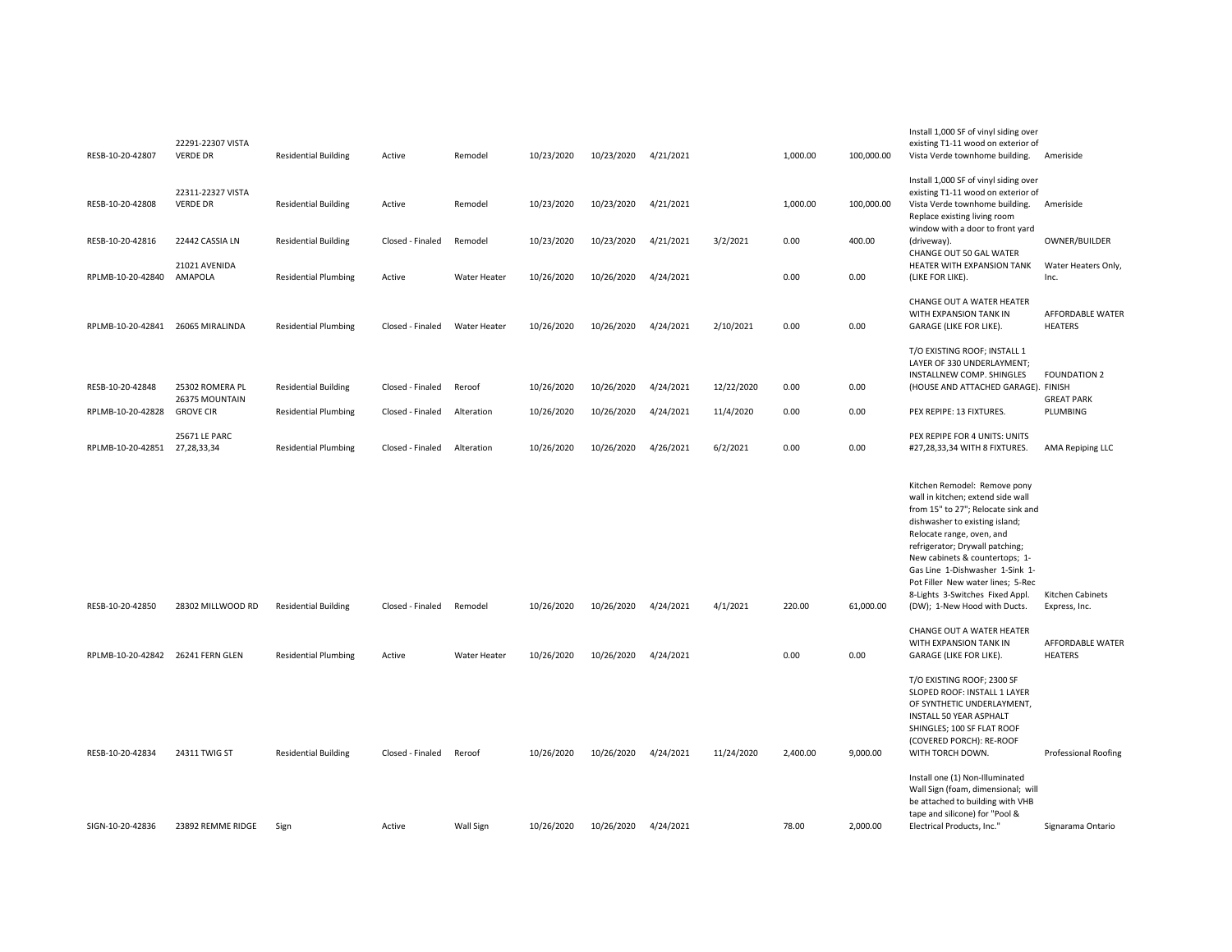| RESB-10-20-42807                  | 22291-22307 VISTA<br><b>VERDE DR</b> | <b>Residential Building</b> | Active           | Remodel             | 10/23/2020 | 10/23/2020 | 4/21/2021 |            | 1,000.00 | 100,000.00 | Install 1,000 SF of vinyl siding over<br>existing T1-11 wood on exterior of<br>Vista Verde townhome building.                                                                                                                                                                                                                                                                          | Ameriside                          |
|-----------------------------------|--------------------------------------|-----------------------------|------------------|---------------------|------------|------------|-----------|------------|----------|------------|----------------------------------------------------------------------------------------------------------------------------------------------------------------------------------------------------------------------------------------------------------------------------------------------------------------------------------------------------------------------------------------|------------------------------------|
| RESB-10-20-42808                  | 22311-22327 VISTA<br><b>VERDE DR</b> | <b>Residential Building</b> | Active           | Remodel             | 10/23/2020 | 10/23/2020 | 4/21/2021 |            | 1,000.00 | 100,000.00 | Install 1,000 SF of vinyl siding over<br>existing T1-11 wood on exterior of<br>Vista Verde townhome building.<br>Replace existing living room                                                                                                                                                                                                                                          | Ameriside                          |
| RESB-10-20-42816                  | 22442 CASSIA LN                      | <b>Residential Building</b> | Closed - Finaled | Remodel             | 10/23/2020 | 10/23/2020 | 4/21/2021 | 3/2/2021   | 0.00     | 400.00     | window with a door to front yard<br>(driveway).<br>CHANGE OUT 50 GAL WATER                                                                                                                                                                                                                                                                                                             | OWNER/BUILDER                      |
| RPLMB-10-20-42840                 | 21021 AVENIDA<br>AMAPOLA             | <b>Residential Plumbing</b> | Active           | Water Heater        | 10/26/2020 | 10/26/2020 | 4/24/2021 |            | 0.00     | 0.00       | HEATER WITH EXPANSION TANK<br>(LIKE FOR LIKE).                                                                                                                                                                                                                                                                                                                                         | Water Heaters Only,<br>Inc.        |
| RPLMB-10-20-42841 26065 MIRALINDA |                                      | <b>Residential Plumbing</b> | Closed - Finaled | <b>Water Heater</b> | 10/26/2020 | 10/26/2020 | 4/24/2021 | 2/10/2021  | 0.00     | 0.00       | CHANGE OUT A WATER HEATER<br>WITH EXPANSION TANK IN<br>GARAGE (LIKE FOR LIKE).                                                                                                                                                                                                                                                                                                         | AFFORDABLE WATER<br><b>HEATERS</b> |
| RESB-10-20-42848                  | 25302 ROMERA PL                      | <b>Residential Building</b> | Closed - Finaled | Reroof              | 10/26/2020 | 10/26/2020 | 4/24/2021 | 12/22/2020 | 0.00     | 0.00       | T/O EXISTING ROOF; INSTALL 1<br>LAYER OF 330 UNDERLAYMENT;<br>INSTALLNEW COMP. SHINGLES<br>(HOUSE AND ATTACHED GARAGE). FINISH                                                                                                                                                                                                                                                         | <b>FOUNDATION 2</b>                |
| RPLMB-10-20-42828                 | 26375 MOUNTAIN<br><b>GROVE CIR</b>   | <b>Residential Plumbing</b> | Closed - Finaled | Alteration          | 10/26/2020 | 10/26/2020 | 4/24/2021 | 11/4/2020  | 0.00     | 0.00       | PEX REPIPE: 13 FIXTURES.                                                                                                                                                                                                                                                                                                                                                               | <b>GREAT PARK</b><br>PLUMBING      |
| RPLMB-10-20-42851                 | 25671 LE PARC<br>27,28,33,34         | <b>Residential Plumbing</b> | Closed - Finaled | Alteration          | 10/26/2020 | 10/26/2020 | 4/26/2021 | 6/2/2021   | 0.00     | 0.00       | PEX REPIPE FOR 4 UNITS: UNITS<br>#27,28,33,34 WITH 8 FIXTURES.                                                                                                                                                                                                                                                                                                                         | <b>AMA Repiping LLC</b>            |
| RESB-10-20-42850                  | 28302 MILLWOOD RD                    | <b>Residential Building</b> | Closed - Finaled | Remodel             | 10/26/2020 | 10/26/2020 | 4/24/2021 | 4/1/2021   | 220.00   | 61,000.00  | Kitchen Remodel: Remove pony<br>wall in kitchen; extend side wall<br>from 15" to 27"; Relocate sink and<br>dishwasher to existing island;<br>Relocate range, oven, and<br>refrigerator; Drywall patching;<br>New cabinets & countertops; 1-<br>Gas Line 1-Dishwasher 1-Sink 1-<br>Pot Filler New water lines; 5-Rec<br>8-Lights 3-Switches Fixed Appl.<br>(DW); 1-New Hood with Ducts. | Kitchen Cabinets<br>Express, Inc.  |
|                                   |                                      |                             |                  |                     |            |            |           |            |          |            | CHANGE OUT A WATER HEATER                                                                                                                                                                                                                                                                                                                                                              |                                    |
| RPLMB-10-20-42842 26241 FERN GLEN |                                      | <b>Residential Plumbing</b> | Active           | Water Heater        | 10/26/2020 | 10/26/2020 | 4/24/2021 |            | 0.00     | 0.00       | WITH EXPANSION TANK IN<br>GARAGE (LIKE FOR LIKE).                                                                                                                                                                                                                                                                                                                                      | AFFORDABLE WATER<br><b>HEATERS</b> |
| RESB-10-20-42834                  | 24311 TWIG ST                        | <b>Residential Building</b> | Closed - Finaled | Reroof              | 10/26/2020 | 10/26/2020 | 4/24/2021 | 11/24/2020 | 2,400.00 | 9,000.00   | T/O EXISTING ROOF; 2300 SF<br>SLOPED ROOF: INSTALL 1 LAYER<br>OF SYNTHETIC UNDERLAYMENT,<br>INSTALL 50 YEAR ASPHALT<br>SHINGLES; 100 SF FLAT ROOF<br>(COVERED PORCH): RE-ROOF<br>WITH TORCH DOWN.                                                                                                                                                                                      | <b>Professional Roofing</b>        |
| SIGN-10-20-42836                  | 23892 REMME RIDGE                    | Sign                        | Active           | <b>Wall Sign</b>    | 10/26/2020 | 10/26/2020 | 4/24/2021 |            | 78.00    | 2.000.00   | Install one (1) Non-Illuminated<br>Wall Sign (foam, dimensional; will<br>be attached to building with VHB<br>tape and silicone) for "Pool &<br>Electrical Products, Inc."                                                                                                                                                                                                              | Signarama Ontario                  |
|                                   |                                      |                             |                  |                     |            |            |           |            |          |            |                                                                                                                                                                                                                                                                                                                                                                                        |                                    |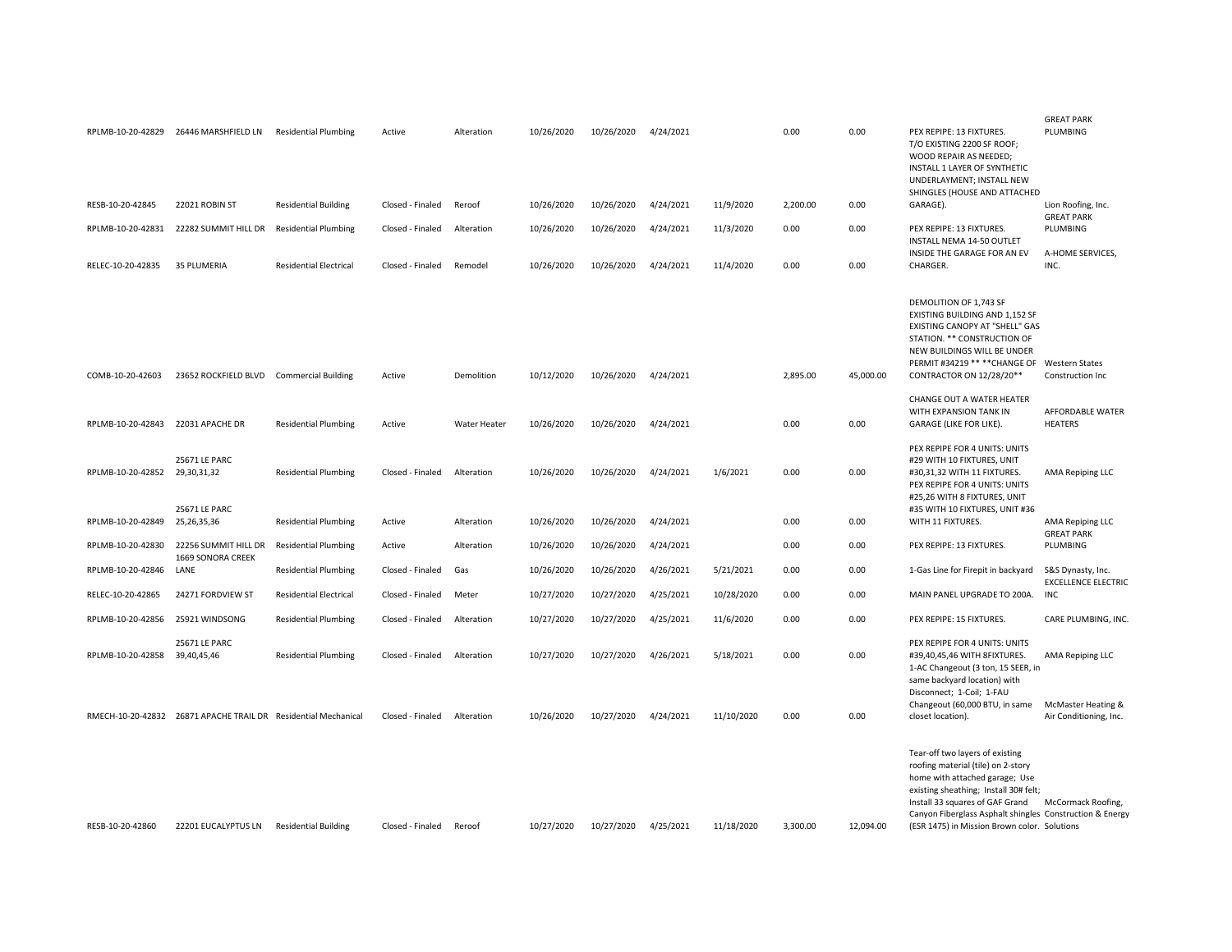|                   |                                                                |                               |                  |                     |            |            |           |            |          |           |                                                                                                                                                                                                                                                                                                 | <b>GREAT PARK</b>                               |
|-------------------|----------------------------------------------------------------|-------------------------------|------------------|---------------------|------------|------------|-----------|------------|----------|-----------|-------------------------------------------------------------------------------------------------------------------------------------------------------------------------------------------------------------------------------------------------------------------------------------------------|-------------------------------------------------|
|                   | RPLMB-10-20-42829 26446 MARSHFIELD LN                          | <b>Residential Plumbing</b>   | Active           | Alteration          | 10/26/2020 | 10/26/2020 | 4/24/2021 |            | 0.00     | 0.00      | PEX REPIPE: 13 FIXTURES.<br>T/O EXISTING 2200 SF ROOF;<br>WOOD REPAIR AS NEEDED;<br>INSTALL 1 LAYER OF SYNTHETIC<br>UNDERLAYMENT; INSTALL NEW<br>SHINGLES (HOUSE AND ATTACHED                                                                                                                   | PLUMBING                                        |
| RESB-10-20-42845  | 22021 ROBIN ST                                                 | <b>Residential Building</b>   | Closed - Finaled | Reroof              | 10/26/2020 | 10/26/2020 | 4/24/2021 | 11/9/2020  | 2,200.00 | 0.00      | GARAGE).                                                                                                                                                                                                                                                                                        | Lion Roofing, Inc.<br><b>GREAT PARK</b>         |
| RPLMB-10-20-42831 | 22282 SUMMIT HILL DR                                           | <b>Residential Plumbing</b>   | Closed - Finaled | Alteration          | 10/26/2020 | 10/26/2020 | 4/24/2021 | 11/3/2020  | 0.00     | 0.00      | PEX REPIPE: 13 FIXTURES.<br>INSTALL NEMA 14-50 OUTLET                                                                                                                                                                                                                                           | PLUMBING                                        |
| RELEC-10-20-42835 | 35 PLUMERIA                                                    | <b>Residential Electrical</b> | Closed - Finaled | Remodel             | 10/26/2020 | 10/26/2020 | 4/24/2021 | 11/4/2020  | 0.00     | 0.00      | INSIDE THE GARAGE FOR AN EV<br>CHARGER.                                                                                                                                                                                                                                                         | A-HOME SERVICES,<br>INC.                        |
| COMB-10-20-42603  | 23652 ROCKFIELD BLVD Commercial Building                       |                               | Active           | Demolition          | 10/12/2020 | 10/26/2020 | 4/24/2021 |            | 2,895.00 | 45,000.00 | DEMOLITION OF 1,743 SF<br>EXISTING BUILDING AND 1,152 SF<br>EXISTING CANOPY AT "SHELL" GAS<br>STATION. ** CONSTRUCTION OF<br>NEW BUILDINGS WILL BE UNDER<br>PERMIT #34219 ** ** CHANGE OF Western States<br>CONTRACTOR ON 12/28/20**                                                            | Construction Inc                                |
|                   |                                                                |                               |                  |                     |            |            |           |            |          |           | CHANGE OUT A WATER HEATER<br>WITH EXPANSION TANK IN                                                                                                                                                                                                                                             | AFFORDABLE WATER                                |
| RPLMB-10-20-42843 | 22031 APACHE DR                                                | <b>Residential Plumbing</b>   | Active           | <b>Water Heater</b> | 10/26/2020 | 10/26/2020 | 4/24/2021 |            | 0.00     | 0.00      | GARAGE (LIKE FOR LIKE).                                                                                                                                                                                                                                                                         | <b>HEATERS</b>                                  |
| RPLMB-10-20-42852 | 25671 LE PARC<br>29,30,31,32                                   | <b>Residential Plumbing</b>   | Closed - Finaled | Alteration          | 10/26/2020 | 10/26/2020 | 4/24/2021 | 1/6/2021   | 0.00     | 0.00      | PEX REPIPE FOR 4 UNITS: UNITS<br>#29 WITH 10 FIXTURES, UNIT<br>#30,31,32 WITH 11 FIXTURES.<br>PEX REPIPE FOR 4 UNITS: UNITS<br>#25,26 WITH 8 FIXTURES, UNIT                                                                                                                                     | AMA Repiping LLC                                |
| RPLMB-10-20-42849 | 25671 LE PARC<br>25,26,35,36                                   | <b>Residential Plumbing</b>   | Active           | Alteration          | 10/26/2020 | 10/26/2020 | 4/24/2021 |            | 0.00     | 0.00      | #35 WITH 10 FIXTURES, UNIT #36<br>WITH 11 FIXTURES.                                                                                                                                                                                                                                             | AMA Repiping LLC<br><b>GREAT PARK</b>           |
| RPLMB-10-20-42830 | 22256 SUMMIT HILL DR<br>1669 SONORA CREEK                      | <b>Residential Plumbing</b>   | Active           | Alteration          | 10/26/2020 | 10/26/2020 | 4/24/2021 |            | 0.00     | 0.00      | PEX REPIPE: 13 FIXTURES.                                                                                                                                                                                                                                                                        | PLUMBING                                        |
| RPLMB-10-20-42846 | LANE                                                           | <b>Residential Plumbing</b>   | Closed - Finaled | Gas                 | 10/26/2020 | 10/26/2020 | 4/26/2021 | 5/21/2021  | 0.00     | 0.00      | 1-Gas Line for Firepit in backyard                                                                                                                                                                                                                                                              | S&S Dynasty, Inc.<br><b>EXCELLENCE ELECTRIC</b> |
| RELEC-10-20-42865 | 24271 FORDVIEW ST                                              | <b>Residential Electrical</b> | Closed - Finaled | Meter               | 10/27/2020 | 10/27/2020 | 4/25/2021 | 10/28/2020 | 0.00     | 0.00      | MAIN PANEL UPGRADE TO 200A.                                                                                                                                                                                                                                                                     | INC                                             |
| RPLMB-10-20-42856 | 25921 WINDSONG                                                 | <b>Residential Plumbing</b>   | Closed - Finaled | Alteration          | 10/27/2020 | 10/27/2020 | 4/25/2021 | 11/6/2020  | 0.00     | 0.00      | PEX REPIPE: 15 FIXTURES.                                                                                                                                                                                                                                                                        | CARE PLUMBING, INC.                             |
| RPLMB-10-20-42858 | 25671 LE PARC<br>39,40,45,46                                   | <b>Residential Plumbing</b>   | Closed - Finaled | Alteration          | 10/27/2020 | 10/27/2020 | 4/26/2021 | 5/18/2021  | 0.00     | 0.00      | PEX REPIPE FOR 4 UNITS: UNITS<br>#39,40,45,46 WITH 8FIXTURES.<br>1-AC Changeout (3 ton, 15 SEER, in<br>same backyard location) with<br>Disconnect; 1-Coil; 1-FAU                                                                                                                                | AMA Repiping LLC                                |
|                   | RMECH-10-20-42832 26871 APACHE TRAIL DR Residential Mechanical |                               | Closed - Finaled | Alteration          | 10/26/2020 | 10/27/2020 | 4/24/2021 | 11/10/2020 | 0.00     | 0.00      | Changeout (60,000 BTU, in same<br>closet location).                                                                                                                                                                                                                                             | McMaster Heating &<br>Air Conditioning, Inc.    |
| RESB-10-20-42860  | 22201 EUCALYPTUS LN                                            | <b>Residential Building</b>   | Closed - Finaled | Reroof              | 10/27/2020 | 10/27/2020 | 4/25/2021 | 11/18/2020 | 3.300.00 | 12.094.00 | Tear-off two layers of existing<br>roofing material (tile) on 2-story<br>home with attached garage; Use<br>existing sheathing; Install 30# felt;<br>Install 33 squares of GAF Grand<br>Canyon Fiberglass Asphalt shingles Construction & Energy<br>(ESR 1475) in Mission Brown color. Solutions | McCormack Roofing,                              |
|                   |                                                                |                               |                  |                     |            |            |           |            |          |           |                                                                                                                                                                                                                                                                                                 |                                                 |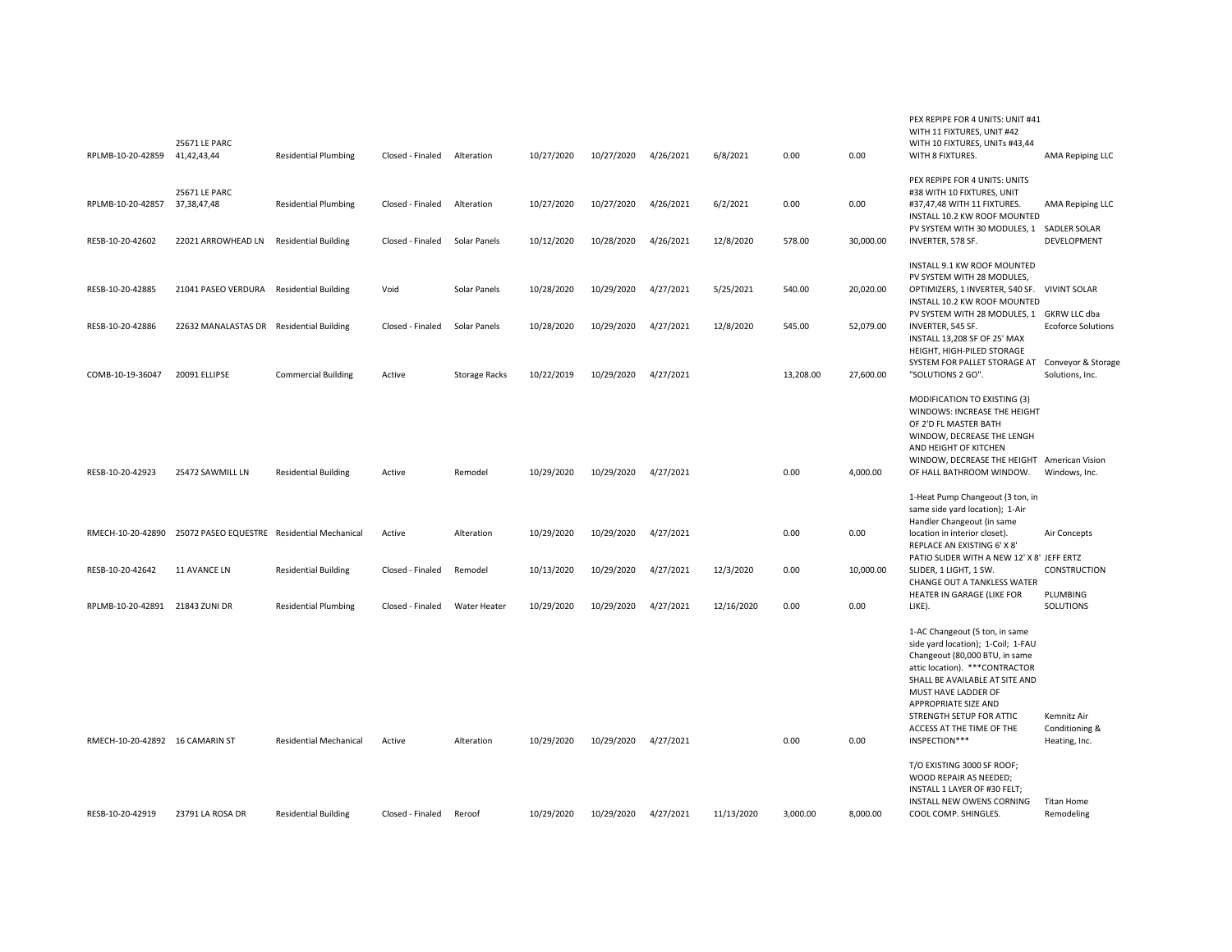| RPLMB-10-20-42859                                                  | 25671 LE PARC<br>41,42,43,44                              | <b>Residential Plumbing</b>                                  | Closed - Finaled                     | Alteration                           | 10/27/2020               | 10/27/2020               | 4/26/2021              | 6/8/2021              | 0.00                | 0.00                   | WITH 11 FIXTURES, UNIT #42<br>WITH 10 FIXTURES, UNITs #43,44<br>WITH 8 FIXTURES.                                                                                                                                                                                                                               | <b>AMA Repiping LLC</b>                                     |
|--------------------------------------------------------------------|-----------------------------------------------------------|--------------------------------------------------------------|--------------------------------------|--------------------------------------|--------------------------|--------------------------|------------------------|-----------------------|---------------------|------------------------|----------------------------------------------------------------------------------------------------------------------------------------------------------------------------------------------------------------------------------------------------------------------------------------------------------------|-------------------------------------------------------------|
| RPLMB-10-20-42857<br>RESB-10-20-42602                              | 25671 LE PARC<br>37,38,47,48<br>22021 ARROWHEAD LN        | <b>Residential Plumbing</b><br><b>Residential Building</b>   | Closed - Finaled<br>Closed - Finaled | Alteration<br>Solar Panels           | 10/27/2020<br>10/12/2020 | 10/27/2020<br>10/28/2020 | 4/26/2021<br>4/26/2021 | 6/2/2021<br>12/8/2020 | 0.00<br>578.00      | 0.00<br>30,000.00      | PEX REPIPE FOR 4 UNITS: UNITS<br>#38 WITH 10 FIXTURES, UNIT<br>#37,47,48 WITH 11 FIXTURES.<br>INSTALL 10.2 KW ROOF MOUNTED<br>PV SYSTEM WITH 30 MODULES, 1 SADLER SOLAR<br>INVERTER, 578 SF.                                                                                                                   | AMA Repiping LLC<br>DEVELOPMENT                             |
| RESB-10-20-42885                                                   | 21041 PASEO VERDURA Residential Building                  |                                                              | Void                                 | Solar Panels                         | 10/28/2020               | 10/29/2020               | 4/27/2021              | 5/25/2021             | 540.00              | 20,020.00              | INSTALL 9.1 KW ROOF MOUNTED<br>PV SYSTEM WITH 28 MODULES,<br>OPTIMIZERS, 1 INVERTER, 540 SF. VIVINT SOLAR<br>INSTALL 10.2 KW ROOF MOUNTED<br>PV SYSTEM WITH 28 MODULES, 1 GKRW LLC dba                                                                                                                         |                                                             |
| RESB-10-20-42886<br>COMB-10-19-36047                               | 22632 MANALASTAS DR Residential Building<br>20091 ELLIPSE | <b>Commercial Building</b>                                   | Closed - Finaled<br>Active           | Solar Panels<br><b>Storage Racks</b> | 10/28/2020<br>10/22/2019 | 10/29/2020<br>10/29/2020 | 4/27/2021<br>4/27/2021 | 12/8/2020             | 545.00<br>13,208.00 | 52,079.00<br>27,600.00 | INVERTER, 545 SF.<br>INSTALL 13,208 SF OF 25' MAX<br>HEIGHT, HIGH-PILED STORAGE<br>SYSTEM FOR PALLET STORAGE AT Conveyor & Storage<br>"SOLUTIONS 2 GO".                                                                                                                                                        | <b>Ecoforce Solutions</b><br>Solutions, Inc.                |
| RESB-10-20-42923                                                   | 25472 SAWMILL LN                                          | <b>Residential Building</b>                                  | Active                               | Remodel                              | 10/29/2020               | 10/29/2020               | 4/27/2021              |                       | 0.00                | 4,000.00               | MODIFICATION TO EXISTING (3)<br>WINDOWS: INCREASE THE HEIGHT<br>OF 2'D FL MASTER BATH<br>WINDOW, DECREASE THE LENGH<br>AND HEIGHT OF KITCHEN<br>WINDOW, DECREASE THE HEIGHT American Vision<br>OF HALL BATHROOM WINDOW.                                                                                        | Windows, Inc.                                               |
| RMECH-10-20-42890                                                  | 25072 PASEO EQUESTRE Residential Mechanical               |                                                              | Active                               | Alteration                           | 10/29/2020               | 10/29/2020               | 4/27/2021              |                       | 0.00                | 0.00                   | 1-Heat Pump Changeout (3 ton, in<br>same side yard location); 1-Air<br>Handler Changeout (in same<br>location in interior closet).<br>REPLACE AN EXISTING 6' X 8'                                                                                                                                              | Air Concepts                                                |
| RESB-10-20-42642                                                   | 11 AVANCE LN                                              | <b>Residential Building</b>                                  | Closed - Finaled                     | Remodel                              | 10/13/2020               | 10/29/2020               | 4/27/2021              | 12/3/2020             | 0.00                | 10,000.00              | PATIO SLIDER WITH A NEW 12' X 8' JEFF ERTZ<br>SLIDER, 1 LIGHT, 1 SW.<br>CHANGE OUT A TANKLESS WATER<br>HEATER IN GARAGE (LIKE FOR                                                                                                                                                                              | CONSTRUCTION<br>PLUMBING                                    |
| RPLMB-10-20-42891 21843 ZUNI DR<br>RMECH-10-20-42892 16 CAMARIN ST |                                                           | <b>Residential Plumbing</b><br><b>Residential Mechanical</b> | Closed - Finaled<br>Active           | <b>Water Heater</b><br>Alteration    | 10/29/2020<br>10/29/2020 | 10/29/2020<br>10/29/2020 | 4/27/2021<br>4/27/2021 | 12/16/2020            | 0.00<br>0.00        | 0.00<br>0.00           | LIKE).<br>1-AC Changeout (5 ton, in same<br>side yard location); 1-Coil; 1-FAU<br>Changeout (80,000 BTU, in same<br>attic location). *** CONTRACTOR<br>SHALL BE AVAILABLE AT SITE AND<br>MUST HAVE LADDER OF<br>APPROPRIATE SIZE AND<br>STRENGTH SETUP FOR ATTIC<br>ACCESS AT THE TIME OF THE<br>INSPECTION*** | SOLUTIONS<br>Kemnitz Air<br>Conditioning &<br>Heating, Inc. |
| RESB-10-20-42919                                                   | 23791 LA ROSA DR                                          | <b>Residential Building</b>                                  | Closed - Finaled                     | Reroof                               | 10/29/2020               | 10/29/2020               | 4/27/2021              | 11/13/2020            | 3,000.00            | 8,000.00               | T/O EXISTING 3000 SF ROOF;<br>WOOD REPAIR AS NEEDED;<br>INSTALL 1 LAYER OF #30 FELT;<br>INSTALL NEW OWENS CORNING<br>COOL COMP. SHINGLES.                                                                                                                                                                      | Titan Home<br>Remodeling                                    |

PEX REPIPE FOR 4 UNITS: UNIT #41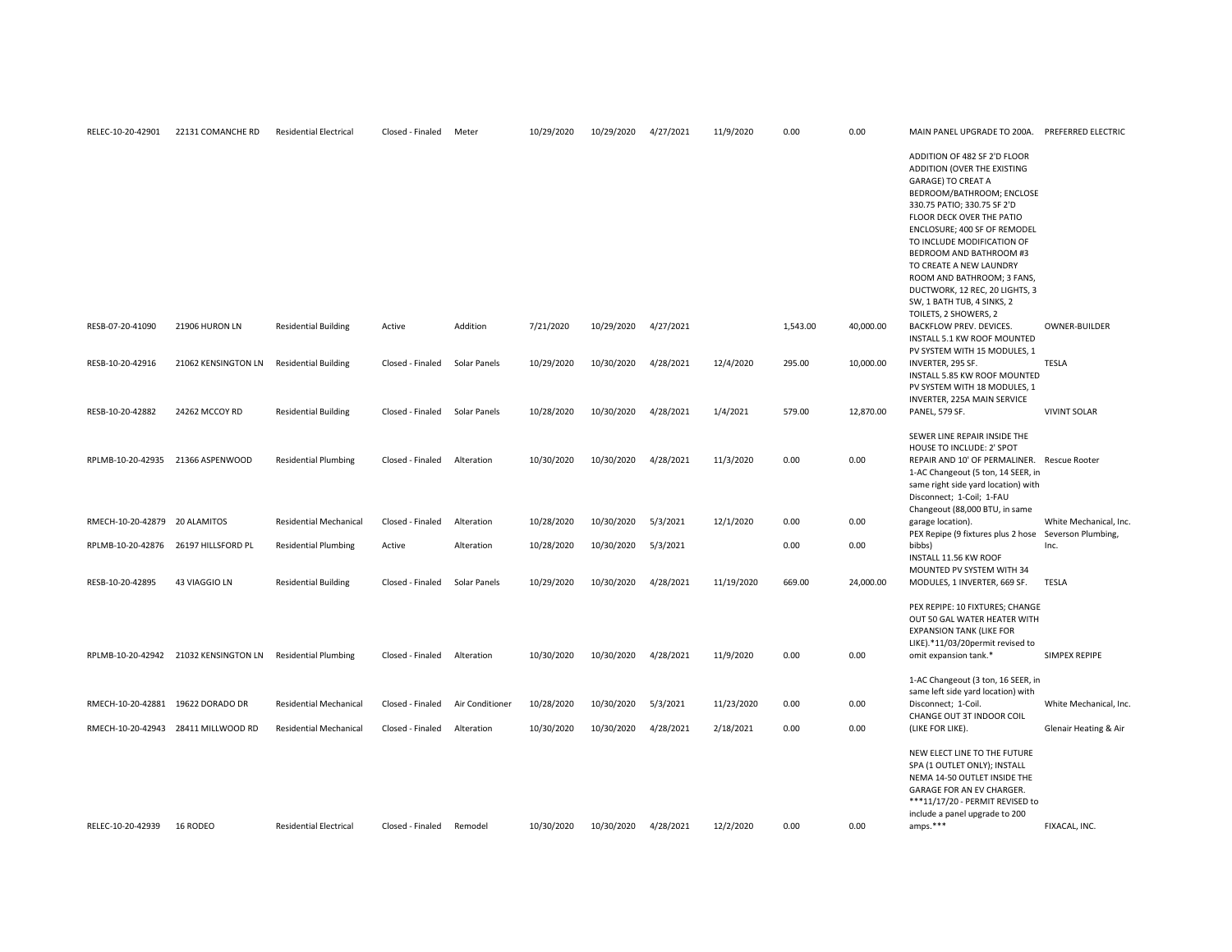| 22131 COMANCHE RD   | <b>Residential Electrical</b>                                                                                                                                                                                                   | Closed - Finaled | Meter           | 10/29/2020 | 10/29/2020 | 4/27/2021 | 11/9/2020  | 0.00     | 0.00      | MAIN PANEL UPGRADE TO 200A.                                                                                                                                                                                                                                                                                                                                                                                           | PREFERRED ELECTRIC                                                                                                                                                                                                                                     |
|---------------------|---------------------------------------------------------------------------------------------------------------------------------------------------------------------------------------------------------------------------------|------------------|-----------------|------------|------------|-----------|------------|----------|-----------|-----------------------------------------------------------------------------------------------------------------------------------------------------------------------------------------------------------------------------------------------------------------------------------------------------------------------------------------------------------------------------------------------------------------------|--------------------------------------------------------------------------------------------------------------------------------------------------------------------------------------------------------------------------------------------------------|
|                     |                                                                                                                                                                                                                                 |                  |                 |            |            |           |            |          |           | ADDITION OF 482 SF 2'D FLOOR<br>ADDITION (OVER THE EXISTING<br>GARAGE) TO CREAT A<br>BEDROOM/BATHROOM; ENCLOSE<br>330.75 PATIO; 330.75 SF 2'D<br>FLOOR DECK OVER THE PATIO<br>ENCLOSURE; 400 SF OF REMODEL<br>TO INCLUDE MODIFICATION OF<br>BEDROOM AND BATHROOM #3<br>TO CREATE A NEW LAUNDRY<br>ROOM AND BATHROOM; 3 FANS,<br>DUCTWORK, 12 REC, 20 LIGHTS, 3<br>SW, 1 BATH TUB, 4 SINKS, 2<br>TOILETS, 2 SHOWERS, 2 |                                                                                                                                                                                                                                                        |
| 21906 HURON LN      | <b>Residential Building</b>                                                                                                                                                                                                     | Active           | Addition        | 7/21/2020  | 10/29/2020 | 4/27/2021 |            | 1,543.00 | 40,000.00 | BACKFLOW PREV. DEVICES.<br>INSTALL 5.1 KW ROOF MOUNTED                                                                                                                                                                                                                                                                                                                                                                | OWNER-BUILDER                                                                                                                                                                                                                                          |
| 21062 KENSINGTON LN | <b>Residential Building</b>                                                                                                                                                                                                     | Closed - Finaled | Solar Panels    | 10/29/2020 | 10/30/2020 | 4/28/2021 | 12/4/2020  | 295.00   | 10,000.00 | INVERTER, 295 SF.<br>INSTALL 5.85 KW ROOF MOUNTED<br>PV SYSTEM WITH 18 MODULES, 1                                                                                                                                                                                                                                                                                                                                     | <b>TESLA</b>                                                                                                                                                                                                                                           |
| 24262 MCCOY RD      | <b>Residential Building</b>                                                                                                                                                                                                     | Closed - Finaled | Solar Panels    | 10/28/2020 | 10/30/2020 | 4/28/2021 | 1/4/2021   | 579.00   | 12,870.00 | <b>PANEL, 579 SF.</b>                                                                                                                                                                                                                                                                                                                                                                                                 | <b>VIVINT SOLAR</b>                                                                                                                                                                                                                                    |
|                     | <b>Residential Plumbing</b>                                                                                                                                                                                                     | Closed - Finaled | Alteration      | 10/30/2020 | 10/30/2020 | 4/28/2021 | 11/3/2020  | 0.00     | 0.00      | SEWER LINE REPAIR INSIDE THE<br>HOUSE TO INCLUDE: 2' SPOT<br>REPAIR AND 10' OF PERMALINER. Rescue Rooter<br>1-AC Changeout (5 ton, 14 SEER, in<br>same right side yard location) with<br>Disconnect; 1-Coil; 1-FAU                                                                                                                                                                                                    |                                                                                                                                                                                                                                                        |
|                     | <b>Residential Mechanical</b>                                                                                                                                                                                                   | Closed - Finaled | Alteration      | 10/28/2020 | 10/30/2020 | 5/3/2021  | 12/1/2020  | 0.00     | 0.00      | garage location).                                                                                                                                                                                                                                                                                                                                                                                                     | White Mechanical, Inc                                                                                                                                                                                                                                  |
|                     | <b>Residential Plumbing</b>                                                                                                                                                                                                     | Active           | Alteration      | 10/28/2020 | 10/30/2020 | 5/3/2021  |            | 0.00     | 0.00      | bibbs)<br>INSTALL 11.56 KW ROOF                                                                                                                                                                                                                                                                                                                                                                                       | Inc.                                                                                                                                                                                                                                                   |
| 43 VIAGGIO LN       | <b>Residential Building</b>                                                                                                                                                                                                     | Closed - Finaled | Solar Panels    | 10/29/2020 | 10/30/2020 | 4/28/2021 | 11/19/2020 | 669.00   | 24,000.00 | MODULES, 1 INVERTER, 669 SF.                                                                                                                                                                                                                                                                                                                                                                                          | TESLA                                                                                                                                                                                                                                                  |
|                     | <b>Residential Plumbing</b>                                                                                                                                                                                                     | Closed - Finaled | Alteration      | 10/30/2020 | 10/30/2020 | 4/28/2021 | 11/9/2020  | 0.00     | 0.00      | PEX REPIPE: 10 FIXTURES; CHANGE<br>OUT 50 GAL WATER HEATER WITH<br><b>EXPANSION TANK (LIKE FOR</b><br>LIKE).*11/03/20permit revised to<br>omit expansion tank.*                                                                                                                                                                                                                                                       | SIMPEX REPIPE                                                                                                                                                                                                                                          |
|                     |                                                                                                                                                                                                                                 |                  |                 |            |            |           |            |          |           | 1-AC Changeout (3 ton, 16 SEER, in                                                                                                                                                                                                                                                                                                                                                                                    |                                                                                                                                                                                                                                                        |
|                     | <b>Residential Mechanical</b>                                                                                                                                                                                                   | Closed - Finaled | Air Conditioner | 10/28/2020 | 10/30/2020 | 5/3/2021  | 11/23/2020 | 0.00     | 0.00      | Disconnect; 1-Coil.                                                                                                                                                                                                                                                                                                                                                                                                   | White Mechanical, Inc                                                                                                                                                                                                                                  |
|                     | <b>Residential Mechanical</b>                                                                                                                                                                                                   | Closed - Finaled | Alteration      | 10/30/2020 | 10/30/2020 | 4/28/2021 | 2/18/2021  | 0.00     | 0.00      | (LIKE FOR LIKE).                                                                                                                                                                                                                                                                                                                                                                                                      | Glenair Heating & Air                                                                                                                                                                                                                                  |
| 16 RODEO            | <b>Residential Electrical</b>                                                                                                                                                                                                   | Closed - Finaled | Remodel         | 10/30/2020 | 10/30/2020 | 4/28/2021 | 12/2/2020  | 0.00     | 0.00      | NEW ELECT LINE TO THE FUTURE<br>SPA (1 OUTLET ONLY); INSTALL<br>NEMA 14-50 OUTLET INSIDE THE<br>GARAGE FOR AN EV CHARGER.<br>***11/17/20 - PERMIT REVISED to<br>include a panel upgrade to 200<br>amps.***                                                                                                                                                                                                            | FIXACAL. INC.                                                                                                                                                                                                                                          |
|                     | RPLMB-10-20-42935 21366 ASPENWOOD<br>RMECH-10-20-42879 20 ALAMITOS<br>RPLMB-10-20-42876 26197 HILLSFORD PL<br>RPLMB-10-20-42942 21032 KENSINGTON LN<br>RMECH-10-20-42881 19622 DORADO DR<br>RMECH-10-20-42943 28411 MILLWOOD RD |                  |                 |            |            |           |            |          |           |                                                                                                                                                                                                                                                                                                                                                                                                                       | PV SYSTEM WITH 15 MODULES, 1<br>INVERTER, 225A MAIN SERVICE<br>Changeout (88,000 BTU, in same<br>PEX Repipe (9 fixtures plus 2 hose Severson Plumbing,<br>MOUNTED PV SYSTEM WITH 34<br>same left side yard location) with<br>CHANGE OUT 3T INDOOR COIL |